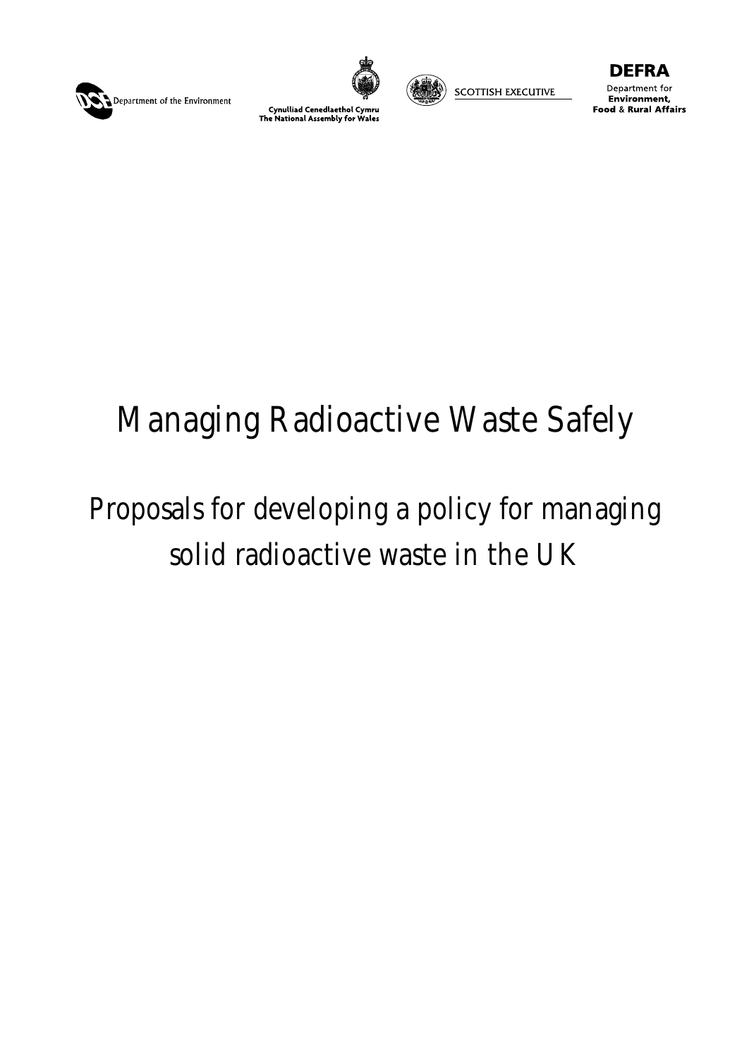





**SCOTTISH EXECUTIVE** 

EFRA Department for Environment, **Food & Rural Affairs** 

# Managing Radioactive Waste Safely

## Proposals for developing a policy for managing solid radioactive waste in the UK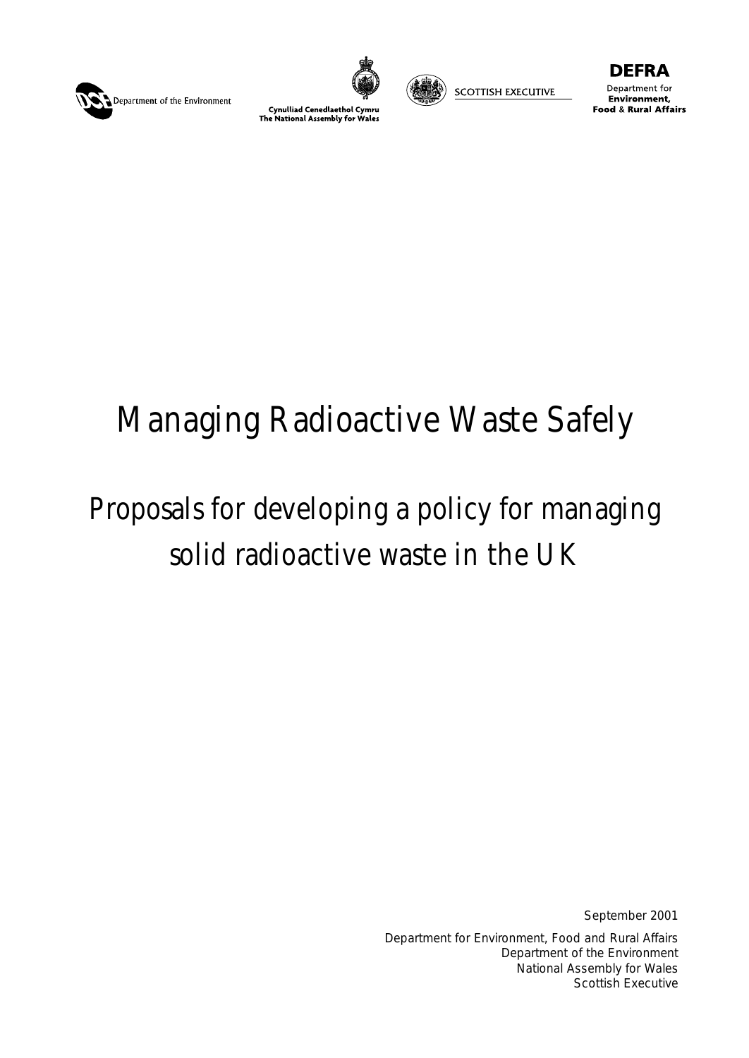





**SCOTTISH EXECUTIVE** 

Department for Environment, **Food & Rural Affairs** 

## Managing Radioactive Waste Safely

## Proposals for developing a policy for managing solid radioactive waste in the UK

September 2001

Department for Environment, Food and Rural Affairs Department of the Environment National Assembly for Wales Scottish Executive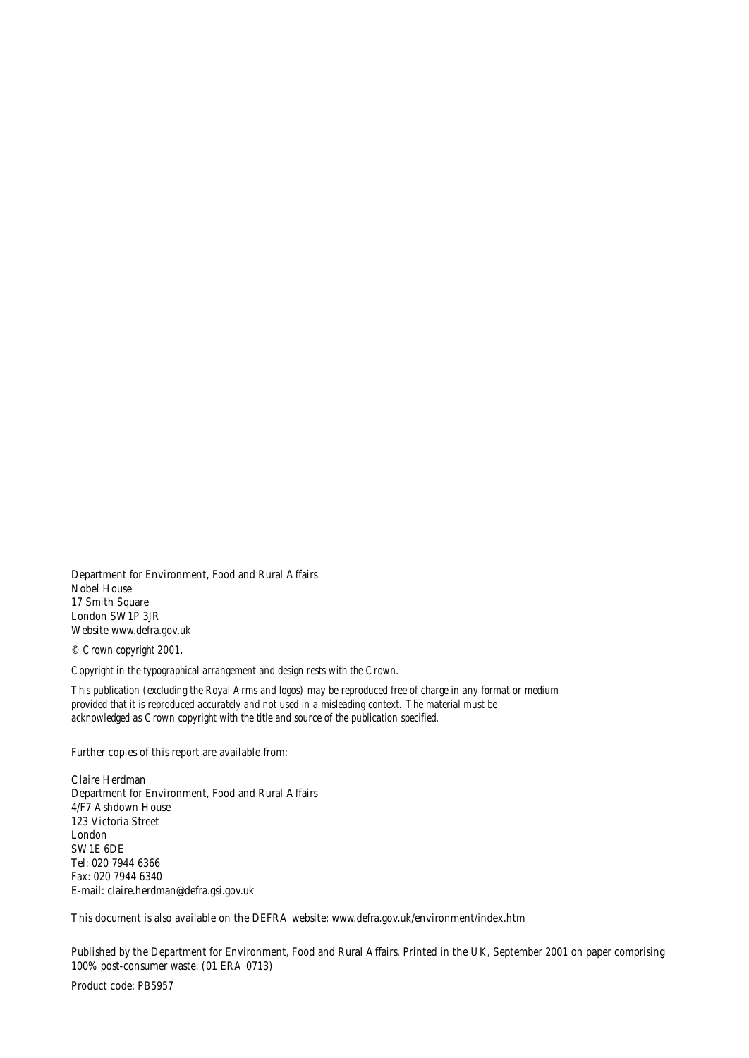Department for Environment, Food and Rural Affairs Nobel House 17 Smith Square London SW1P 3JR Website www.defra.gov.uk

*© Crown copyright 2001.*

*Copyright in the typographical arrangement and design rests with the Crown.*

*This publication (excluding the Royal Arms and logos) may be reproduced free of charge in any format or medium provided that it is reproduced accurately and not used in a misleading context. The material must be acknowledged as Crown copyright with the title and source of the publication specified.*

Further copies of this report are available from:

Claire Herdman Department for Environment, Food and Rural Affairs 4/F7 Ashdown House 123 Victoria Street London SW1E 6DE Tel: 020 7944 6366 Fax: 020 7944 6340 E-mail: claire.herdman@defra.gsi.gov.uk

This document is also available on the DEFRA website: www.defra.gov.uk/environment/index.htm

Published by the Department for Environment, Food and Rural Affairs. Printed in the UK, September 2001 on paper comprising 100% post-consumer waste. (01 ERA 0713)

Product code: PB5957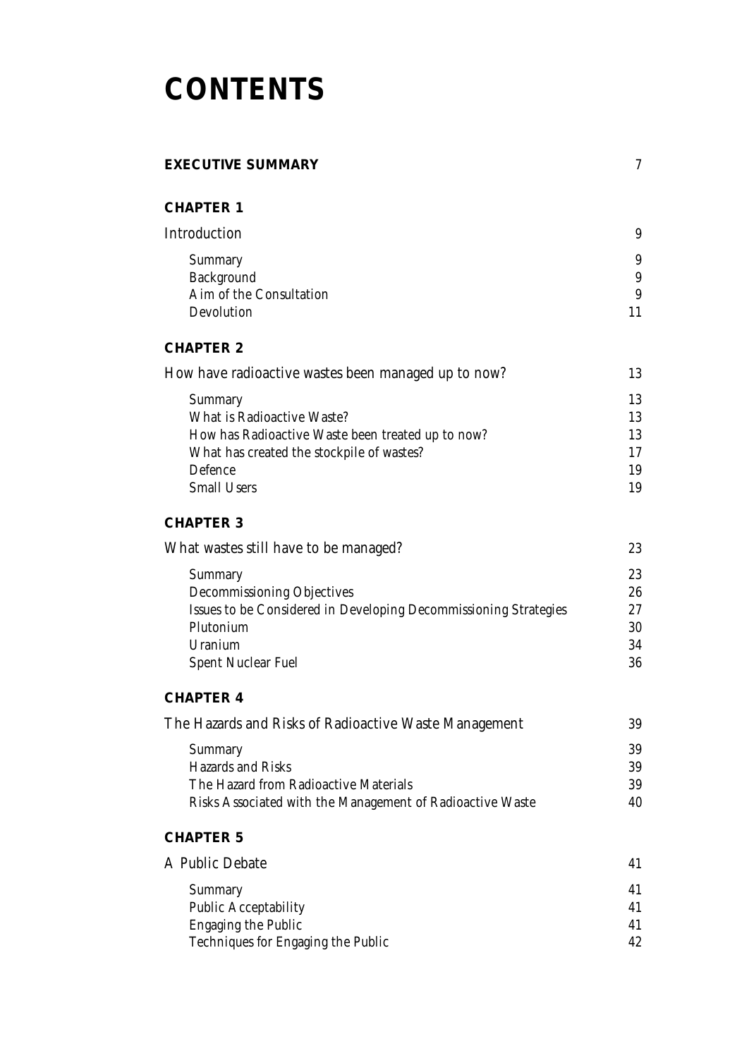## **CONTENTS**

### **EXECUTIVE SUMMARY** 7 **CHAPTER 1** Introduction 9 Summary 9 Background 9 Aim of the Consultation 9 Devolution 11 **CHAPTER 2**

| How have radioactive wastes been managed up to now? |    |
|-----------------------------------------------------|----|
| Summary                                             | 13 |
| What is Radioactive Waste?                          | 13 |
| How has Radioactive Waste been treated up to now?   | 13 |
| What has created the stockpile of wastes?           | 17 |
| Defence                                             | 19 |
| <b>Small Users</b>                                  | 19 |
|                                                     |    |

### **CHAPTER 3**

| What wastes still have to be managed?                            | 23 |
|------------------------------------------------------------------|----|
| Summary                                                          | 23 |
| Decommissioning Objectives                                       | 26 |
| Issues to be Considered in Developing Decommissioning Strategies | 27 |
| Plutonium                                                        | 30 |
| Uranium                                                          | 34 |
| <b>Spent Nuclear Fuel</b>                                        | 36 |

### **CHAPTER 4**

| The Hazards and Risks of Radioactive Waste Management     |    |
|-----------------------------------------------------------|----|
| Summary                                                   | 39 |
| Hazards and Risks                                         | 39 |
| The Hazard from Radioactive Materials                     | 39 |
| Risks Associated with the Management of Radioactive Waste | 40 |

### **CHAPTER 5**

| A Public Debate                    |    |
|------------------------------------|----|
| Summary                            | 41 |
| <b>Public Acceptability</b>        | 41 |
| <b>Engaging the Public</b>         | 41 |
| Techniques for Engaging the Public | 42 |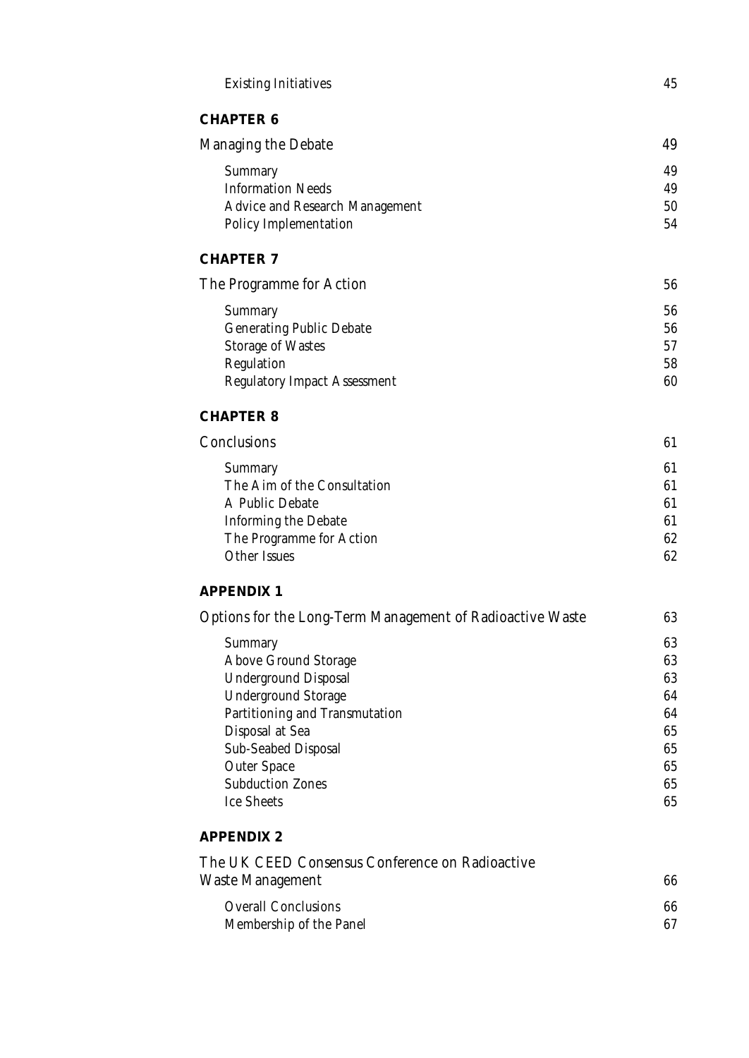| <b>Existing Initiatives</b>                                  | 45       |
|--------------------------------------------------------------|----------|
| <b>CHAPTER 6</b>                                             |          |
| <b>Managing the Debate</b>                                   | 49       |
| Summary                                                      | 49       |
| <b>Information Needs</b>                                     | 49       |
| <b>Advice and Research Management</b>                        | 50       |
| <b>Policy Implementation</b>                                 | 54       |
| <b>CHAPTER 7</b>                                             |          |
| The Programme for Action                                     | 56       |
| Summary                                                      | 56       |
| <b>Generating Public Debate</b>                              | 56       |
| <b>Storage of Wastes</b>                                     | 57       |
| Regulation                                                   | 58       |
| <b>Regulatory Impact Assessment</b>                          | 60       |
| <b>CHAPTER 8</b>                                             |          |
| Conclusions                                                  | 61       |
| Summary                                                      | 61       |
| The Aim of the Consultation                                  | 61       |
| A Public Debate                                              | 61       |
| <b>Informing the Debate</b>                                  | 61       |
| The Programme for Action<br><b>Other Issues</b>              | 62<br>62 |
|                                                              |          |
| <b>APPENDIX 1</b>                                            |          |
| Options for the Long-Term Management of Radioactive Waste    | 63       |
| Summary                                                      | 63       |
| <b>Above Ground Storage</b>                                  | 63       |
| <b>Underground Disposal</b>                                  | 63       |
| <b>Underground Storage</b><br>Partitioning and Transmutation | 64<br>64 |
| Disposal at Sea                                              | 65       |
| Sub-Seabed Disposal                                          | 65       |
| <b>Outer Space</b>                                           | 65       |
| <b>Subduction Zones</b>                                      | 65       |
| <b>Ice Sheets</b>                                            | 65       |
| <b>APPENDIX 2</b>                                            |          |
| The UK CEED Consensus Conference on Radioactive              |          |
| Waste Management                                             | 66       |
| <b>Overall Conclusions</b>                                   | 66       |
| Membership of the Panel                                      | 67       |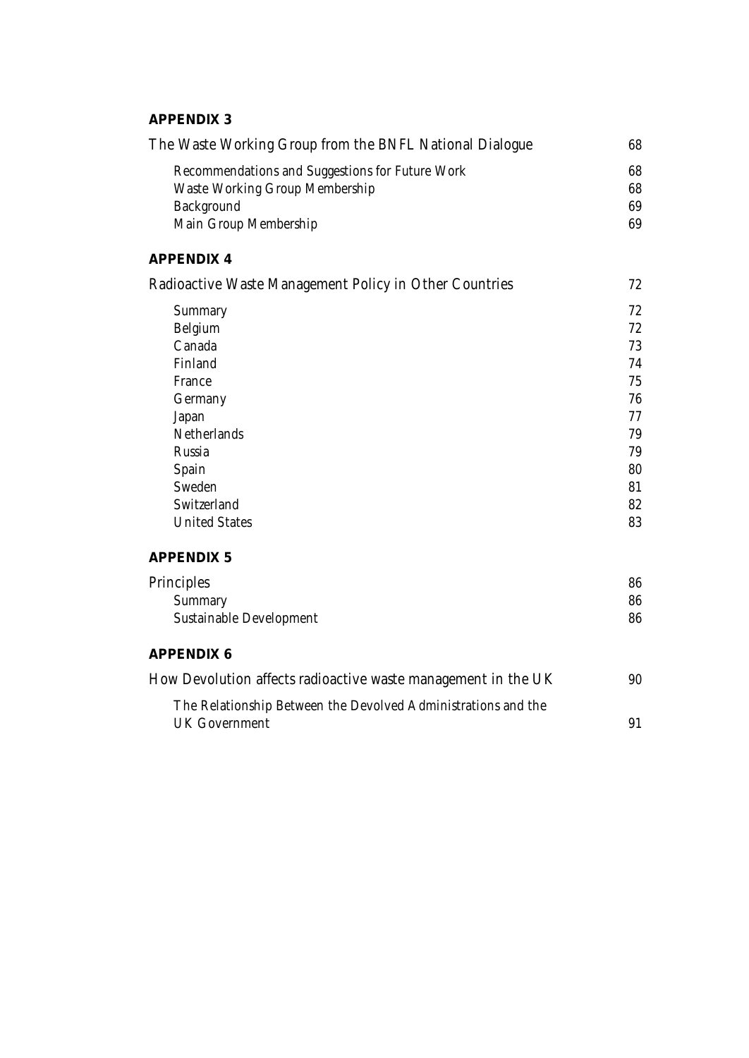### **APPENDIX 3**

| The Waste Working Group from the BNFL National Dialogue                               | 68 |
|---------------------------------------------------------------------------------------|----|
| Recommendations and Suggestions for Future Work                                       | 68 |
| <b>Waste Working Group Membership</b>                                                 | 68 |
| Background                                                                            | 69 |
| Main Group Membership                                                                 | 69 |
| <b>APPENDIX 4</b>                                                                     |    |
| Radioactive Waste Management Policy in Other Countries                                | 72 |
| Summary                                                                               | 72 |
| Belgium                                                                               | 72 |
| Canada                                                                                | 73 |
| Finland                                                                               | 74 |
| France                                                                                | 75 |
| Germany                                                                               | 76 |
| Japan                                                                                 | 77 |
| <b>Netherlands</b>                                                                    | 79 |
| Russia                                                                                | 79 |
| Spain                                                                                 | 80 |
| Sweden                                                                                | 81 |
| Switzerland                                                                           | 82 |
| <b>United States</b>                                                                  | 83 |
| <b>APPENDIX 5</b>                                                                     |    |
| Principles                                                                            | 86 |
| Summary                                                                               | 86 |
| Sustainable Development                                                               | 86 |
| <b>APPENDIX 6</b>                                                                     |    |
| How Devolution affects radioactive waste management in the UK                         | 90 |
| The Relationship Between the Devolved Administrations and the<br><b>UK Government</b> | 91 |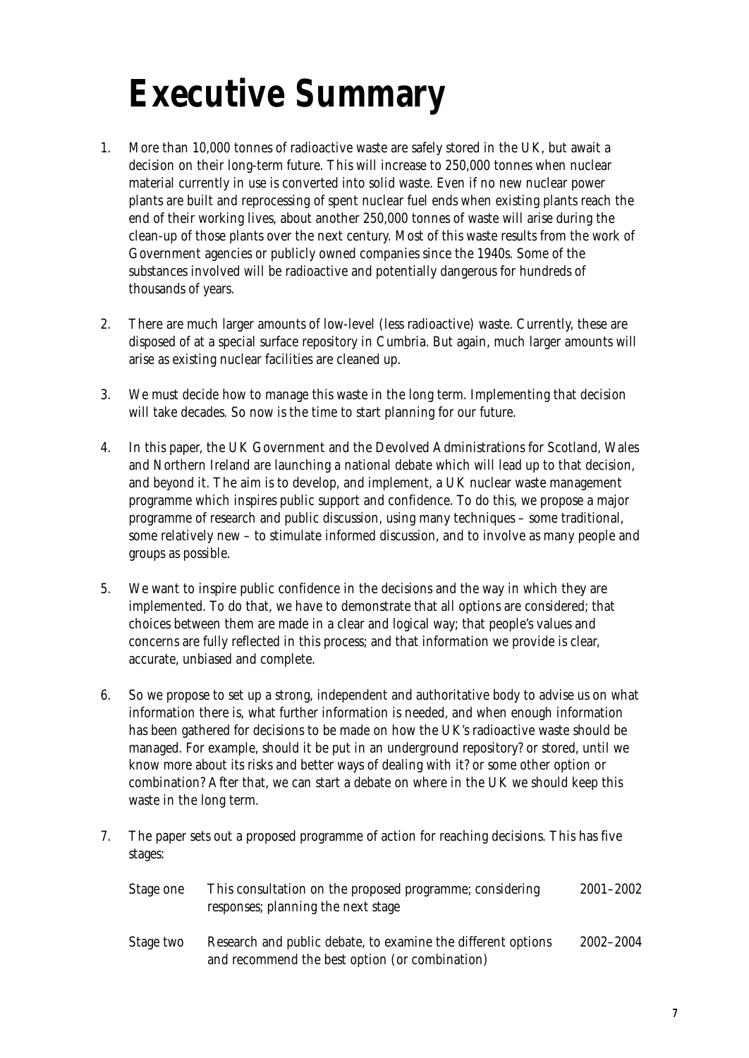# **Executive Summary**

- 1. More than 10,000 tonnes of radioactive waste are safely stored in the UK, but await a decision on their long-term future. This will increase to 250,000 tonnes when nuclear material currently in use is converted into solid waste. Even if no new nuclear power plants are built and reprocessing of spent nuclear fuel ends when existing plants reach the end of their working lives, about another 250,000 tonnes of waste will arise during the clean-up of those plants over the next century. Most of this waste results from the work of Government agencies or publicly owned companies since the 1940s. Some of the substances involved will be radioactive and potentially dangerous for hundreds of thousands of years.
- 2. There are much larger amounts of low-level (less radioactive) waste. Currently, these are disposed of at a special surface repository in Cumbria. But again, much larger amounts will arise as existing nuclear facilities are cleaned up.
- 3. We must decide how to manage this waste in the long term. Implementing that decision will take decades. So now is the time to start planning for our future.
- 4. In this paper, the UK Government and the Devolved Administrations for Scotland, Wales and Northern Ireland are launching a national debate which will lead up to that decision, and beyond it. The aim is to develop, and implement, a UK nuclear waste management programme which inspires public support and confidence. To do this, we propose a major programme of research and public discussion, using many techniques – some traditional, some relatively new – to stimulate informed discussion, and to involve as many people and groups as possible.
- 5. We want to inspire public confidence in the decisions and the way in which they are implemented. To do that, we have to demonstrate that all options are considered; that choices between them are made in a clear and logical way; that people's values and concerns are fully reflected in this process; and that information we provide is clear, accurate, unbiased and complete.
- 6. So we propose to set up a strong, independent and authoritative body to advise us on what information there is, what further information is needed, and when enough information has been gathered for decisions to be made on how the UK's radioactive waste should be managed. For example, should it be put in an underground repository? or stored, until we know more about its risks and better ways of dealing with it? or some other option or combination? After that, we can start a debate on where in the UK we should keep this waste in the long term.
- 7. The paper sets out a proposed programme of action for reaching decisions. This has five stages:

and recommend the best option (or combination)

| Stage one | This consultation on the proposed programme; considering<br>responses; planning the next stage | $2001 - 2002$ |
|-----------|------------------------------------------------------------------------------------------------|---------------|
| Stage two | Research and public debate, to examine the different options                                   | 2002–2004     |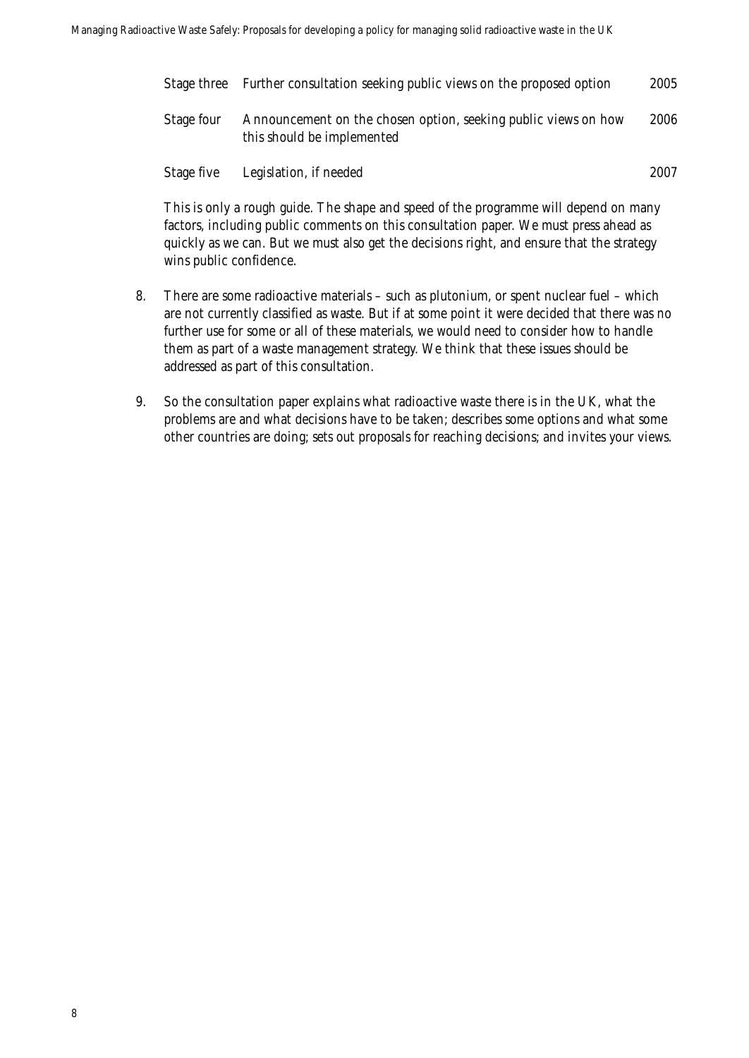|            | Stage three Further consultation seeking public views on the proposed option                 | 2005 |
|------------|----------------------------------------------------------------------------------------------|------|
| Stage four | Announcement on the chosen option, seeking public views on how<br>this should be implemented | 2006 |
| Stage five | Legislation, if needed                                                                       | 2007 |

This is only a rough guide. The shape and speed of the programme will depend on many factors, including public comments on this consultation paper. We must press ahead as quickly as we can. But we must also get the decisions right, and ensure that the strategy wins public confidence.

- 8. There are some radioactive materials such as plutonium, or spent nuclear fuel which are not currently classified as waste. But if at some point it were decided that there was no further use for some or all of these materials, we would need to consider how to handle them as part of a waste management strategy. We think that these issues should be addressed as part of this consultation.
- 9. So the consultation paper explains what radioactive waste there is in the UK, what the problems are and what decisions have to be taken; describes some options and what some other countries are doing; sets out proposals for reaching decisions; and invites your views.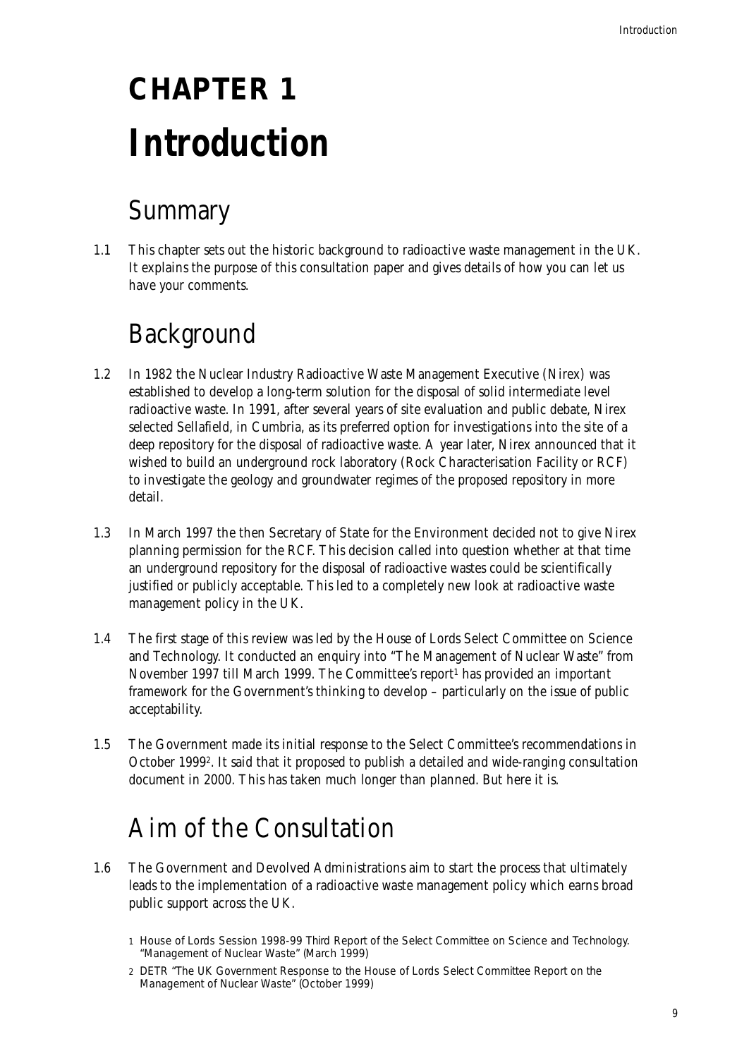# **CHAPTER 1 Introduction**

## Summary

1.1 This chapter sets out the historic background to radioactive waste management in the UK. It explains the purpose of this consultation paper and gives details of how you can let us have your comments.

## Background

- 1.2 In 1982 the Nuclear Industry Radioactive Waste Management Executive (Nirex) was established to develop a long-term solution for the disposal of solid intermediate level radioactive waste. In 1991, after several years of site evaluation and public debate, Nirex selected Sellafield, in Cumbria, as its preferred option for investigations into the site of a deep repository for the disposal of radioactive waste. A year later, Nirex announced that it wished to build an underground rock laboratory (Rock Characterisation Facility or RCF) to investigate the geology and groundwater regimes of the proposed repository in more detail.
- 1.3 In March 1997 the then Secretary of State for the Environment decided not to give Nirex planning permission for the RCF. This decision called into question whether at that time an underground repository for the disposal of radioactive wastes could be scientifically justified or publicly acceptable. This led to a completely new look at radioactive waste management policy in the UK.
- 1.4 The first stage of this review was led by the House of Lords Select Committee on Science and Technology. It conducted an enquiry into "The Management of Nuclear Waste" from November 1997 till March 1999. The Committee's report1 has provided an important framework for the Government's thinking to develop – particularly on the issue of public acceptability.
- 1.5 The Government made its initial response to the Select Committee's recommendations in October 19992. It said that it proposed to publish a detailed and wide-ranging consultation document in 2000. This has taken much longer than planned. But here it is.

### Aim of the Consultation

1.6 The Government and Devolved Administrations aim to start the process that ultimately leads to the implementation of a radioactive waste management policy which earns broad public support across the UK.

<sup>1</sup> House of Lords Session 1998-99 Third Report of the Select Committee on Science and Technology. "Management of Nuclear Waste" (March 1999)

<sup>2</sup> DETR "The UK Government Response to the House of Lords Select Committee Report on the Management of Nuclear Waste" (October 1999)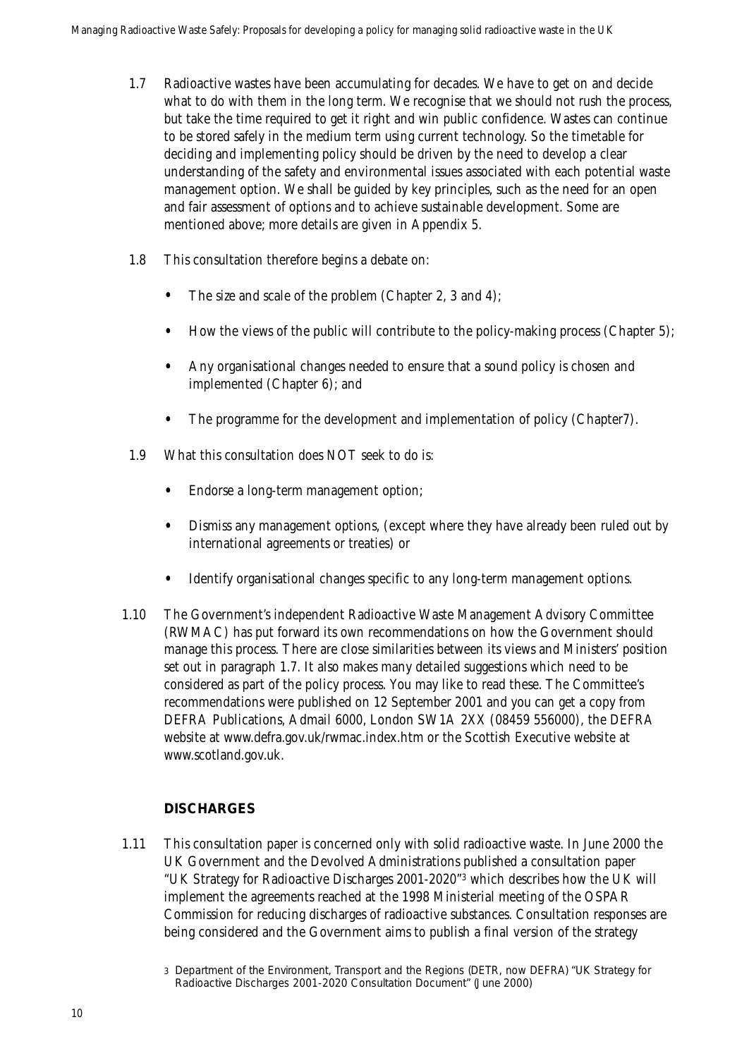- 1.7 Radioactive wastes have been accumulating for decades. We have to get on and decide what to do with them in the long term. We recognise that we should not rush the process, but take the time required to get it right and win public confidence. Wastes can continue to be stored safely in the medium term using current technology. So the timetable for deciding and implementing policy should be driven by the need to develop a clear understanding of the safety and environmental issues associated with each potential waste management option. We shall be guided by key principles, such as the need for an open and fair assessment of options and to achieve sustainable development. Some are mentioned above; more details are given in Appendix 5.
- 1.8 This consultation therefore begins a debate on:
	- The size and scale of the problem (Chapter 2, 3 and 4);
	- How the views of the public will contribute to the policy-making process (Chapter 5);
	- Any organisational changes needed to ensure that a sound policy is chosen and implemented (Chapter 6); and
	- The programme for the development and implementation of policy (Chapter7).
- 1.9 What this consultation does NOT seek to do is:
	- Endorse a long-term management option;
	- Dismiss any management options, (except where they have already been ruled out by international agreements or treaties) or
	- Identify organisational changes specific to any long-term management options.
- 1.10 The Government's independent Radioactive Waste Management Advisory Committee (RWMAC) has put forward its own recommendations on how the Government should manage this process. There are close similarities between its views and Ministers' position set out in paragraph 1.7. It also makes many detailed suggestions which need to be considered as part of the policy process. You may like to read these. The Committee's recommendations were published on 12 September 2001 and you can get a copy from DEFRA Publications, Admail 6000, London SW1A 2XX (08459 556000), the DEFRA website at www.defra.gov.uk/rwmac.index.htm or the Scottish Executive website at www.scotland.gov.uk.

### **DISCHARGES**

1.11 This consultation paper is concerned only with solid radioactive waste. In June 2000 the UK Government and the Devolved Administrations published a consultation paper "UK Strategy for Radioactive Discharges 2001-2020"3 which describes how the UK will implement the agreements reached at the 1998 Ministerial meeting of the OSPAR Commission for reducing discharges of radioactive substances. Consultation responses are being considered and the Government aims to publish a final version of the strategy

<sup>3</sup> Department of the Environment, Transport and the Regions (DETR, now DEFRA) "UK Strategy for Radioactive Discharges 2001-2020 Consultation Document" (June 2000)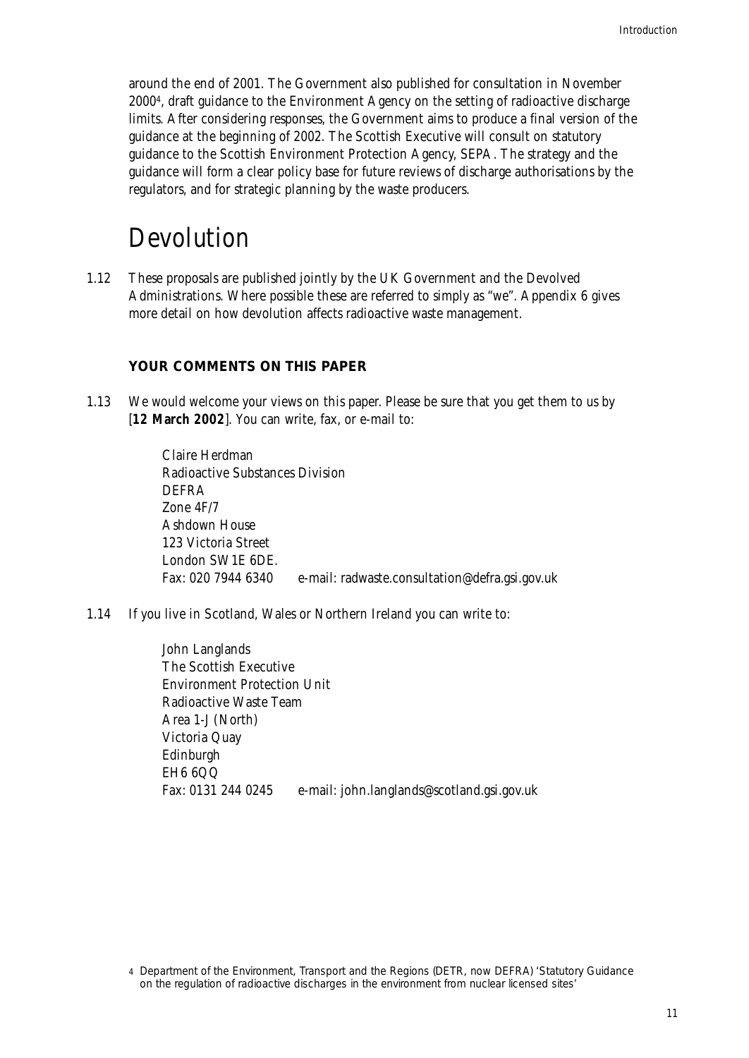around the end of 2001. The Government also published for consultation in November 20004, draft guidance to the Environment Agency on the setting of radioactive discharge limits. After considering responses, the Government aims to produce a final version of the guidance at the beginning of 2002. The Scottish Executive will consult on statutory guidance to the Scottish Environment Protection Agency, SEPA. The strategy and the guidance will form a clear policy base for future reviews of discharge authorisations by the regulators, and for strategic planning by the waste producers.

### Devolution

1.12 These proposals are published jointly by the UK Government and the Devolved Administrations. Where possible these are referred to simply as "we". Appendix 6 gives more detail on how devolution affects radioactive waste management.

### **YOUR COMMENTS ON THIS PAPER**

1.13 We would welcome your views on this paper. Please be sure that you get them to us by [**12 March 2002**]. You can write, fax, or e-mail to:

> Claire Herdman Radioactive Substances Division DEFRA Zone 4F/7 Ashdown House 123 Victoria Street London SW1E 6DE. Fax: 020 7944 6340 e-mail: radwaste.consultation@defra.gsi.gov.uk

1.14 If you live in Scotland, Wales or Northern Ireland you can write to:

John Langlands The Scottish Executive Environment Protection Unit Radioactive Waste Team Area 1-J (North) Victoria Quay Edinburgh EH6 6QQ Fax: 0131 244 0245 e-mail: john.langlands@scotland.gsi.gov.uk

<sup>4</sup> Department of the Environment, Transport and the Regions (DETR, now DEFRA) 'Statutory Guidance on the regulation of radioactive discharges in the environment from nuclear licensed sites'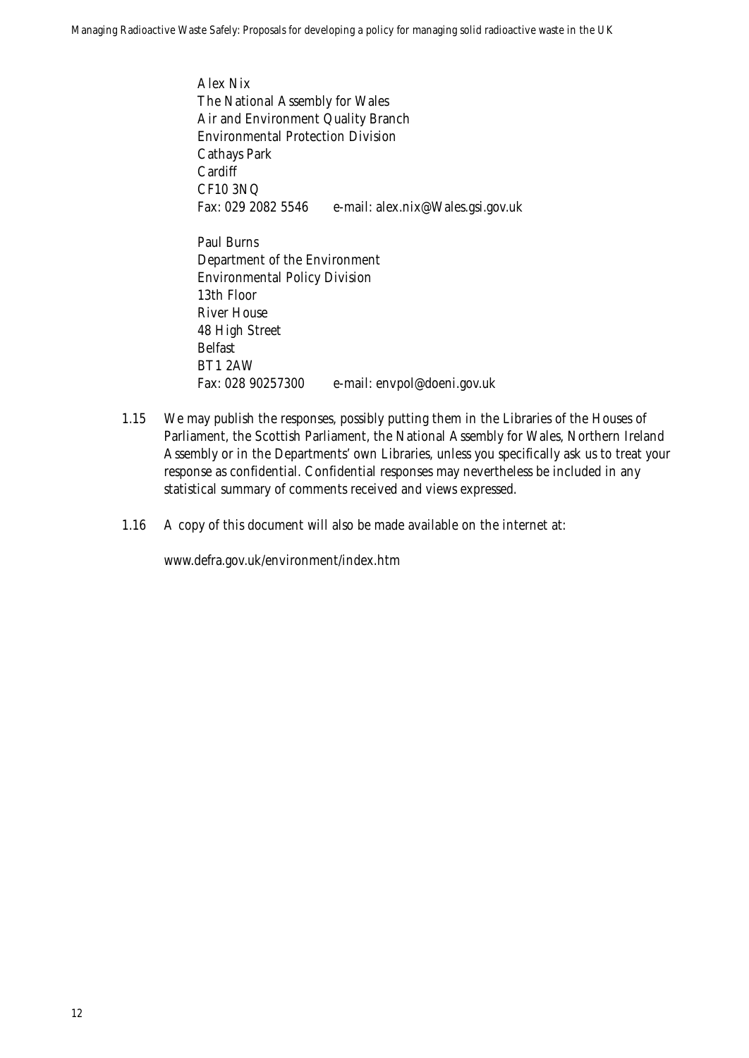Alex Nix The National Assembly for Wales Air and Environment Quality Branch Environmental Protection Division Cathays Park **Cardiff** CF10 3NQ Fax: 029 2082 5546 e-mail: alex.nix@Wales.gsi.gov.uk

Paul Burns Department of the Environment Environmental Policy Division 13th Floor River House 48 High Street Belfast BT1 2AW Fax: 028 90257300 e-mail: envpol@doeni.gov.uk

- 1.15 We may publish the responses, possibly putting them in the Libraries of the Houses of Parliament, the Scottish Parliament, the National Assembly for Wales, Northern Ireland Assembly or in the Departments' own Libraries, unless you specifically ask us to treat your response as confidential. Confidential responses may nevertheless be included in any statistical summary of comments received and views expressed.
- 1.16 A copy of this document will also be made available on the internet at:

www.defra.gov.uk/environment/index.htm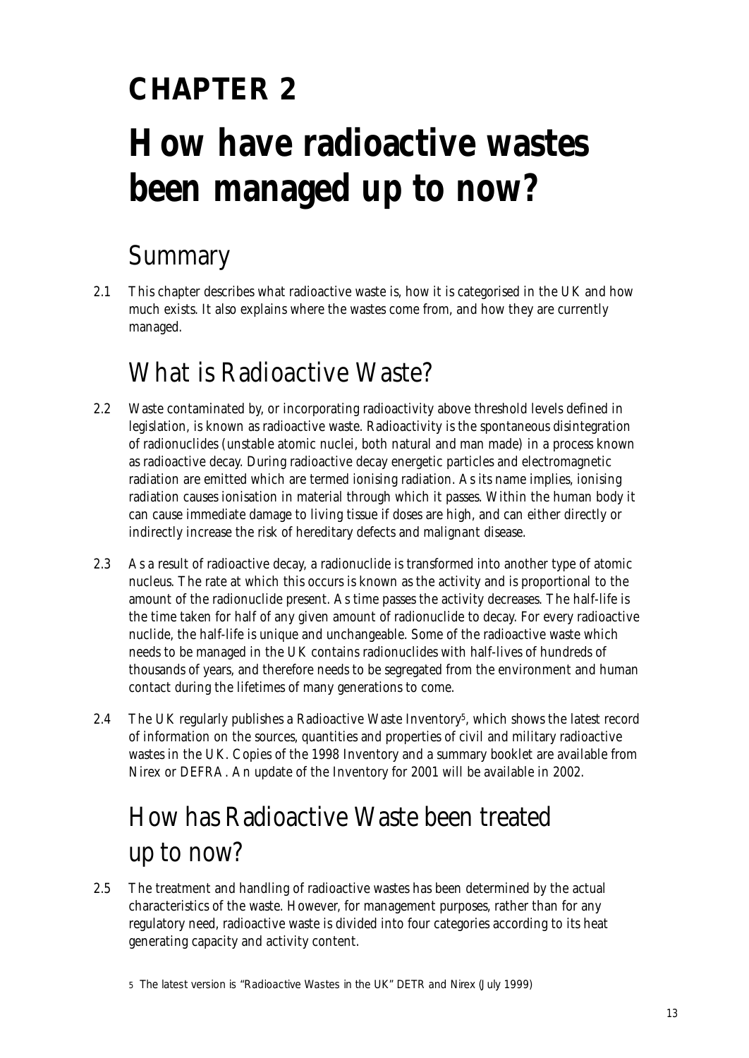# **CHAPTER 2 How have radioactive wastes been managed up to now?**

### Summary

2.1 This chapter describes what radioactive waste is, how it is categorised in the UK and how much exists. It also explains where the wastes come from, and how they are currently managed.

### What is Radioactive Waste?

- 2.2 Waste contaminated by, or incorporating radioactivity above threshold levels defined in legislation, is known as radioactive waste. Radioactivity is the spontaneous disintegration of radionuclides (unstable atomic nuclei, both natural and man made) in a process known as radioactive decay. During radioactive decay energetic particles and electromagnetic radiation are emitted which are termed ionising radiation. As its name implies, ionising radiation causes ionisation in material through which it passes. Within the human body it can cause immediate damage to living tissue if doses are high, and can either directly or indirectly increase the risk of hereditary defects and malignant disease.
- 2.3 As a result of radioactive decay, a radionuclide is transformed into another type of atomic nucleus. The rate at which this occurs is known as the activity and is proportional to the amount of the radionuclide present. As time passes the activity decreases. The half-life is the time taken for half of any given amount of radionuclide to decay. For every radioactive nuclide, the half-life is unique and unchangeable. Some of the radioactive waste which needs to be managed in the UK contains radionuclides with half-lives of hundreds of thousands of years, and therefore needs to be segregated from the environment and human contact during the lifetimes of many generations to come.
- 2.4 The UK regularly publishes a Radioactive Waste Inventory<sup>5</sup>, which shows the latest record of information on the sources, quantities and properties of civil and military radioactive wastes in the UK. Copies of the 1998 Inventory and a summary booklet are available from Nirex or DEFRA. An update of the Inventory for 2001 will be available in 2002.

## How has Radioactive Waste been treated up to now?

2.5 The treatment and handling of radioactive wastes has been determined by the actual characteristics of the waste. However, for management purposes, rather than for any regulatory need, radioactive waste is divided into four categories according to its heat generating capacity and activity content.

<sup>5</sup> The latest version is "Radioactive Wastes in the UK" DETR and Nirex (July 1999)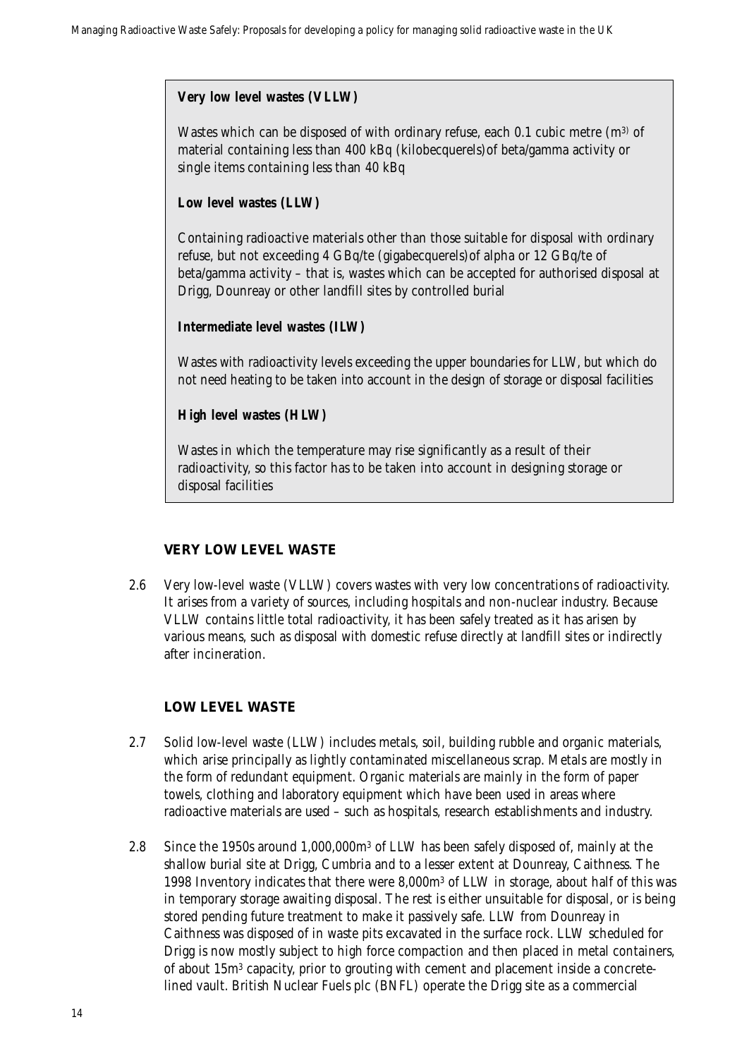### **Very low level wastes (VLLW)**

Wastes which can be disposed of with ordinary refuse, each  $0.1$  cubic metre (m<sup>3)</sup> of material containing less than 400 kBq (kilobecquerels)of beta/gamma activity or single items containing less than 40 kBq

### **Low level wastes (LLW)**

Containing radioactive materials other than those suitable for disposal with ordinary refuse, but not exceeding 4 GBq/te (gigabecquerels)of alpha or 12 GBq/te of beta/gamma activity – that is, wastes which can be accepted for authorised disposal at Drigg, Dounreay or other landfill sites by controlled burial

### **Intermediate level wastes (ILW)**

Wastes with radioactivity levels exceeding the upper boundaries for LLW, but which do not need heating to be taken into account in the design of storage or disposal facilities

### **High level wastes (HLW)**

Wastes in which the temperature may rise significantly as a result of their radioactivity, so this factor has to be taken into account in designing storage or disposal facilities

### **VERY LOW LEVEL WASTE**

2.6 Very low-level waste (VLLW) covers wastes with very low concentrations of radioactivity. It arises from a variety of sources, including hospitals and non-nuclear industry. Because VLLW contains little total radioactivity, it has been safely treated as it has arisen by various means, such as disposal with domestic refuse directly at landfill sites or indirectly after incineration.

### **LOW LEVEL WASTE**

- 2.7 Solid low-level waste (LLW) includes metals, soil, building rubble and organic materials, which arise principally as lightly contaminated miscellaneous scrap. Metals are mostly in the form of redundant equipment. Organic materials are mainly in the form of paper towels, clothing and laboratory equipment which have been used in areas where radioactive materials are used – such as hospitals, research establishments and industry.
- 2.8 Since the 1950s around 1,000,000m3 of LLW has been safely disposed of, mainly at the shallow burial site at Drigg, Cumbria and to a lesser extent at Dounreay, Caithness. The 1998 Inventory indicates that there were 8,000m3 of LLW in storage, about half of this was in temporary storage awaiting disposal. The rest is either unsuitable for disposal, or is being stored pending future treatment to make it passively safe. LLW from Dounreay in Caithness was disposed of in waste pits excavated in the surface rock. LLW scheduled for Drigg is now mostly subject to high force compaction and then placed in metal containers, of about 15m3 capacity, prior to grouting with cement and placement inside a concretelined vault. British Nuclear Fuels plc (BNFL) operate the Drigg site as a commercial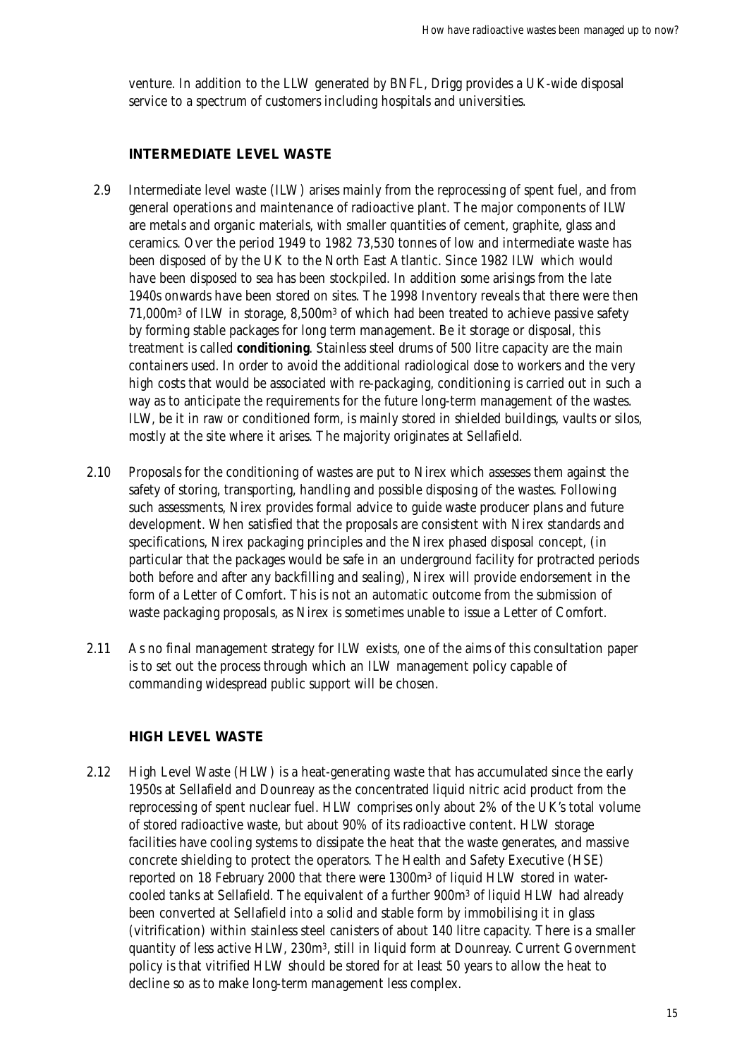venture. In addition to the LLW generated by BNFL, Drigg provides a UK-wide disposal service to a spectrum of customers including hospitals and universities.

### **INTERMEDIATE LEVEL WASTE**

- 2.9 Intermediate level waste (ILW) arises mainly from the reprocessing of spent fuel, and from general operations and maintenance of radioactive plant. The major components of ILW are metals and organic materials, with smaller quantities of cement, graphite, glass and ceramics. Over the period 1949 to 1982 73,530 tonnes of low and intermediate waste has been disposed of by the UK to the North East Atlantic. Since 1982 ILW which would have been disposed to sea has been stockpiled. In addition some arisings from the late 1940s onwards have been stored on sites. The 1998 Inventory reveals that there were then 71,000m3 of ILW in storage, 8,500m3 of which had been treated to achieve passive safety by forming stable packages for long term management. Be it storage or disposal, this treatment is called **conditioning**. Stainless steel drums of 500 litre capacity are the main containers used. In order to avoid the additional radiological dose to workers and the very high costs that would be associated with re-packaging, conditioning is carried out in such a way as to anticipate the requirements for the future long-term management of the wastes. ILW, be it in raw or conditioned form, is mainly stored in shielded buildings, vaults or silos, mostly at the site where it arises. The majority originates at Sellafield.
- 2.10 Proposals for the conditioning of wastes are put to Nirex which assesses them against the safety of storing, transporting, handling and possible disposing of the wastes. Following such assessments, Nirex provides formal advice to guide waste producer plans and future development. When satisfied that the proposals are consistent with Nirex standards and specifications, Nirex packaging principles and the Nirex phased disposal concept, (in particular that the packages would be safe in an underground facility for protracted periods both before and after any backfilling and sealing), Nirex will provide endorsement in the form of a Letter of Comfort. This is not an automatic outcome from the submission of waste packaging proposals, as Nirex is sometimes unable to issue a Letter of Comfort.
- 2.11 As no final management strategy for ILW exists, one of the aims of this consultation paper is to set out the process through which an ILW management policy capable of commanding widespread public support will be chosen.

### **HIGH LEVEL WASTE**

2.12 High Level Waste (HLW) is a heat-generating waste that has accumulated since the early 1950s at Sellafield and Dounreay as the concentrated liquid nitric acid product from the reprocessing of spent nuclear fuel. HLW comprises only about 2% of the UK's total volume of stored radioactive waste, but about 90% of its radioactive content. HLW storage facilities have cooling systems to dissipate the heat that the waste generates, and massive concrete shielding to protect the operators. The Health and Safety Executive (HSE) reported on 18 February 2000 that there were 1300m3 of liquid HLW stored in watercooled tanks at Sellafield. The equivalent of a further 900m3 of liquid HLW had already been converted at Sellafield into a solid and stable form by immobilising it in glass (vitrification) within stainless steel canisters of about 140 litre capacity. There is a smaller quantity of less active HLW, 230m3, still in liquid form at Dounreay. Current Government policy is that vitrified HLW should be stored for at least 50 years to allow the heat to decline so as to make long-term management less complex.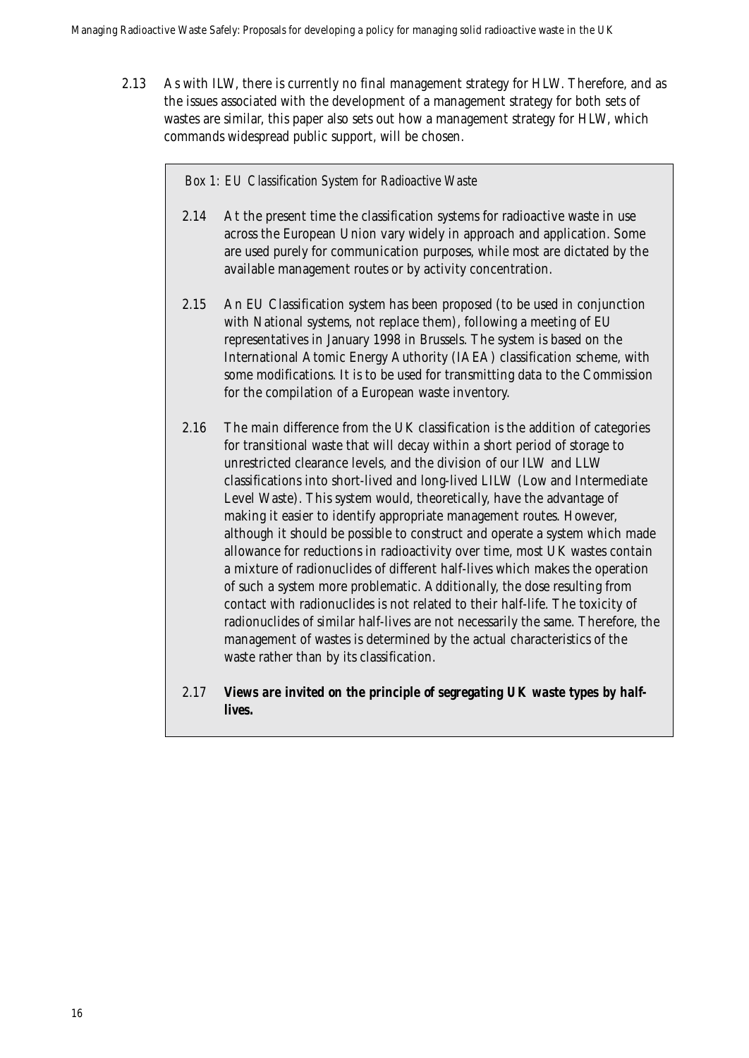2.13 As with ILW, there is currently no final management strategy for HLW. Therefore, and as the issues associated with the development of a management strategy for both sets of wastes are similar, this paper also sets out how a management strategy for HLW, which commands widespread public support, will be chosen.

#### *Box 1: EU Classification System for Radioactive Waste*

- 2.14 At the present time the classification systems for radioactive waste in use across the European Union vary widely in approach and application. Some are used purely for communication purposes, while most are dictated by the available management routes or by activity concentration.
- 2.15 An EU Classification system has been proposed (to be used in conjunction with National systems, not replace them), following a meeting of EU representatives in January 1998 in Brussels. The system is based on the International Atomic Energy Authority (IAEA) classification scheme, with some modifications. It is to be used for transmitting data to the Commission for the compilation of a European waste inventory.
- 2.16 The main difference from the UK classification is the addition of categories for transitional waste that will decay within a short period of storage to unrestricted clearance levels, and the division of our ILW and LLW classifications into short-lived and long-lived LILW (Low and Intermediate Level Waste). This system would, theoretically, have the advantage of making it easier to identify appropriate management routes. However, although it should be possible to construct and operate a system which made allowance for reductions in radioactivity over time, most UK wastes contain a mixture of radionuclides of different half-lives which makes the operation of such a system more problematic. Additionally, the dose resulting from contact with radionuclides is not related to their half-life. The toxicity of radionuclides of similar half-lives are not necessarily the same. Therefore, the management of wastes is determined by the actual characteristics of the waste rather than by its classification.
- 2.17 *Views are invited on the principle of segregating UK waste types by halflives.*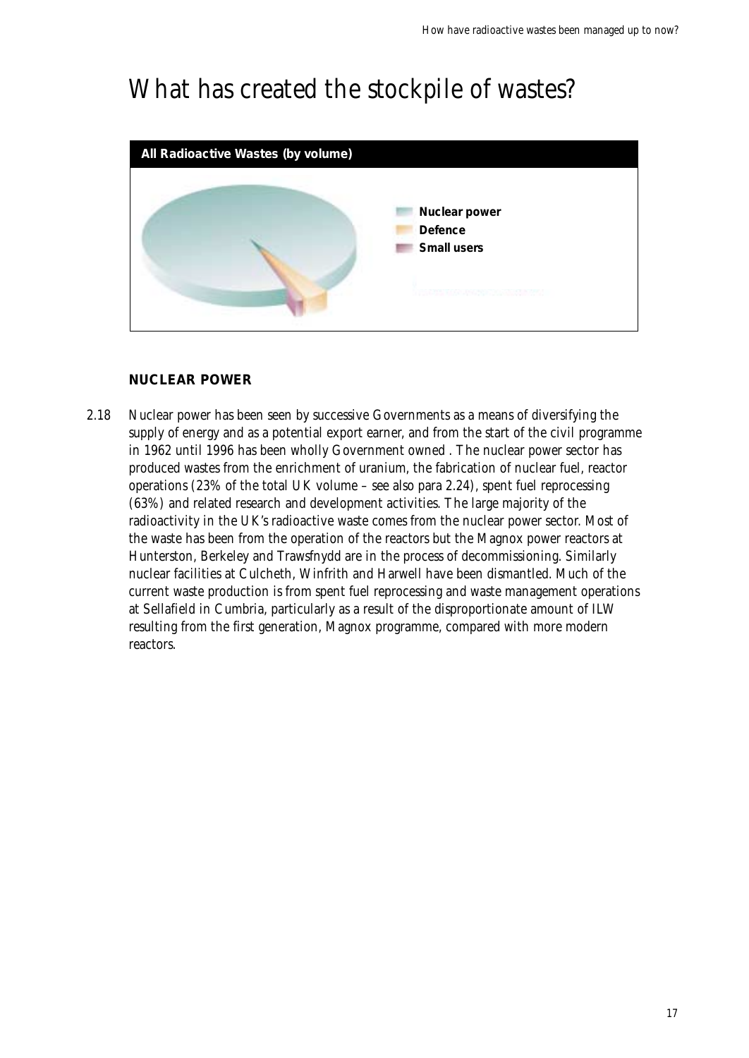### What has created the stockpile of wastes?



### **NUCLEAR POWER**

2.18 Nuclear power has been seen by successive Governments as a means of diversifying the supply of energy and as a potential export earner, and from the start of the civil programme in 1962 until 1996 has been wholly Government owned . The nuclear power sector has produced wastes from the enrichment of uranium, the fabrication of nuclear fuel, reactor operations (23% of the total UK volume – see also para 2.24), spent fuel reprocessing (63%) and related research and development activities. The large majority of the radioactivity in the UK's radioactive waste comes from the nuclear power sector. Most of the waste has been from the operation of the reactors but the Magnox power reactors at Hunterston, Berkeley and Trawsfnydd are in the process of decommissioning. Similarly nuclear facilities at Culcheth, Winfrith and Harwell have been dismantled. Much of the current waste production is from spent fuel reprocessing and waste management operations at Sellafield in Cumbria, particularly as a result of the disproportionate amount of ILW resulting from the first generation, Magnox programme, compared with more modern reactors.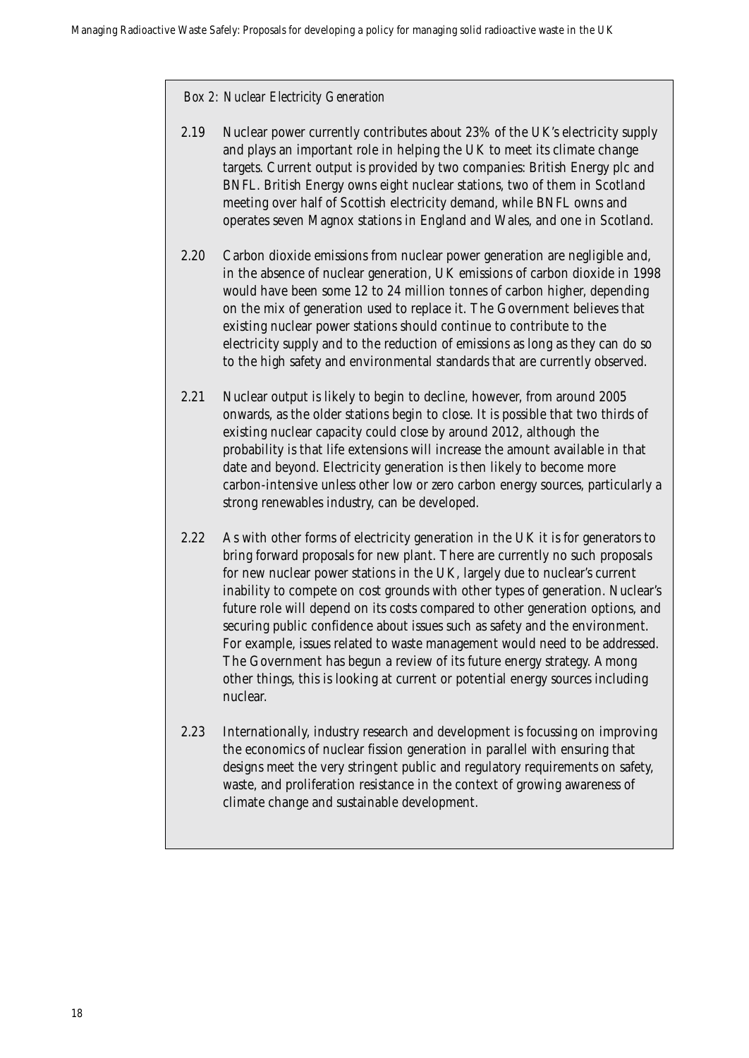#### *Box 2: Nuclear Electricity Generation*

- 2.19 Nuclear power currently contributes about 23% of the UK's electricity supply and plays an important role in helping the UK to meet its climate change targets. Current output is provided by two companies: British Energy plc and BNFL. British Energy owns eight nuclear stations, two of them in Scotland meeting over half of Scottish electricity demand, while BNFL owns and operates seven Magnox stations in England and Wales, and one in Scotland.
- 2.20 Carbon dioxide emissions from nuclear power generation are negligible and, in the absence of nuclear generation, UK emissions of carbon dioxide in 1998 would have been some 12 to 24 million tonnes of carbon higher, depending on the mix of generation used to replace it. The Government believes that existing nuclear power stations should continue to contribute to the electricity supply and to the reduction of emissions as long as they can do so to the high safety and environmental standards that are currently observed.
- 2.21 Nuclear output is likely to begin to decline, however, from around 2005 onwards, as the older stations begin to close. It is possible that two thirds of existing nuclear capacity could close by around 2012, although the probability is that life extensions will increase the amount available in that date and beyond. Electricity generation is then likely to become more carbon-intensive unless other low or zero carbon energy sources, particularly a strong renewables industry, can be developed.
- 2.22 As with other forms of electricity generation in the UK it is for generators to bring forward proposals for new plant. There are currently no such proposals for new nuclear power stations in the UK, largely due to nuclear's current inability to compete on cost grounds with other types of generation. Nuclear's future role will depend on its costs compared to other generation options, and securing public confidence about issues such as safety and the environment. For example, issues related to waste management would need to be addressed. The Government has begun a review of its future energy strategy. Among other things, this is looking at current or potential energy sources including nuclear.
- 2.23 Internationally, industry research and development is focussing on improving the economics of nuclear fission generation in parallel with ensuring that designs meet the very stringent public and regulatory requirements on safety, waste, and proliferation resistance in the context of growing awareness of climate change and sustainable development.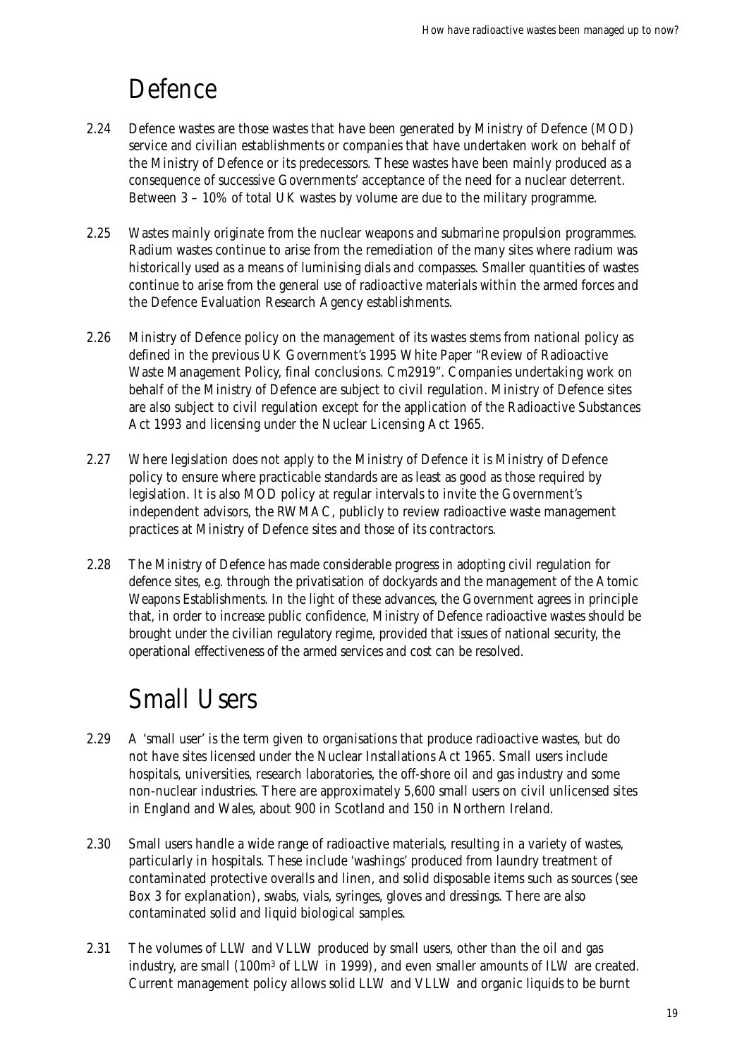## Defence

- 2.24 Defence wastes are those wastes that have been generated by Ministry of Defence (MOD) service and civilian establishments or companies that have undertaken work on behalf of the Ministry of Defence or its predecessors. These wastes have been mainly produced as a consequence of successive Governments' acceptance of the need for a nuclear deterrent. Between 3 – 10% of total UK wastes by volume are due to the military programme.
- 2.25 Wastes mainly originate from the nuclear weapons and submarine propulsion programmes. Radium wastes continue to arise from the remediation of the many sites where radium was historically used as a means of luminising dials and compasses. Smaller quantities of wastes continue to arise from the general use of radioactive materials within the armed forces and the Defence Evaluation Research Agency establishments.
- 2.26 Ministry of Defence policy on the management of its wastes stems from national policy as defined in the previous UK Government's 1995 White Paper "Review of Radioactive Waste Management Policy, final conclusions. Cm2919". Companies undertaking work on behalf of the Ministry of Defence are subject to civil regulation. Ministry of Defence sites are also subject to civil regulation except for the application of the Radioactive Substances Act 1993 and licensing under the Nuclear Licensing Act 1965.
- 2.27 Where legislation does not apply to the Ministry of Defence it is Ministry of Defence policy to ensure where practicable standards are as least as good as those required by legislation. It is also MOD policy at regular intervals to invite the Government's independent advisors, the RWMAC, publicly to review radioactive waste management practices at Ministry of Defence sites and those of its contractors.
- 2.28 The Ministry of Defence has made considerable progress in adopting civil regulation for defence sites, e.g. through the privatisation of dockyards and the management of the Atomic Weapons Establishments. In the light of these advances, the Government agrees in principle that, in order to increase public confidence, Ministry of Defence radioactive wastes should be brought under the civilian regulatory regime, provided that issues of national security, the operational effectiveness of the armed services and cost can be resolved.

## Small Users

- 2.29 A 'small user' is the term given to organisations that produce radioactive wastes, but do not have sites licensed under the Nuclear Installations Act 1965. Small users include hospitals, universities, research laboratories, the off-shore oil and gas industry and some non-nuclear industries. There are approximately 5,600 small users on civil unlicensed sites in England and Wales, about 900 in Scotland and 150 in Northern Ireland.
- 2.30 Small users handle a wide range of radioactive materials, resulting in a variety of wastes, particularly in hospitals. These include 'washings' produced from laundry treatment of contaminated protective overalls and linen, and solid disposable items such as sources (see Box 3 for explanation), swabs, vials, syringes, gloves and dressings. There are also contaminated solid and liquid biological samples.
- 2.31 The volumes of LLW and VLLW produced by small users, other than the oil and gas industry, are small (100m3 of LLW in 1999), and even smaller amounts of ILW are created. Current management policy allows solid LLW and VLLW and organic liquids to be burnt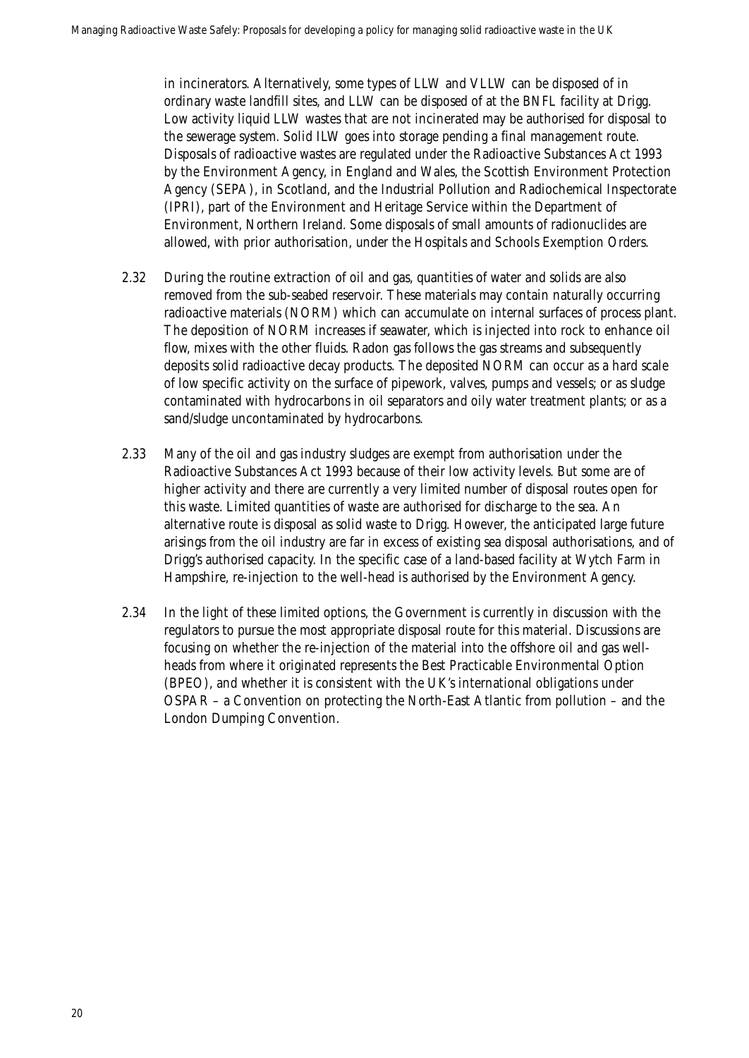in incinerators. Alternatively, some types of LLW and VLLW can be disposed of in ordinary waste landfill sites, and LLW can be disposed of at the BNFL facility at Drigg. Low activity liquid LLW wastes that are not incinerated may be authorised for disposal to the sewerage system. Solid ILW goes into storage pending a final management route. Disposals of radioactive wastes are regulated under the Radioactive Substances Act 1993 by the Environment Agency, in England and Wales, the Scottish Environment Protection Agency (SEPA), in Scotland, and the Industrial Pollution and Radiochemical Inspectorate (IPRI), part of the Environment and Heritage Service within the Department of Environment, Northern Ireland. Some disposals of small amounts of radionuclides are allowed, with prior authorisation, under the Hospitals and Schools Exemption Orders.

- 2.32 During the routine extraction of oil and gas, quantities of water and solids are also removed from the sub-seabed reservoir. These materials may contain naturally occurring radioactive materials (NORM) which can accumulate on internal surfaces of process plant. The deposition of NORM increases if seawater, which is injected into rock to enhance oil flow, mixes with the other fluids. Radon gas follows the gas streams and subsequently deposits solid radioactive decay products. The deposited NORM can occur as a hard scale of low specific activity on the surface of pipework, valves, pumps and vessels; or as sludge contaminated with hydrocarbons in oil separators and oily water treatment plants; or as a sand/sludge uncontaminated by hydrocarbons.
- 2.33 Many of the oil and gas industry sludges are exempt from authorisation under the Radioactive Substances Act 1993 because of their low activity levels. But some are of higher activity and there are currently a very limited number of disposal routes open for this waste. Limited quantities of waste are authorised for discharge to the sea. An alternative route is disposal as solid waste to Drigg. However, the anticipated large future arisings from the oil industry are far in excess of existing sea disposal authorisations, and of Drigg's authorised capacity. In the specific case of a land-based facility at Wytch Farm in Hampshire, re-injection to the well-head is authorised by the Environment Agency.
- 2.34 In the light of these limited options, the Government is currently in discussion with the regulators to pursue the most appropriate disposal route for this material. Discussions are focusing on whether the re-injection of the material into the offshore oil and gas wellheads from where it originated represents the Best Practicable Environmental Option (BPEO), and whether it is consistent with the UK's international obligations under OSPAR – a Convention on protecting the North-East Atlantic from pollution – and the London Dumping Convention.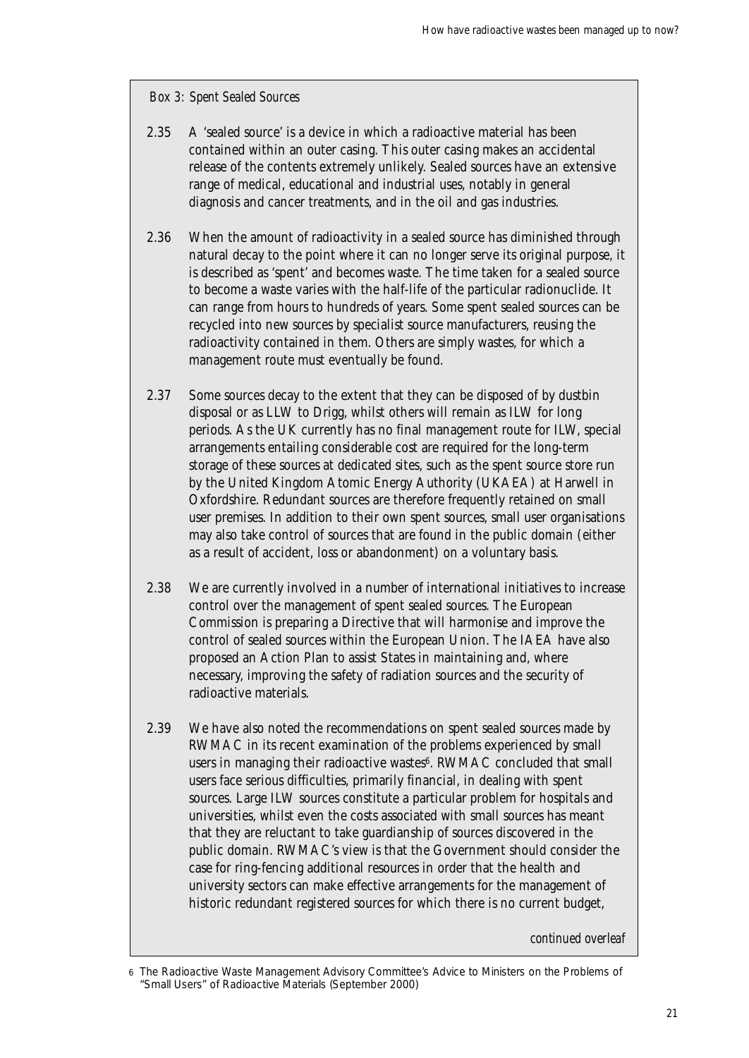#### *Box 3: Spent Sealed Sources*

- 2.35 A 'sealed source' is a device in which a radioactive material has been contained within an outer casing. This outer casing makes an accidental release of the contents extremely unlikely. Sealed sources have an extensive range of medical, educational and industrial uses, notably in general diagnosis and cancer treatments, and in the oil and gas industries.
- 2.36 When the amount of radioactivity in a sealed source has diminished through natural decay to the point where it can no longer serve its original purpose, it is described as 'spent' and becomes waste. The time taken for a sealed source to become a waste varies with the half-life of the particular radionuclide. It can range from hours to hundreds of years. Some spent sealed sources can be recycled into new sources by specialist source manufacturers, reusing the radioactivity contained in them. Others are simply wastes, for which a management route must eventually be found.
- 2.37 Some sources decay to the extent that they can be disposed of by dustbin disposal or as LLW to Drigg, whilst others will remain as ILW for long periods. As the UK currently has no final management route for ILW, special arrangements entailing considerable cost are required for the long-term storage of these sources at dedicated sites, such as the spent source store run by the United Kingdom Atomic Energy Authority (UKAEA) at Harwell in Oxfordshire. Redundant sources are therefore frequently retained on small user premises. In addition to their own spent sources, small user organisations may also take control of sources that are found in the public domain (either as a result of accident, loss or abandonment) on a voluntary basis.
- 2.38 We are currently involved in a number of international initiatives to increase control over the management of spent sealed sources. The European Commission is preparing a Directive that will harmonise and improve the control of sealed sources within the European Union. The IAEA have also proposed an Action Plan to assist States in maintaining and, where necessary, improving the safety of radiation sources and the security of radioactive materials.
- 2.39 We have also noted the recommendations on spent sealed sources made by RWMAC in its recent examination of the problems experienced by small users in managing their radioactive wastes<sup>6</sup>. RWMAC concluded that small users face serious difficulties, primarily financial, in dealing with spent sources. Large ILW sources constitute a particular problem for hospitals and universities, whilst even the costs associated with small sources has meant that they are reluctant to take guardianship of sources discovered in the public domain. RWMAC's view is that the Government should consider the case for ring-fencing additional resources in order that the health and university sectors can make effective arrangements for the management of historic redundant registered sources for which there is no current budget,

*continued overleaf*

<sup>6</sup> The Radioactive Waste Management Advisory Committee's Advice to Ministers on the Problems of "Small Users" of Radioactive Materials (September 2000)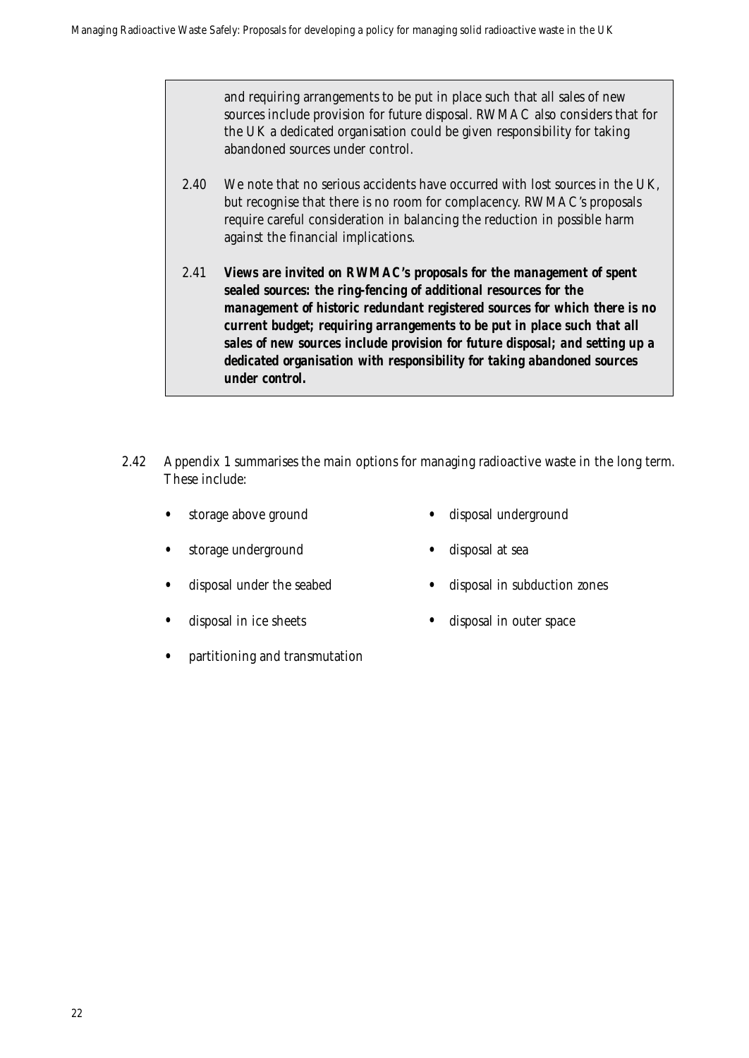and requiring arrangements to be put in place such that all sales of new sources include provision for future disposal. RWMAC also considers that for the UK a dedicated organisation could be given responsibility for taking abandoned sources under control.

- 2.40 We note that no serious accidents have occurred with lost sources in the UK, but recognise that there is no room for complacency. RWMAC's proposals require careful consideration in balancing the reduction in possible harm against the financial implications.
- 2.41 *Views are invited on RWMAC's proposals for the management of spent sealed sources: the ring-fencing of additional resources for the management of historic redundant registered sources for which there is no current budget; requiring arrangements to be put in place such that all sales of new sources include provision for future disposal; and setting up a dedicated organisation with responsibility for taking abandoned sources under control.*
- 2.42 Appendix 1 summarises the main options for managing radioactive waste in the long term. These include:
	- - storage above ground disposal underground
	- storage underground disposal at sea
	- - disposal under the seabed disposal in subduction zones
	-
- disposal in ice sheets disposal in outer space
	- partitioning and transmutation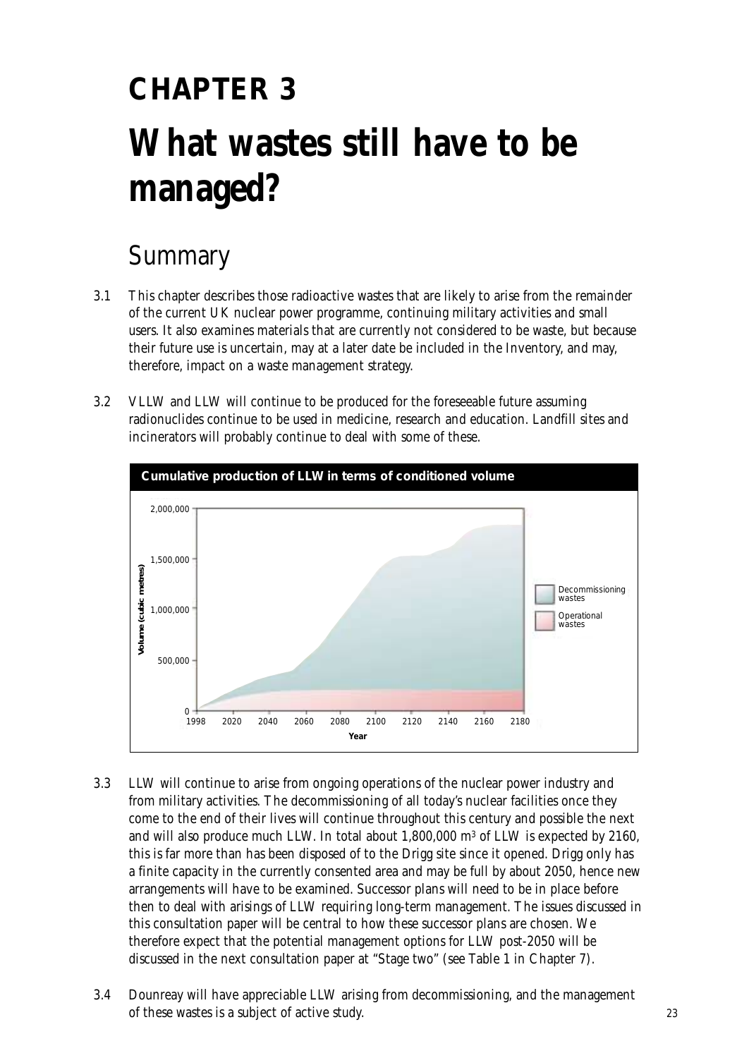# **CHAPTER 3 What wastes still have to be managed?**

### Summary

- 3.1 This chapter describes those radioactive wastes that are likely to arise from the remainder of the current UK nuclear power programme, continuing military activities and small users. It also examines materials that are currently not considered to be waste, but because their future use is uncertain, may at a later date be included in the Inventory, and may, therefore, impact on a waste management strategy.
- 3.2 VLLW and LLW will continue to be produced for the foreseeable future assuming radionuclides continue to be used in medicine, research and education. Landfill sites and incinerators will probably continue to deal with some of these.



- 3.3 LLW will continue to arise from ongoing operations of the nuclear power industry and from military activities. The decommissioning of all today's nuclear facilities once they come to the end of their lives will continue throughout this century and possible the next and will also produce much LLW. In total about  $1,800,000$  m<sup>3</sup> of LLW is expected by 2160, this is far more than has been disposed of to the Drigg site since it opened. Drigg only has a finite capacity in the currently consented area and may be full by about 2050, hence new arrangements will have to be examined. Successor plans will need to be in place before then to deal with arisings of LLW requiring long-term management. The issues discussed in this consultation paper will be central to how these successor plans are chosen. We therefore expect that the potential management options for LLW post-2050 will be discussed in the next consultation paper at "Stage two" (see Table 1 in Chapter 7).
- 3.4 Dounreay will have appreciable LLW arising from decommissioning, and the management of these wastes is a subject of active study.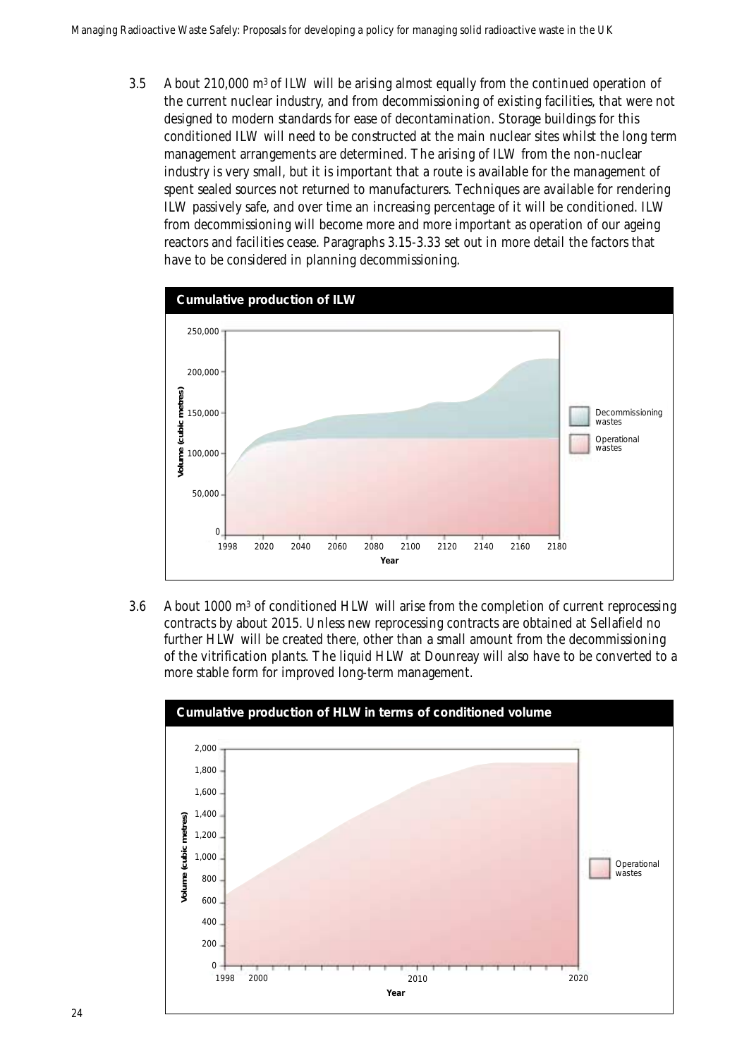3.5 About 210,000 m3 of ILW will be arising almost equally from the continued operation of the current nuclear industry, and from decommissioning of existing facilities, that were not designed to modern standards for ease of decontamination. Storage buildings for this conditioned ILW will need to be constructed at the main nuclear sites whilst the long term management arrangements are determined. The arising of ILW from the non-nuclear industry is very small, but it is important that a route is available for the management of spent sealed sources not returned to manufacturers. Techniques are available for rendering ILW passively safe, and over time an increasing percentage of it will be conditioned. ILW from decommissioning will become more and more important as operation of our ageing reactors and facilities cease. Paragraphs 3.15-3.33 set out in more detail the factors that have to be considered in planning decommissioning.



3.6 About 1000 m3 of conditioned HLW will arise from the completion of current reprocessing contracts by about 2015. Unless new reprocessing contracts are obtained at Sellafield no further HLW will be created there, other than a small amount from the decommissioning of the vitrification plants. The liquid HLW at Dounreay will also have to be converted to a more stable form for improved long-term management.

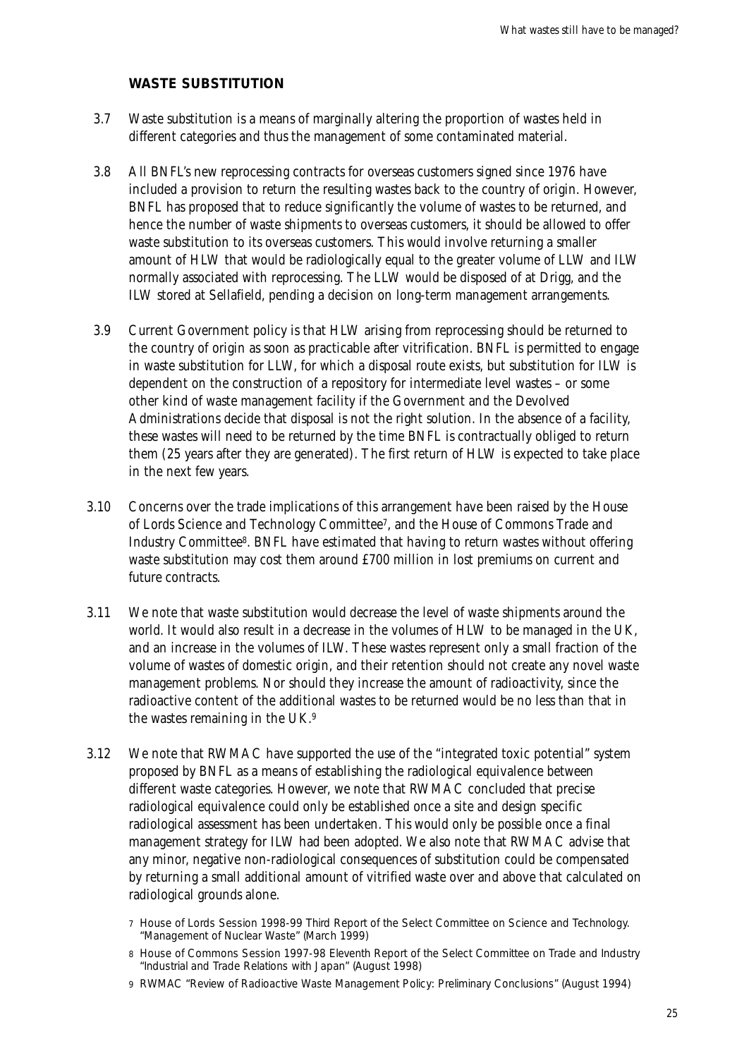#### **WASTE SUBSTITUTION**

- 3.7 Waste substitution is a means of marginally altering the proportion of wastes held in different categories and thus the management of some contaminated material.
- 3.8 All BNFL's new reprocessing contracts for overseas customers signed since 1976 have included a provision to return the resulting wastes back to the country of origin. However, BNFL has proposed that to reduce significantly the volume of wastes to be returned, and hence the number of waste shipments to overseas customers, it should be allowed to offer waste substitution to its overseas customers. This would involve returning a smaller amount of HLW that would be radiologically equal to the greater volume of LLW and ILW normally associated with reprocessing. The LLW would be disposed of at Drigg, and the ILW stored at Sellafield, pending a decision on long-term management arrangements.
- 3.9 Current Government policy is that HLW arising from reprocessing should be returned to the country of origin as soon as practicable after vitrification. BNFL is permitted to engage in waste substitution for LLW, for which a disposal route exists, but substitution for ILW is dependent on the construction of a repository for intermediate level wastes – or some other kind of waste management facility if the Government and the Devolved Administrations decide that disposal is not the right solution. In the absence of a facility, these wastes will need to be returned by the time BNFL is contractually obliged to return them (25 years after they are generated). The first return of HLW is expected to take place in the next few years.
- 3.10 Concerns over the trade implications of this arrangement have been raised by the House of Lords Science and Technology Committee7, and the House of Commons Trade and Industry Committee8. BNFL have estimated that having to return wastes without offering waste substitution may cost them around £700 million in lost premiums on current and future contracts.
- 3.11 We note that waste substitution would decrease the level of waste shipments around the world. It would also result in a decrease in the volumes of HLW to be managed in the UK, and an increase in the volumes of ILW. These wastes represent only a small fraction of the volume of wastes of domestic origin, and their retention should not create any novel waste management problems. Nor should they increase the amount of radioactivity, since the radioactive content of the additional wastes to be returned would be no less than that in the wastes remaining in the UK.9
- 3.12 We note that RWMAC have supported the use of the "integrated toxic potential" system proposed by BNFL as a means of establishing the radiological equivalence between different waste categories. However, we note that RWMAC concluded that precise radiological equivalence could only be established once a site and design specific radiological assessment has been undertaken. This would only be possible once a final management strategy for ILW had been adopted. We also note that RWMAC advise that any minor, negative non-radiological consequences of substitution could be compensated by returning a small additional amount of vitrified waste over and above that calculated on radiological grounds alone.
	- 7 House of Lords Session 1998-99 Third Report of the Select Committee on Science and Technology. "Management of Nuclear Waste" (March 1999)
	- 8 House of Commons Session 1997-98 Eleventh Report of the Select Committee on Trade and Industry "Industrial and Trade Relations with Japan" (August 1998)
	- 9 RWMAC "Review of Radioactive Waste Management Policy: Preliminary Conclusions" (August 1994)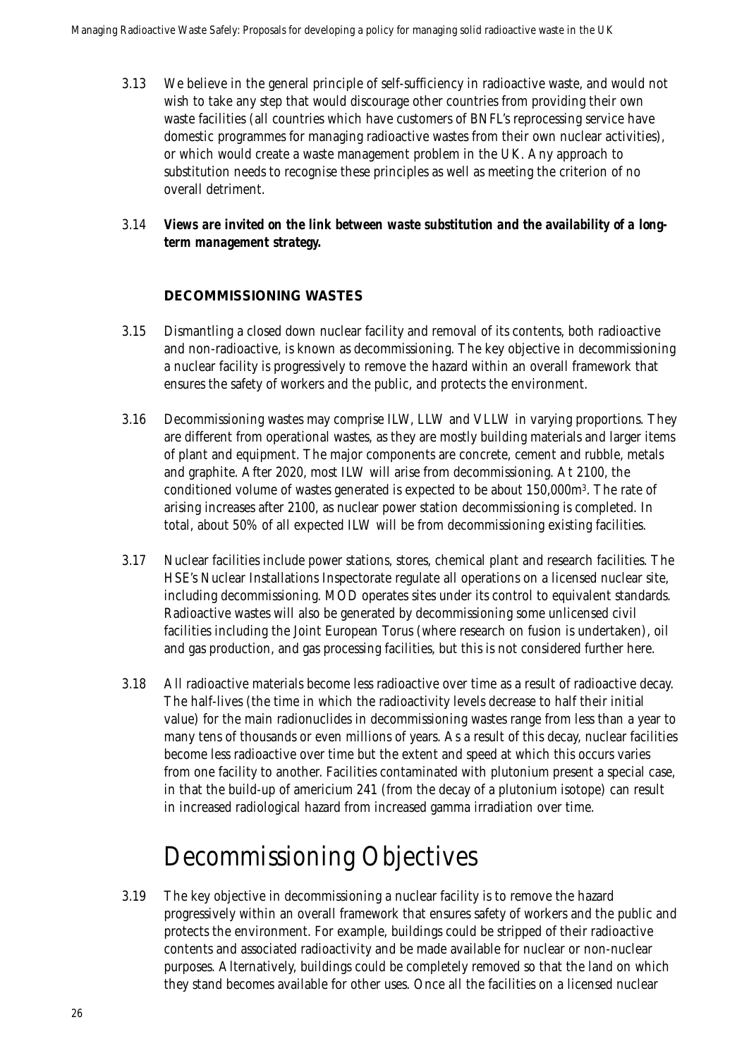- 3.13 We believe in the general principle of self-sufficiency in radioactive waste, and would not wish to take any step that would discourage other countries from providing their own waste facilities (all countries which have customers of BNFL's reprocessing service have domestic programmes for managing radioactive wastes from their own nuclear activities), or which would create a waste management problem in the UK. Any approach to substitution needs to recognise these principles as well as meeting the criterion of no overall detriment.
- 3.14 *Views are invited on the link between waste substitution and the availability of a longterm management strategy.*

### **DECOMMISSIONING WASTES**

- 3.15 Dismantling a closed down nuclear facility and removal of its contents, both radioactive and non-radioactive, is known as decommissioning. The key objective in decommissioning a nuclear facility is progressively to remove the hazard within an overall framework that ensures the safety of workers and the public, and protects the environment.
- 3.16 Decommissioning wastes may comprise ILW, LLW and VLLW in varying proportions. They are different from operational wastes, as they are mostly building materials and larger items of plant and equipment. The major components are concrete, cement and rubble, metals and graphite. After 2020, most ILW will arise from decommissioning. At 2100, the conditioned volume of wastes generated is expected to be about 150,000m3. The rate of arising increases after 2100, as nuclear power station decommissioning is completed. In total, about 50% of all expected ILW will be from decommissioning existing facilities.
- 3.17 Nuclear facilities include power stations, stores, chemical plant and research facilities. The HSE's Nuclear Installations Inspectorate regulate all operations on a licensed nuclear site, including decommissioning. MOD operates sites under its control to equivalent standards. Radioactive wastes will also be generated by decommissioning some unlicensed civil facilities including the Joint European Torus (where research on fusion is undertaken), oil and gas production, and gas processing facilities, but this is not considered further here.
- 3.18 All radioactive materials become less radioactive over time as a result of radioactive decay. The half-lives (the time in which the radioactivity levels decrease to half their initial value) for the main radionuclides in decommissioning wastes range from less than a year to many tens of thousands or even millions of years. As a result of this decay, nuclear facilities become less radioactive over time but the extent and speed at which this occurs varies from one facility to another. Facilities contaminated with plutonium present a special case, in that the build-up of americium 241 (from the decay of a plutonium isotope) can result in increased radiological hazard from increased gamma irradiation over time.

### Decommissioning Objectives

3.19 The key objective in decommissioning a nuclear facility is to remove the hazard progressively within an overall framework that ensures safety of workers and the public and protects the environment. For example, buildings could be stripped of their radioactive contents and associated radioactivity and be made available for nuclear or non-nuclear purposes. Alternatively, buildings could be completely removed so that the land on which they stand becomes available for other uses. Once all the facilities on a licensed nuclear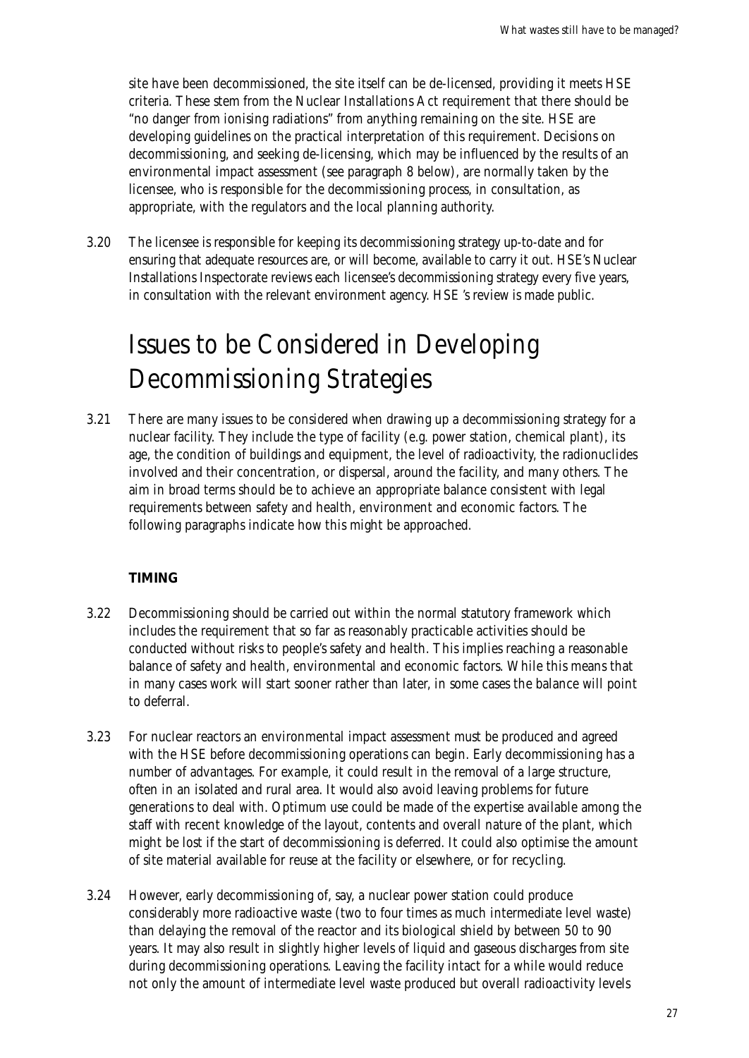site have been decommissioned, the site itself can be de-licensed, providing it meets HSE criteria. These stem from the Nuclear Installations Act requirement that there should be "no danger from ionising radiations" from anything remaining on the site. HSE are developing guidelines on the practical interpretation of this requirement. Decisions on decommissioning, and seeking de-licensing, which may be influenced by the results of an environmental impact assessment (see paragraph 8 below), are normally taken by the licensee, who is responsible for the decommissioning process, in consultation, as appropriate, with the regulators and the local planning authority.

3.20 The licensee is responsible for keeping its decommissioning strategy up-to-date and for ensuring that adequate resources are, or will become, available to carry it out. HSE's Nuclear Installations Inspectorate reviews each licensee's decommissioning strategy every five years, in consultation with the relevant environment agency. HSE 's review is made public.

### Issues to be Considered in Developing Decommissioning Strategies

3.21 There are many issues to be considered when drawing up a decommissioning strategy for a nuclear facility. They include the type of facility (e.g. power station, chemical plant), its age, the condition of buildings and equipment, the level of radioactivity, the radionuclides involved and their concentration, or dispersal, around the facility, and many others. The aim in broad terms should be to achieve an appropriate balance consistent with legal requirements between safety and health, environment and economic factors. The following paragraphs indicate how this might be approached.

#### **TIMING**

- 3.22 Decommissioning should be carried out within the normal statutory framework which includes the requirement that so far as reasonably practicable activities should be conducted without risks to people's safety and health. This implies reaching a reasonable balance of safety and health, environmental and economic factors. While this means that in many cases work will start sooner rather than later, in some cases the balance will point to deferral.
- 3.23 For nuclear reactors an environmental impact assessment must be produced and agreed with the HSE before decommissioning operations can begin. Early decommissioning has a number of advantages. For example, it could result in the removal of a large structure, often in an isolated and rural area. It would also avoid leaving problems for future generations to deal with. Optimum use could be made of the expertise available among the staff with recent knowledge of the layout, contents and overall nature of the plant, which might be lost if the start of decommissioning is deferred. It could also optimise the amount of site material available for reuse at the facility or elsewhere, or for recycling.
- 3.24 However, early decommissioning of, say, a nuclear power station could produce considerably more radioactive waste (two to four times as much intermediate level waste) than delaying the removal of the reactor and its biological shield by between 50 to 90 years. It may also result in slightly higher levels of liquid and gaseous discharges from site during decommissioning operations. Leaving the facility intact for a while would reduce not only the amount of intermediate level waste produced but overall radioactivity levels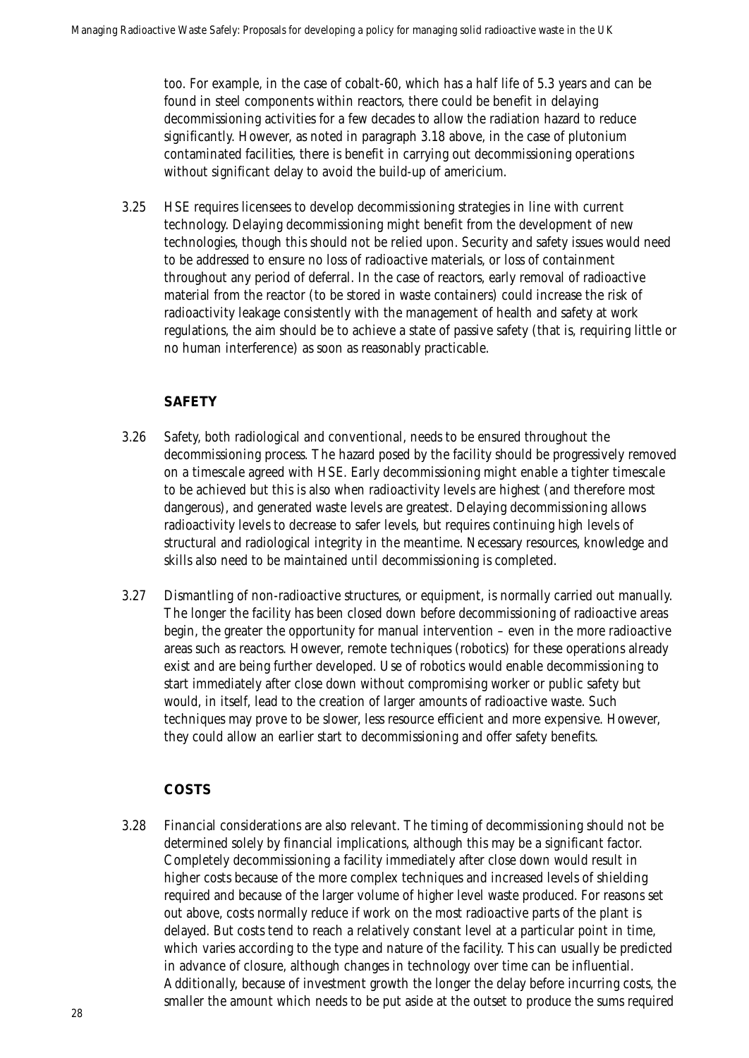too. For example, in the case of cobalt-60, which has a half life of 5.3 years and can be found in steel components within reactors, there could be benefit in delaying decommissioning activities for a few decades to allow the radiation hazard to reduce significantly. However, as noted in paragraph 3.18 above, in the case of plutonium contaminated facilities, there is benefit in carrying out decommissioning operations without significant delay to avoid the build-up of americium.

3.25 HSE requires licensees to develop decommissioning strategies in line with current technology. Delaying decommissioning might benefit from the development of new technologies, though this should not be relied upon. Security and safety issues would need to be addressed to ensure no loss of radioactive materials, or loss of containment throughout any period of deferral. In the case of reactors, early removal of radioactive material from the reactor (to be stored in waste containers) could increase the risk of radioactivity leakage consistently with the management of health and safety at work regulations, the aim should be to achieve a state of passive safety (that is, requiring little or no human interference) as soon as reasonably practicable.

### **SAFETY**

- 3.26 Safety, both radiological and conventional, needs to be ensured throughout the decommissioning process. The hazard posed by the facility should be progressively removed on a timescale agreed with HSE. Early decommissioning might enable a tighter timescale to be achieved but this is also when radioactivity levels are highest (and therefore most dangerous), and generated waste levels are greatest. Delaying decommissioning allows radioactivity levels to decrease to safer levels, but requires continuing high levels of structural and radiological integrity in the meantime. Necessary resources, knowledge and skills also need to be maintained until decommissioning is completed.
- 3.27 Dismantling of non-radioactive structures, or equipment, is normally carried out manually. The longer the facility has been closed down before decommissioning of radioactive areas begin, the greater the opportunity for manual intervention – even in the more radioactive areas such as reactors. However, remote techniques (robotics) for these operations already exist and are being further developed. Use of robotics would enable decommissioning to start immediately after close down without compromising worker or public safety but would, in itself, lead to the creation of larger amounts of radioactive waste. Such techniques may prove to be slower, less resource efficient and more expensive. However, they could allow an earlier start to decommissioning and offer safety benefits.

### **COSTS**

3.28 Financial considerations are also relevant. The timing of decommissioning should not be determined solely by financial implications, although this may be a significant factor. Completely decommissioning a facility immediately after close down would result in higher costs because of the more complex techniques and increased levels of shielding required and because of the larger volume of higher level waste produced. For reasons set out above, costs normally reduce if work on the most radioactive parts of the plant is delayed. But costs tend to reach a relatively constant level at a particular point in time, which varies according to the type and nature of the facility. This can usually be predicted in advance of closure, although changes in technology over time can be influential. Additionally, because of investment growth the longer the delay before incurring costs, the smaller the amount which needs to be put aside at the outset to produce the sums required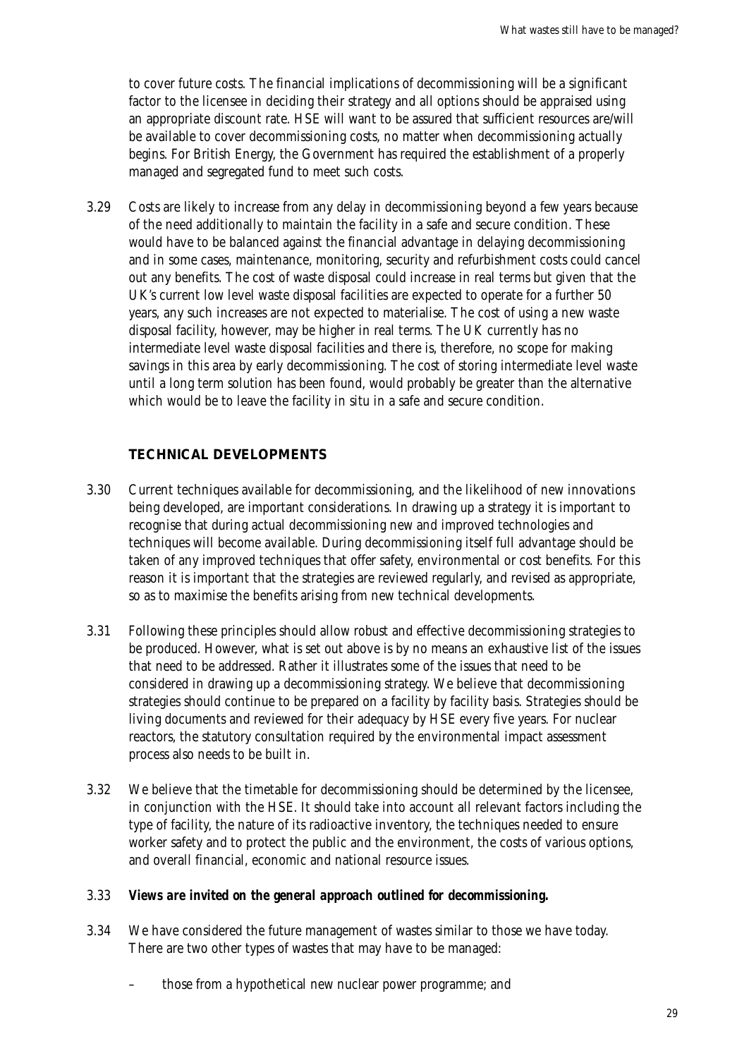to cover future costs. The financial implications of decommissioning will be a significant factor to the licensee in deciding their strategy and all options should be appraised using an appropriate discount rate. HSE will want to be assured that sufficient resources are/will be available to cover decommissioning costs, no matter when decommissioning actually begins. For British Energy, the Government has required the establishment of a properly managed and segregated fund to meet such costs.

3.29 Costs are likely to increase from any delay in decommissioning beyond a few years because of the need additionally to maintain the facility in a safe and secure condition. These would have to be balanced against the financial advantage in delaying decommissioning and in some cases, maintenance, monitoring, security and refurbishment costs could cancel out any benefits. The cost of waste disposal could increase in real terms but given that the UK's current low level waste disposal facilities are expected to operate for a further 50 years, any such increases are not expected to materialise. The cost of using a new waste disposal facility, however, may be higher in real terms. The UK currently has no intermediate level waste disposal facilities and there is, therefore, no scope for making savings in this area by early decommissioning. The cost of storing intermediate level waste until a long term solution has been found, would probably be greater than the alternative which would be to leave the facility in situ in a safe and secure condition.

#### **TECHNICAL DEVELOPMENTS**

- 3.30 Current techniques available for decommissioning, and the likelihood of new innovations being developed, are important considerations. In drawing up a strategy it is important to recognise that during actual decommissioning new and improved technologies and techniques will become available. During decommissioning itself full advantage should be taken of any improved techniques that offer safety, environmental or cost benefits. For this reason it is important that the strategies are reviewed regularly, and revised as appropriate, so as to maximise the benefits arising from new technical developments.
- 3.31 Following these principles should allow robust and effective decommissioning strategies to be produced. However, what is set out above is by no means an exhaustive list of the issues that need to be addressed. Rather it illustrates some of the issues that need to be considered in drawing up a decommissioning strategy. We believe that decommissioning strategies should continue to be prepared on a facility by facility basis. Strategies should be living documents and reviewed for their adequacy by HSE every five years. For nuclear reactors, the statutory consultation required by the environmental impact assessment process also needs to be built in.
- 3.32 We believe that the timetable for decommissioning should be determined by the licensee, in conjunction with the HSE. It should take into account all relevant factors including the type of facility, the nature of its radioactive inventory, the techniques needed to ensure worker safety and to protect the public and the environment, the costs of various options, and overall financial, economic and national resource issues.

#### 3.33 *Views are invited on the general approach outlined for decommissioning.*

- 3.34 We have considered the future management of wastes similar to those we have today. There are two other types of wastes that may have to be managed:
	- those from a hypothetical new nuclear power programme; and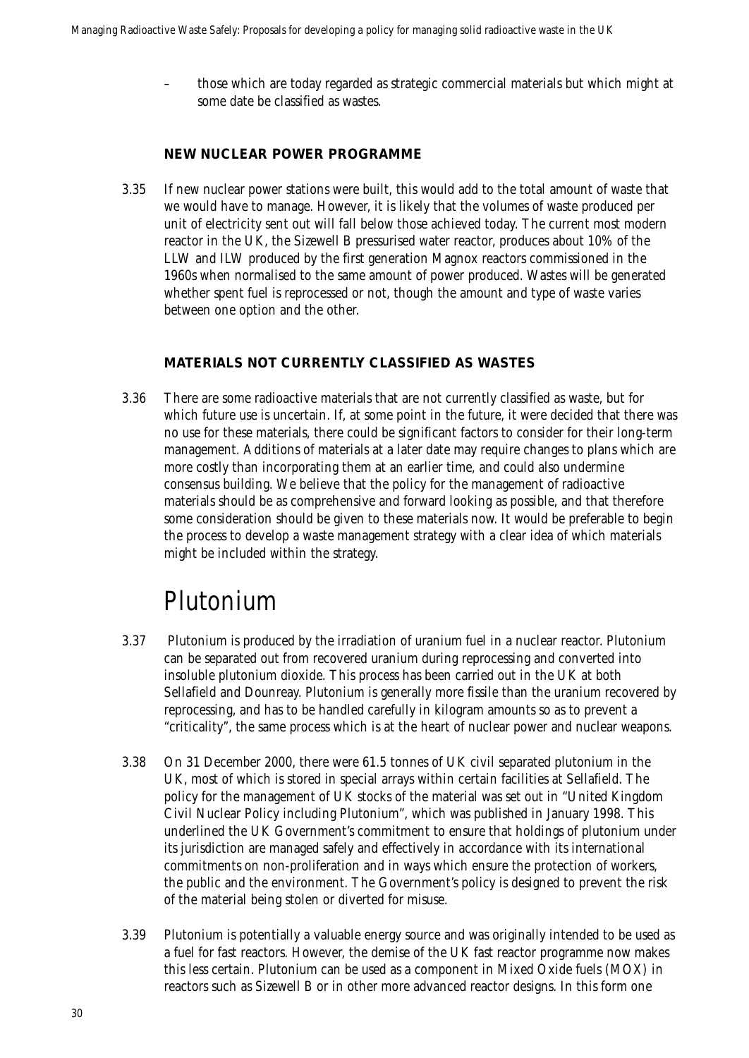– those which are today regarded as strategic commercial materials but which might at some date be classified as wastes.

#### **NEW NUCLEAR POWER PROGRAMME**

3.35 If new nuclear power stations were built, this would add to the total amount of waste that we would have to manage. However, it is likely that the volumes of waste produced per unit of electricity sent out will fall below those achieved today. The current most modern reactor in the UK, the Sizewell B pressurised water reactor, produces about 10% of the LLW and ILW produced by the first generation Magnox reactors commissioned in the 1960s when normalised to the same amount of power produced. Wastes will be generated whether spent fuel is reprocessed or not, though the amount and type of waste varies between one option and the other.

#### **MATERIALS NOT CURRENTLY CLASSIFIED AS WASTES**

3.36 There are some radioactive materials that are not currently classified as waste, but for which future use is uncertain. If, at some point in the future, it were decided that there was no use for these materials, there could be significant factors to consider for their long-term management. Additions of materials at a later date may require changes to plans which are more costly than incorporating them at an earlier time, and could also undermine consensus building. We believe that the policy for the management of radioactive materials should be as comprehensive and forward looking as possible, and that therefore some consideration should be given to these materials now. It would be preferable to begin the process to develop a waste management strategy with a clear idea of which materials might be included within the strategy.

### Plutonium

- 3.37 Plutonium is produced by the irradiation of uranium fuel in a nuclear reactor. Plutonium can be separated out from recovered uranium during reprocessing and converted into insoluble plutonium dioxide. This process has been carried out in the UK at both Sellafield and Dounreay. Plutonium is generally more fissile than the uranium recovered by reprocessing, and has to be handled carefully in kilogram amounts so as to prevent a "criticality", the same process which is at the heart of nuclear power and nuclear weapons.
- 3.38 On 31 December 2000, there were 61.5 tonnes of UK civil separated plutonium in the UK, most of which is stored in special arrays within certain facilities at Sellafield. The policy for the management of UK stocks of the material was set out in "United Kingdom Civil Nuclear Policy including Plutonium", which was published in January 1998. This underlined the UK Government's commitment to ensure that holdings of plutonium under its jurisdiction are managed safely and effectively in accordance with its international commitments on non-proliferation and in ways which ensure the protection of workers, the public and the environment. The Government's policy is designed to prevent the risk of the material being stolen or diverted for misuse.
- 3.39 Plutonium is potentially a valuable energy source and was originally intended to be used as a fuel for fast reactors. However, the demise of the UK fast reactor programme now makes this less certain. Plutonium can be used as a component in Mixed Oxide fuels (MOX) in reactors such as Sizewell B or in other more advanced reactor designs. In this form one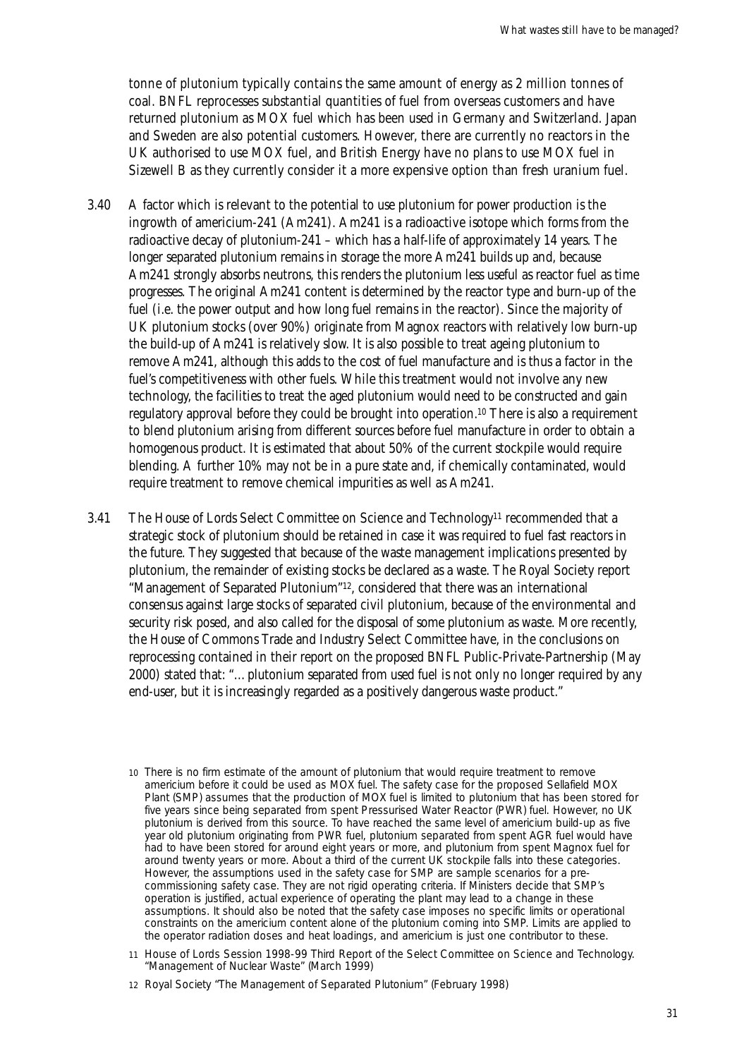tonne of plutonium typically contains the same amount of energy as 2 million tonnes of coal. BNFL reprocesses substantial quantities of fuel from overseas customers and have returned plutonium as MOX fuel which has been used in Germany and Switzerland. Japan and Sweden are also potential customers. However, there are currently no reactors in the UK authorised to use MOX fuel, and British Energy have no plans to use MOX fuel in Sizewell B as they currently consider it a more expensive option than fresh uranium fuel.

- 3.40 A factor which is relevant to the potential to use plutonium for power production is the ingrowth of americium-241 (Am241). Am241 is a radioactive isotope which forms from the radioactive decay of plutonium-241 – which has a half-life of approximately 14 years. The longer separated plutonium remains in storage the more Am241 builds up and, because Am241 strongly absorbs neutrons, this renders the plutonium less useful as reactor fuel as time progresses. The original Am241 content is determined by the reactor type and burn-up of the fuel (i.e. the power output and how long fuel remains in the reactor). Since the majority of UK plutonium stocks (over 90%) originate from Magnox reactors with relatively low burn-up the build-up of Am241 is relatively slow. It is also possible to treat ageing plutonium to remove Am241, although this adds to the cost of fuel manufacture and is thus a factor in the fuel's competitiveness with other fuels. While this treatment would not involve any new technology, the facilities to treat the aged plutonium would need to be constructed and gain regulatory approval before they could be brought into operation.10 There is also a requirement to blend plutonium arising from different sources before fuel manufacture in order to obtain a homogenous product. It is estimated that about 50% of the current stockpile would require blending. A further 10% may not be in a pure state and, if chemically contaminated, would require treatment to remove chemical impurities as well as Am241.
- 3.41 The House of Lords Select Committee on Science and Technology<sup>11</sup> recommended that a strategic stock of plutonium should be retained in case it was required to fuel fast reactors in the future. They suggested that because of the waste management implications presented by plutonium, the remainder of existing stocks be declared as a waste. The Royal Society report "Management of Separated Plutonium"12, considered that there was an international consensus against large stocks of separated civil plutonium, because of the environmental and security risk posed, and also called for the disposal of some plutonium as waste. More recently, the House of Commons Trade and Industry Select Committee have, in the conclusions on reprocessing contained in their report on the proposed BNFL Public-Private-Partnership (May 2000) stated that: "…plutonium separated from used fuel is not only no longer required by any end-user, but it is increasingly regarded as a positively dangerous waste product."
	- 10 There is no firm estimate of the amount of plutonium that would require treatment to remove americium before it could be used as MOX fuel. The safety case for the proposed Sellafield MOX Plant (SMP) assumes that the production of MOX fuel is limited to plutonium that has been stored for five years since being separated from spent Pressurised Water Reactor (PWR) fuel. However, no UK plutonium is derived from this source. To have reached the same level of americium build-up as five year old plutonium originating from PWR fuel, plutonium separated from spent AGR fuel would have had to have been stored for around eight years or more, and plutonium from spent Magnox fuel for around twenty years or more. About a third of the current UK stockpile falls into these categories. However, the assumptions used in the safety case for SMP are sample scenarios for a precommissioning safety case. They are not rigid operating criteria. If Ministers decide that SMP's operation is justified, actual experience of operating the plant may lead to a change in these assumptions. It should also be noted that the safety case imposes no specific limits or operational constraints on the americium content alone of the plutonium coming into SMP. Limits are applied to the operator radiation doses and heat loadings, and americium is just one contributor to these.
	- 11 House of Lords Session 1998-99 Third Report of the Select Committee on Science and Technology. "Management of Nuclear Waste" (March 1999)
	- 12 Royal Society "The Management of Separated Plutonium" (February 1998)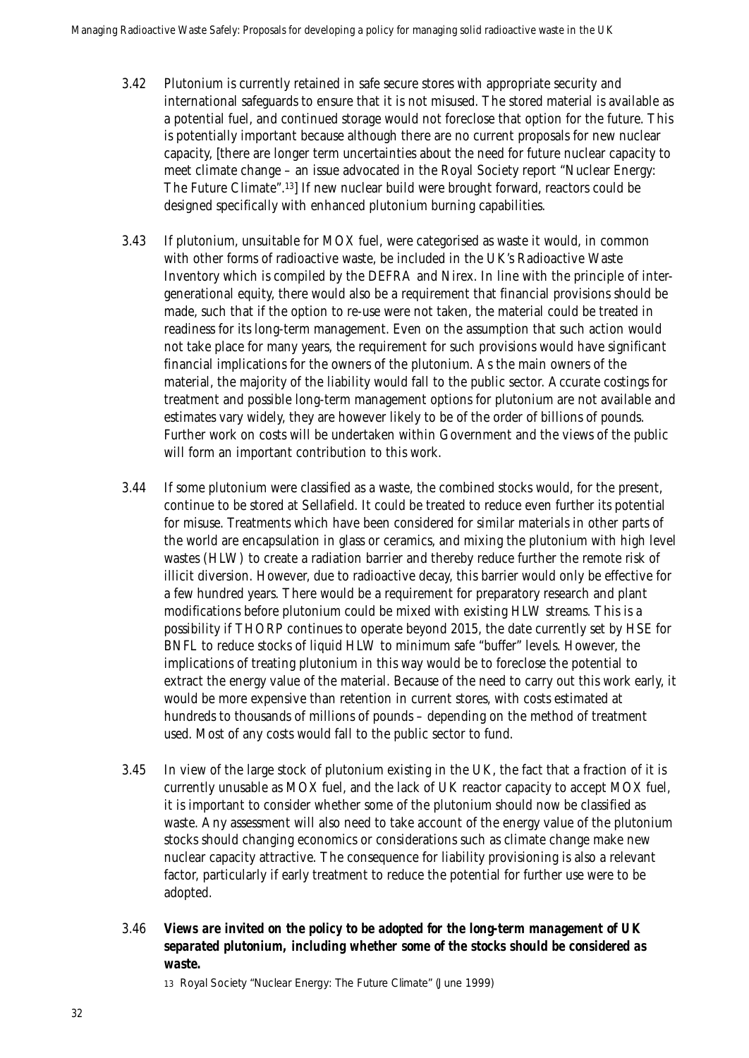- 3.42 Plutonium is currently retained in safe secure stores with appropriate security and international safeguards to ensure that it is not misused. The stored material is available as a potential fuel, and continued storage would not foreclose that option for the future. This is potentially important because although there are no current proposals for new nuclear capacity, [there are longer term uncertainties about the need for future nuclear capacity to meet climate change – an issue advocated in the Royal Society report "Nuclear Energy: The Future Climate".13] If new nuclear build were brought forward, reactors could be designed specifically with enhanced plutonium burning capabilities.
- 3.43 If plutonium, unsuitable for MOX fuel, were categorised as waste it would, in common with other forms of radioactive waste, be included in the UK's Radioactive Waste Inventory which is compiled by the DEFRA and Nirex. In line with the principle of intergenerational equity, there would also be a requirement that financial provisions should be made, such that if the option to re-use were not taken, the material could be treated in readiness for its long-term management. Even on the assumption that such action would not take place for many years, the requirement for such provisions would have significant financial implications for the owners of the plutonium. As the main owners of the material, the majority of the liability would fall to the public sector. Accurate costings for treatment and possible long-term management options for plutonium are not available and estimates vary widely, they are however likely to be of the order of billions of pounds. Further work on costs will be undertaken within Government and the views of the public will form an important contribution to this work.
- 3.44 If some plutonium were classified as a waste, the combined stocks would, for the present, continue to be stored at Sellafield. It could be treated to reduce even further its potential for misuse. Treatments which have been considered for similar materials in other parts of the world are encapsulation in glass or ceramics, and mixing the plutonium with high level wastes (HLW) to create a radiation barrier and thereby reduce further the remote risk of illicit diversion. However, due to radioactive decay, this barrier would only be effective for a few hundred years. There would be a requirement for preparatory research and plant modifications before plutonium could be mixed with existing HLW streams. This is a possibility if THORP continues to operate beyond 2015, the date currently set by HSE for BNFL to reduce stocks of liquid HLW to minimum safe "buffer" levels. However, the implications of treating plutonium in this way would be to foreclose the potential to extract the energy value of the material. Because of the need to carry out this work early, it would be more expensive than retention in current stores, with costs estimated at hundreds to thousands of millions of pounds – depending on the method of treatment used. Most of any costs would fall to the public sector to fund.
- 3.45 In view of the large stock of plutonium existing in the UK, the fact that a fraction of it is currently unusable as MOX fuel, and the lack of UK reactor capacity to accept MOX fuel, it is important to consider whether some of the plutonium should now be classified as waste. Any assessment will also need to take account of the energy value of the plutonium stocks should changing economics or considerations such as climate change make new nuclear capacity attractive. The consequence for liability provisioning is also a relevant factor, particularly if early treatment to reduce the potential for further use were to be adopted.
- 3.46 *Views are invited on the policy to be adopted for the long-term management of UK separated plutonium, including whether some of the stocks should be considered as waste.*

13 Royal Society "Nuclear Energy: The Future Climate" (June 1999)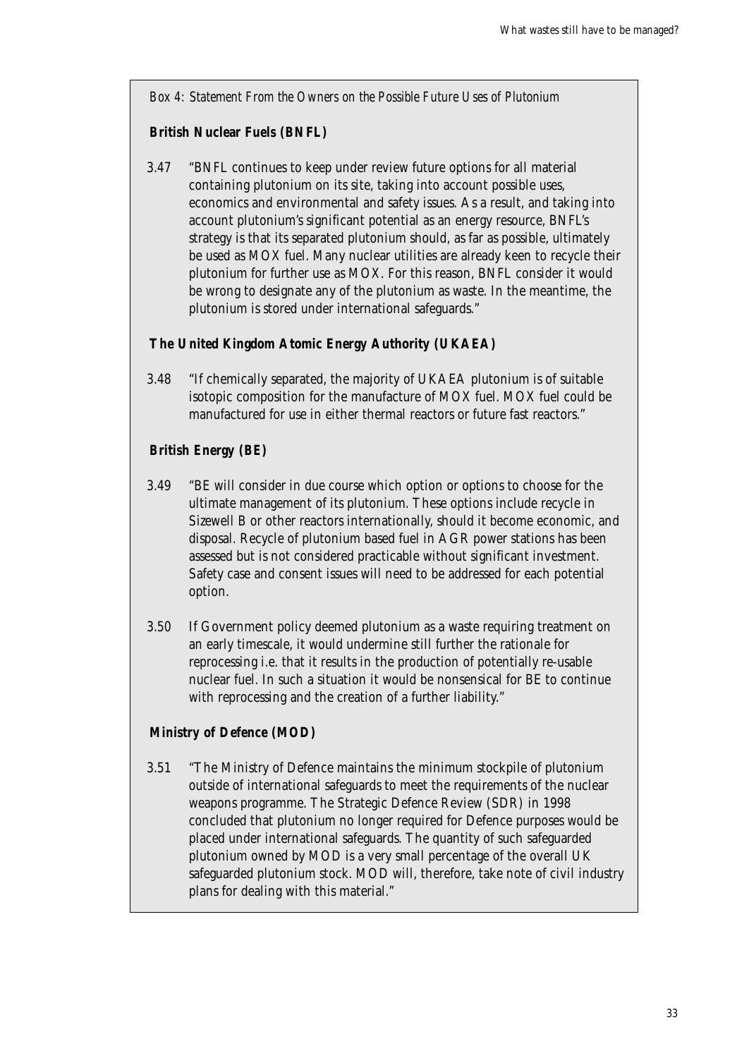*Box 4: Statement From the Owners on the Possible Future Uses of Plutonium*

### **British Nuclear Fuels (BNFL)**

3.47 "BNFL continues to keep under review future options for all material containing plutonium on its site, taking into account possible uses, economics and environmental and safety issues. As a result, and taking into account plutonium's significant potential as an energy resource, BNFL's strategy is that its separated plutonium should, as far as possible, ultimately be used as MOX fuel. Many nuclear utilities are already keen to recycle their plutonium for further use as MOX. For this reason, BNFL consider it would be wrong to designate any of the plutonium as waste. In the meantime, the plutonium is stored under international safeguards."

### **The United Kingdom Atomic Energy Authority (UKAEA)**

3.48 "If chemically separated, the majority of UKAEA plutonium is of suitable isotopic composition for the manufacture of MOX fuel. MOX fuel could be manufactured for use in either thermal reactors or future fast reactors."

### **British Energy (BE)**

- 3.49 "BE will consider in due course which option or options to choose for the ultimate management of its plutonium. These options include recycle in Sizewell B or other reactors internationally, should it become economic, and disposal. Recycle of plutonium based fuel in AGR power stations has been assessed but is not considered practicable without significant investment. Safety case and consent issues will need to be addressed for each potential option.
- 3.50 If Government policy deemed plutonium as a waste requiring treatment on an early timescale, it would undermine still further the rationale for reprocessing i.e. that it results in the production of potentially re-usable nuclear fuel. In such a situation it would be nonsensical for BE to continue with reprocessing and the creation of a further liability."

### **Ministry of Defence (MOD)**

3.51 "The Ministry of Defence maintains the minimum stockpile of plutonium outside of international safeguards to meet the requirements of the nuclear weapons programme. The Strategic Defence Review (SDR) in 1998 concluded that plutonium no longer required for Defence purposes would be placed under international safeguards. The quantity of such safeguarded plutonium owned by MOD is a very small percentage of the overall UK safeguarded plutonium stock. MOD will, therefore, take note of civil industry plans for dealing with this material."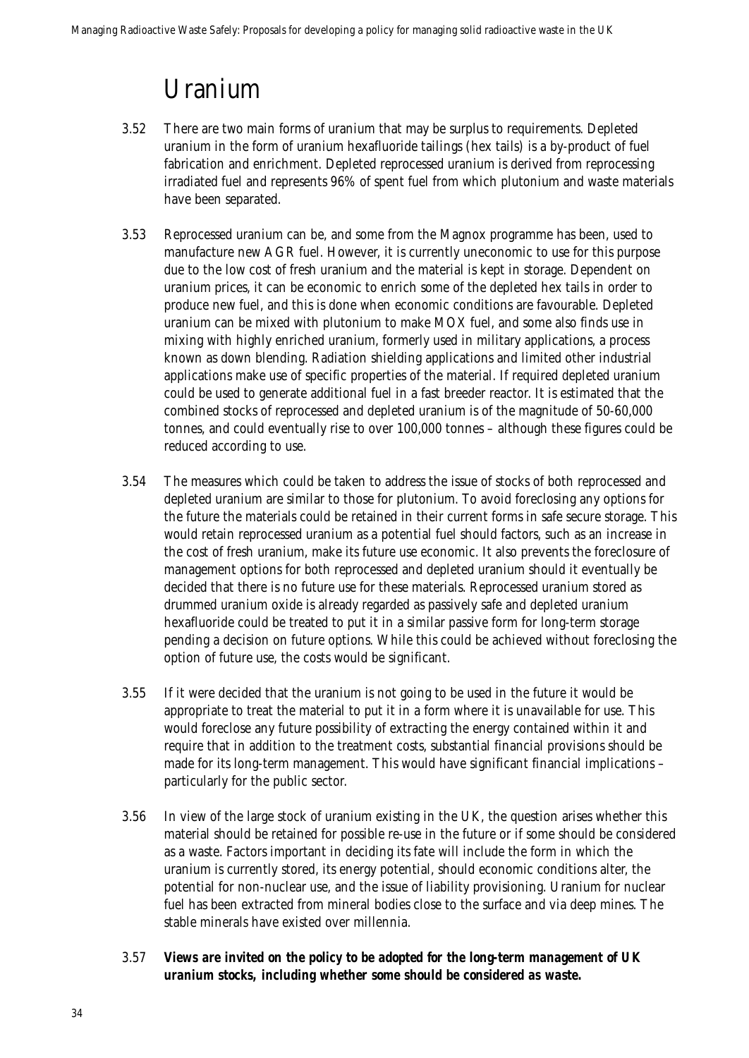### Uranium

- 3.52 There are two main forms of uranium that may be surplus to requirements. Depleted uranium in the form of uranium hexafluoride tailings (hex tails) is a by-product of fuel fabrication and enrichment. Depleted reprocessed uranium is derived from reprocessing irradiated fuel and represents 96% of spent fuel from which plutonium and waste materials have been separated.
- 3.53 Reprocessed uranium can be, and some from the Magnox programme has been, used to manufacture new AGR fuel. However, it is currently uneconomic to use for this purpose due to the low cost of fresh uranium and the material is kept in storage. Dependent on uranium prices, it can be economic to enrich some of the depleted hex tails in order to produce new fuel, and this is done when economic conditions are favourable. Depleted uranium can be mixed with plutonium to make MOX fuel, and some also finds use in mixing with highly enriched uranium, formerly used in military applications, a process known as down blending. Radiation shielding applications and limited other industrial applications make use of specific properties of the material. If required depleted uranium could be used to generate additional fuel in a fast breeder reactor. It is estimated that the combined stocks of reprocessed and depleted uranium is of the magnitude of 50-60,000 tonnes, and could eventually rise to over 100,000 tonnes – although these figures could be reduced according to use.
- 3.54 The measures which could be taken to address the issue of stocks of both reprocessed and depleted uranium are similar to those for plutonium. To avoid foreclosing any options for the future the materials could be retained in their current forms in safe secure storage. This would retain reprocessed uranium as a potential fuel should factors, such as an increase in the cost of fresh uranium, make its future use economic. It also prevents the foreclosure of management options for both reprocessed and depleted uranium should it eventually be decided that there is no future use for these materials. Reprocessed uranium stored as drummed uranium oxide is already regarded as passively safe and depleted uranium hexafluoride could be treated to put it in a similar passive form for long-term storage pending a decision on future options. While this could be achieved without foreclosing the option of future use, the costs would be significant.
- 3.55 If it were decided that the uranium is not going to be used in the future it would be appropriate to treat the material to put it in a form where it is unavailable for use. This would foreclose any future possibility of extracting the energy contained within it and require that in addition to the treatment costs, substantial financial provisions should be made for its long-term management. This would have significant financial implications – particularly for the public sector.
- 3.56 In view of the large stock of uranium existing in the UK, the question arises whether this material should be retained for possible re-use in the future or if some should be considered as a waste. Factors important in deciding its fate will include the form in which the uranium is currently stored, its energy potential, should economic conditions alter, the potential for non-nuclear use, and the issue of liability provisioning. Uranium for nuclear fuel has been extracted from mineral bodies close to the surface and via deep mines. The stable minerals have existed over millennia.
- 3.57 *Views are invited on the policy to be adopted for the long-term management of UK uranium stocks, including whether some should be considered as waste.*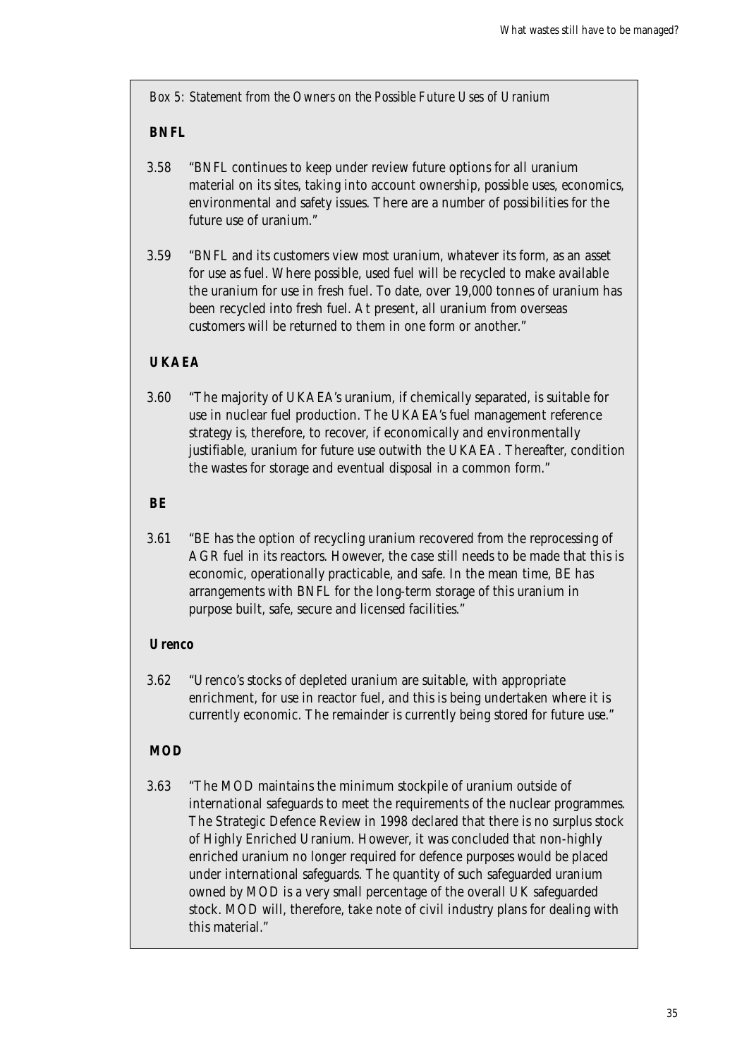*Box 5: Statement from the Owners on the Possible Future Uses of Uranium*

### **BNFL**

- 3.58 "BNFL continues to keep under review future options for all uranium material on its sites, taking into account ownership, possible uses, economics, environmental and safety issues. There are a number of possibilities for the future use of uranium."
- 3.59 "BNFL and its customers view most uranium, whatever its form, as an asset for use as fuel. Where possible, used fuel will be recycled to make available the uranium for use in fresh fuel. To date, over 19,000 tonnes of uranium has been recycled into fresh fuel. At present, all uranium from overseas customers will be returned to them in one form or another."

### **UKAEA**

3.60 "The majority of UKAEA's uranium, if chemically separated, is suitable for use in nuclear fuel production. The UKAEA's fuel management reference strategy is, therefore, to recover, if economically and environmentally justifiable, uranium for future use outwith the UKAEA. Thereafter, condition the wastes for storage and eventual disposal in a common form."

#### **BE**

3.61 "BE has the option of recycling uranium recovered from the reprocessing of AGR fuel in its reactors. However, the case still needs to be made that this is economic, operationally practicable, and safe. In the mean time, BE has arrangements with BNFL for the long-term storage of this uranium in purpose built, safe, secure and licensed facilities."

### **Urenco**

3.62 "Urenco's stocks of depleted uranium are suitable, with appropriate enrichment, for use in reactor fuel, and this is being undertaken where it is currently economic. The remainder is currently being stored for future use."

### **MOD**

3.63 "The MOD maintains the minimum stockpile of uranium outside of international safeguards to meet the requirements of the nuclear programmes. The Strategic Defence Review in 1998 declared that there is no surplus stock of Highly Enriched Uranium. However, it was concluded that non-highly enriched uranium no longer required for defence purposes would be placed under international safeguards. The quantity of such safeguarded uranium owned by MOD is a very small percentage of the overall UK safeguarded stock. MOD will, therefore, take note of civil industry plans for dealing with this material."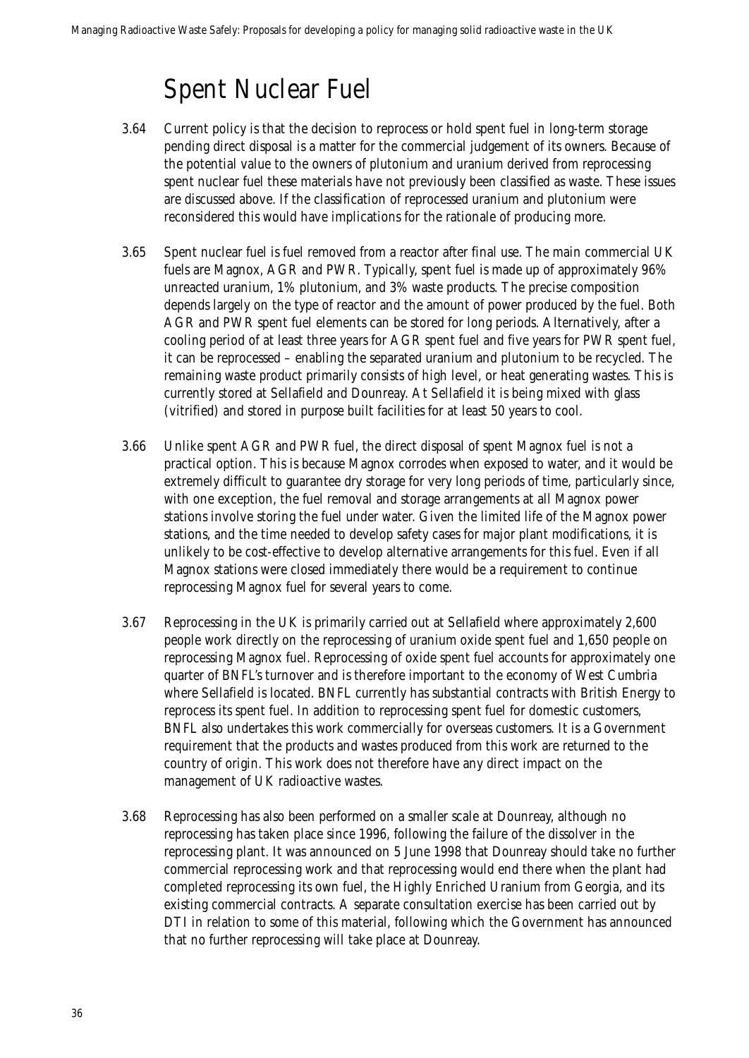### Spent Nuclear Fuel

- 3.64 Current policy is that the decision to reprocess or hold spent fuel in long-term storage pending direct disposal is a matter for the commercial judgement of its owners. Because of the potential value to the owners of plutonium and uranium derived from reprocessing spent nuclear fuel these materials have not previously been classified as waste. These issues are discussed above. If the classification of reprocessed uranium and plutonium were reconsidered this would have implications for the rationale of producing more.
- 3.65 Spent nuclear fuel is fuel removed from a reactor after final use. The main commercial UK fuels are Magnox, AGR and PWR. Typically, spent fuel is made up of approximately 96% unreacted uranium, 1% plutonium, and 3% waste products. The precise composition depends largely on the type of reactor and the amount of power produced by the fuel. Both AGR and PWR spent fuel elements can be stored for long periods. Alternatively, after a cooling period of at least three years for AGR spent fuel and five years for PWR spent fuel, it can be reprocessed – enabling the separated uranium and plutonium to be recycled. The remaining waste product primarily consists of high level, or heat generating wastes. This is currently stored at Sellafield and Dounreay. At Sellafield it is being mixed with glass (vitrified) and stored in purpose built facilities for at least 50 years to cool.
- 3.66 Unlike spent AGR and PWR fuel, the direct disposal of spent Magnox fuel is not a practical option. This is because Magnox corrodes when exposed to water, and it would be extremely difficult to guarantee dry storage for very long periods of time, particularly since, with one exception, the fuel removal and storage arrangements at all Magnox power stations involve storing the fuel under water. Given the limited life of the Magnox power stations, and the time needed to develop safety cases for major plant modifications, it is unlikely to be cost-effective to develop alternative arrangements for this fuel. Even if all Magnox stations were closed immediately there would be a requirement to continue reprocessing Magnox fuel for several years to come.
- 3.67 Reprocessing in the UK is primarily carried out at Sellafield where approximately 2,600 people work directly on the reprocessing of uranium oxide spent fuel and 1,650 people on reprocessing Magnox fuel. Reprocessing of oxide spent fuel accounts for approximately one quarter of BNFL's turnover and is therefore important to the economy of West Cumbria where Sellafield is located. BNFL currently has substantial contracts with British Energy to reprocess its spent fuel. In addition to reprocessing spent fuel for domestic customers, BNFL also undertakes this work commercially for overseas customers. It is a Government requirement that the products and wastes produced from this work are returned to the country of origin. This work does not therefore have any direct impact on the management of UK radioactive wastes.
- 3.68 Reprocessing has also been performed on a smaller scale at Dounreay, although no reprocessing has taken place since 1996, following the failure of the dissolver in the reprocessing plant. It was announced on 5 June 1998 that Dounreay should take no further commercial reprocessing work and that reprocessing would end there when the plant had completed reprocessing its own fuel, the Highly Enriched Uranium from Georgia, and its existing commercial contracts. A separate consultation exercise has been carried out by DTI in relation to some of this material, following which the Government has announced that no further reprocessing will take place at Dounreay.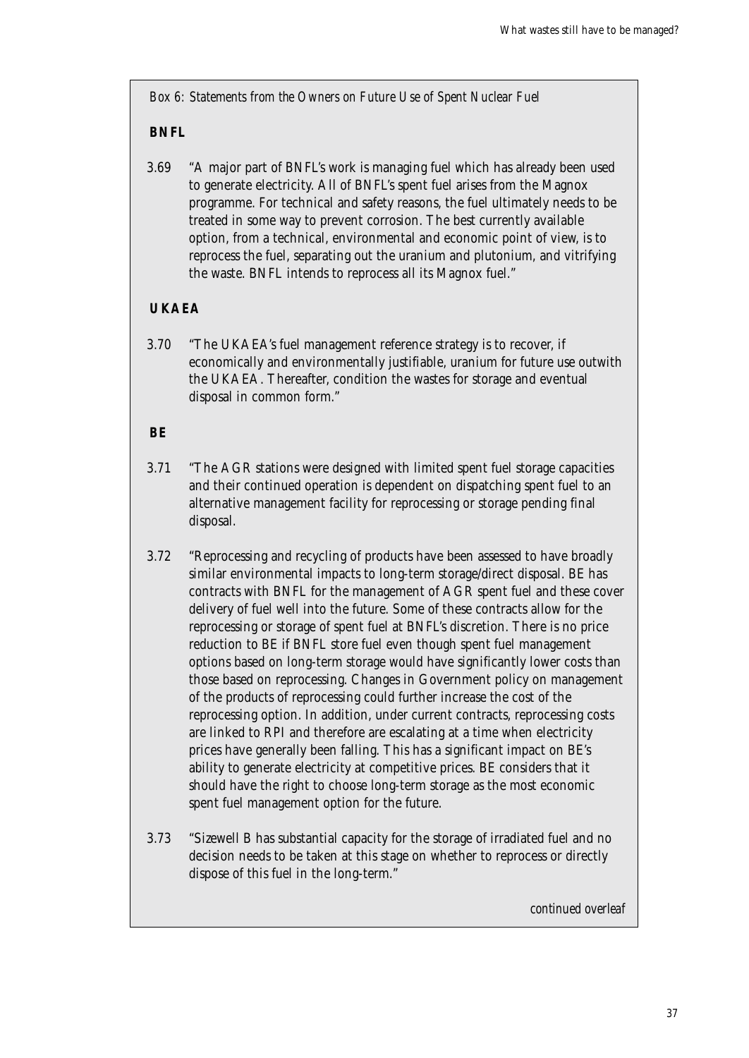*Box 6: Statements from the Owners on Future Use of Spent Nuclear Fuel*

### **BNFL**

3.69 "A major part of BNFL's work is managing fuel which has already been used to generate electricity. All of BNFL's spent fuel arises from the Magnox programme. For technical and safety reasons, the fuel ultimately needs to be treated in some way to prevent corrosion. The best currently available option, from a technical, environmental and economic point of view, is to reprocess the fuel, separating out the uranium and plutonium, and vitrifying the waste. BNFL intends to reprocess all its Magnox fuel."

### **UKAEA**

3.70 "The UKAEA's fuel management reference strategy is to recover, if economically and environmentally justifiable, uranium for future use outwith the UKAEA. Thereafter, condition the wastes for storage and eventual disposal in common form."

### **BE**

- 3.71 "The AGR stations were designed with limited spent fuel storage capacities and their continued operation is dependent on dispatching spent fuel to an alternative management facility for reprocessing or storage pending final disposal.
- 3.72 "Reprocessing and recycling of products have been assessed to have broadly similar environmental impacts to long-term storage/direct disposal. BE has contracts with BNFL for the management of AGR spent fuel and these cover delivery of fuel well into the future. Some of these contracts allow for the reprocessing or storage of spent fuel at BNFL's discretion. There is no price reduction to BE if BNFL store fuel even though spent fuel management options based on long-term storage would have significantly lower costs than those based on reprocessing. Changes in Government policy on management of the products of reprocessing could further increase the cost of the reprocessing option. In addition, under current contracts, reprocessing costs are linked to RPI and therefore are escalating at a time when electricity prices have generally been falling. This has a significant impact on BE's ability to generate electricity at competitive prices. BE considers that it should have the right to choose long-term storage as the most economic spent fuel management option for the future.
- 3.73 "Sizewell B has substantial capacity for the storage of irradiated fuel and no decision needs to be taken at this stage on whether to reprocess or directly dispose of this fuel in the long-term."

*continued overleaf*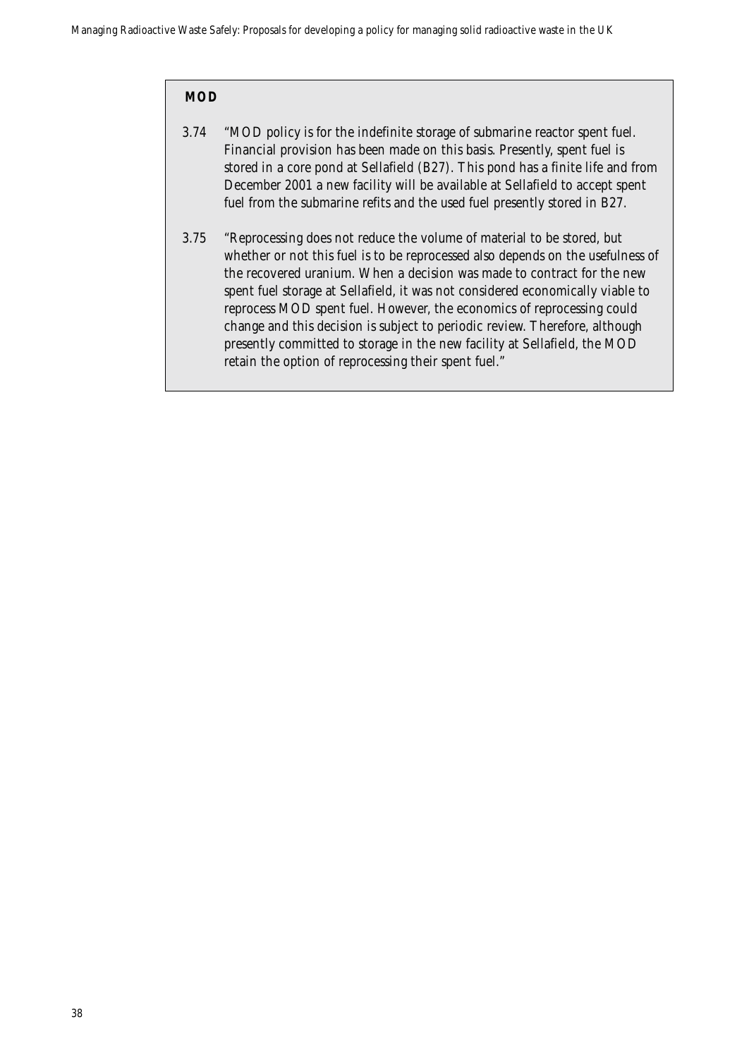### **MOD**

- 3.74 "MOD policy is for the indefinite storage of submarine reactor spent fuel. Financial provision has been made on this basis. Presently, spent fuel is stored in a core pond at Sellafield (B27). This pond has a finite life and from December 2001 a new facility will be available at Sellafield to accept spent fuel from the submarine refits and the used fuel presently stored in B27.
- 3.75 "Reprocessing does not reduce the volume of material to be stored, but whether or not this fuel is to be reprocessed also depends on the usefulness of the recovered uranium. When a decision was made to contract for the new spent fuel storage at Sellafield, it was not considered economically viable to reprocess MOD spent fuel. However, the economics of reprocessing could change and this decision is subject to periodic review. Therefore, although presently committed to storage in the new facility at Sellafield, the MOD retain the option of reprocessing their spent fuel."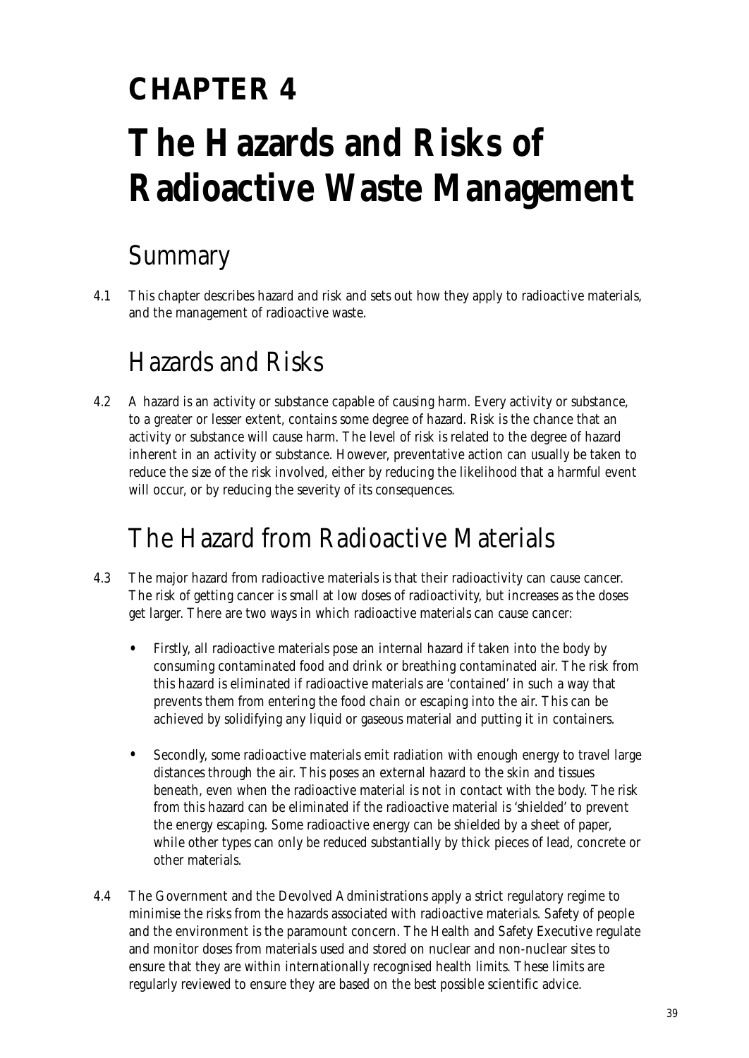## **CHAPTER 4 The Hazards and Risks of Radioactive Waste Management**

## Summary

4.1 This chapter describes hazard and risk and sets out how they apply to radioactive materials, and the management of radioactive waste.

## Hazards and Risks

4.2 A hazard is an activity or substance capable of causing harm. Every activity or substance, to a greater or lesser extent, contains some degree of hazard. Risk is the chance that an activity or substance will cause harm. The level of risk is related to the degree of hazard inherent in an activity or substance. However, preventative action can usually be taken to reduce the size of the risk involved, either by reducing the likelihood that a harmful event will occur, or by reducing the severity of its consequences.

## The Hazard from Radioactive Materials

- 4.3 The major hazard from radioactive materials is that their radioactivity can cause cancer. The risk of getting cancer is small at low doses of radioactivity, but increases as the doses get larger. There are two ways in which radioactive materials can cause cancer:
	- Firstly, all radioactive materials pose an internal hazard if taken into the body by consuming contaminated food and drink or breathing contaminated air. The risk from this hazard is eliminated if radioactive materials are 'contained' in such a way that prevents them from entering the food chain or escaping into the air. This can be achieved by solidifying any liquid or gaseous material and putting it in containers.
	- Secondly, some radioactive materials emit radiation with enough energy to travel large distances through the air. This poses an external hazard to the skin and tissues beneath, even when the radioactive material is not in contact with the body. The risk from this hazard can be eliminated if the radioactive material is 'shielded' to prevent the energy escaping. Some radioactive energy can be shielded by a sheet of paper, while other types can only be reduced substantially by thick pieces of lead, concrete or other materials.
- 4.4 The Government and the Devolved Administrations apply a strict regulatory regime to minimise the risks from the hazards associated with radioactive materials. Safety of people and the environment is the paramount concern. The Health and Safety Executive regulate and monitor doses from materials used and stored on nuclear and non-nuclear sites to ensure that they are within internationally recognised health limits. These limits are regularly reviewed to ensure they are based on the best possible scientific advice.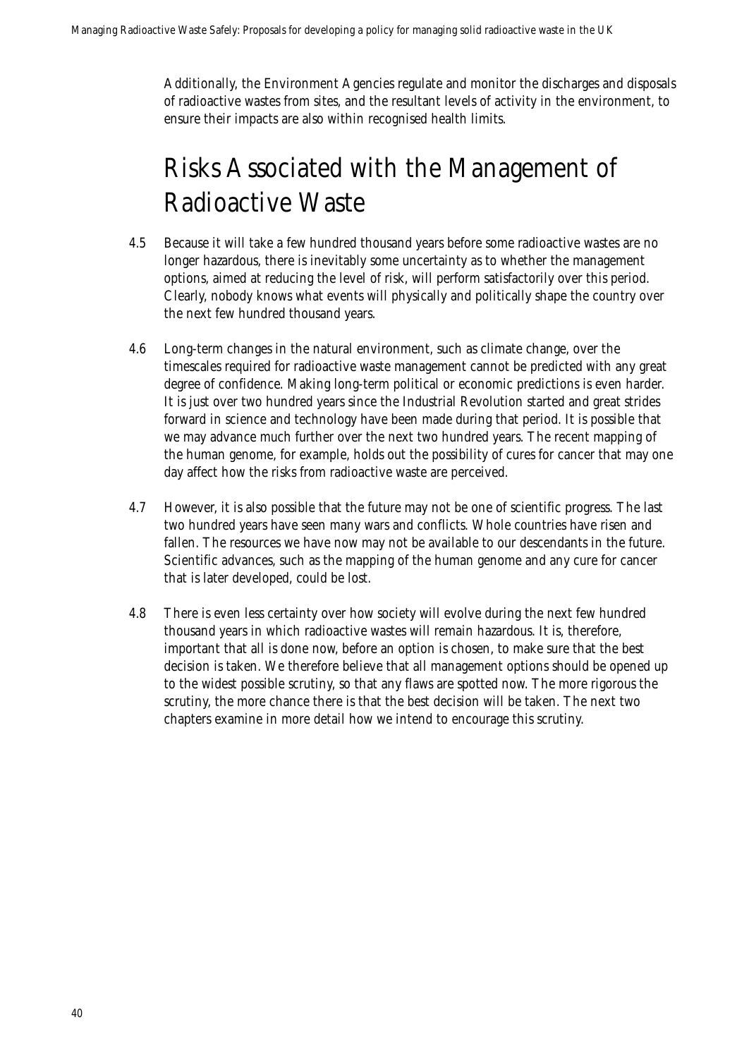Additionally, the Environment Agencies regulate and monitor the discharges and disposals of radioactive wastes from sites, and the resultant levels of activity in the environment, to ensure their impacts are also within recognised health limits.

## Risks Associated with the Management of Radioactive Waste

- 4.5 Because it will take a few hundred thousand years before some radioactive wastes are no longer hazardous, there is inevitably some uncertainty as to whether the management options, aimed at reducing the level of risk, will perform satisfactorily over this period. Clearly, nobody knows what events will physically and politically shape the country over the next few hundred thousand years.
- 4.6 Long-term changes in the natural environment, such as climate change, over the timescales required for radioactive waste management cannot be predicted with any great degree of confidence. Making long-term political or economic predictions is even harder. It is just over two hundred years since the Industrial Revolution started and great strides forward in science and technology have been made during that period. It is possible that we may advance much further over the next two hundred years. The recent mapping of the human genome, for example, holds out the possibility of cures for cancer that may one day affect how the risks from radioactive waste are perceived.
- 4.7 However, it is also possible that the future may not be one of scientific progress. The last two hundred years have seen many wars and conflicts. Whole countries have risen and fallen. The resources we have now may not be available to our descendants in the future. Scientific advances, such as the mapping of the human genome and any cure for cancer that is later developed, could be lost.
- 4.8 There is even less certainty over how society will evolve during the next few hundred thousand years in which radioactive wastes will remain hazardous. It is, therefore, important that all is done now, before an option is chosen, to make sure that the best decision is taken. We therefore believe that all management options should be opened up to the widest possible scrutiny, so that any flaws are spotted now. The more rigorous the scrutiny, the more chance there is that the best decision will be taken. The next two chapters examine in more detail how we intend to encourage this scrutiny.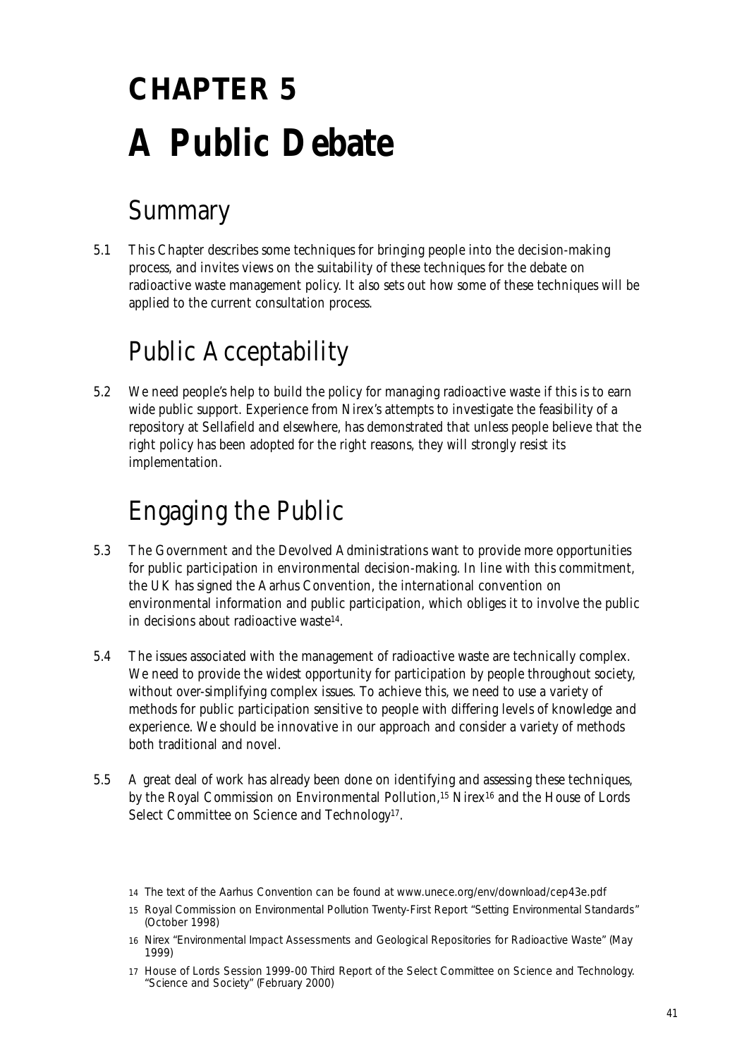# **CHAPTER 5 A Public Debate**

## Summary

5.1 This Chapter describes some techniques for bringing people into the decision-making process, and invites views on the suitability of these techniques for the debate on radioactive waste management policy. It also sets out how some of these techniques will be applied to the current consultation process.

## Public Acceptability

5.2 We need people's help to build the policy for managing radioactive waste if this is to earn wide public support. Experience from Nirex's attempts to investigate the feasibility of a repository at Sellafield and elsewhere, has demonstrated that unless people believe that the right policy has been adopted for the right reasons, they will strongly resist its implementation.

## Engaging the Public

- 5.3 The Government and the Devolved Administrations want to provide more opportunities for public participation in environmental decision-making. In line with this commitment, the UK has signed the Aarhus Convention, the international convention on environmental information and public participation, which obliges it to involve the public in decisions about radioactive waste14.
- 5.4 The issues associated with the management of radioactive waste are technically complex. We need to provide the widest opportunity for participation by people throughout society, without over-simplifying complex issues. To achieve this, we need to use a variety of methods for public participation sensitive to people with differing levels of knowledge and experience. We should be innovative in our approach and consider a variety of methods both traditional and novel.
- 5.5 A great deal of work has already been done on identifying and assessing these techniques, by the Royal Commission on Environmental Pollution,<sup>15</sup> Nirex<sup>16</sup> and the House of Lords Select Committee on Science and Technology<sup>17</sup>.

<sup>14</sup> The text of the Aarhus Convention can be found at www.unece.org/env/download/cep43e.pdf

<sup>15</sup> Royal Commission on Environmental Pollution Twenty-First Report "Setting Environmental Standards" (October 1998)

<sup>16</sup> Nirex "Environmental Impact Assessments and Geological Repositories for Radioactive Waste" (May 1999)

<sup>17</sup> House of Lords Session 1999-00 Third Report of the Select Committee on Science and Technology. "Science and Society" (February 2000)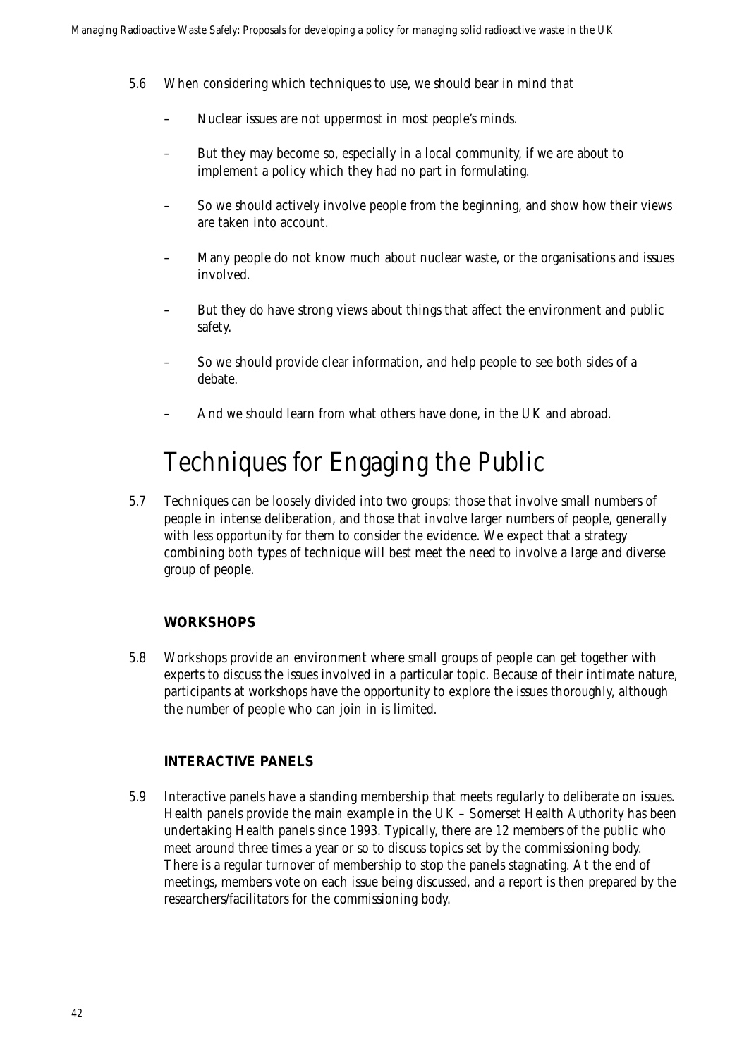- 5.6 When considering which techniques to use, we should bear in mind that
	- Nuclear issues are not uppermost in most people's minds.
	- But they may become so, especially in a local community, if we are about to implement a policy which they had no part in formulating.
	- So we should actively involve people from the beginning, and show how their views are taken into account.
	- Many people do not know much about nuclear waste, or the organisations and issues involved.
	- But they do have strong views about things that affect the environment and public safety.
	- So we should provide clear information, and help people to see both sides of a debate.
	- And we should learn from what others have done, in the UK and abroad.

### Techniques for Engaging the Public

5.7 Techniques can be loosely divided into two groups: those that involve small numbers of people in intense deliberation, and those that involve larger numbers of people, generally with less opportunity for them to consider the evidence. We expect that a strategy combining both types of technique will best meet the need to involve a large and diverse group of people.

### **WORKSHOPS**

5.8 Workshops provide an environment where small groups of people can get together with experts to discuss the issues involved in a particular topic. Because of their intimate nature, participants at workshops have the opportunity to explore the issues thoroughly, although the number of people who can join in is limited.

### **INTERACTIVE PANELS**

5.9 Interactive panels have a standing membership that meets regularly to deliberate on issues. Health panels provide the main example in the UK – Somerset Health Authority has been undertaking Health panels since 1993. Typically, there are 12 members of the public who meet around three times a year or so to discuss topics set by the commissioning body. There is a regular turnover of membership to stop the panels stagnating. At the end of meetings, members vote on each issue being discussed, and a report is then prepared by the researchers/facilitators for the commissioning body.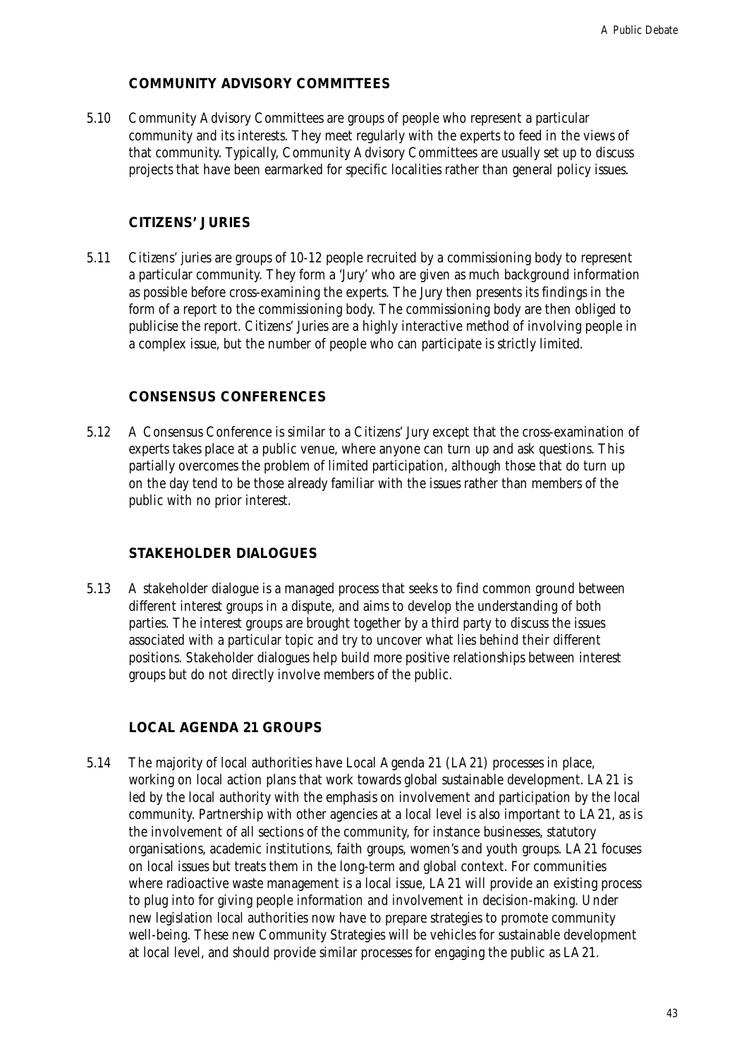### **COMMUNITY ADVISORY COMMITTEES**

5.10 Community Advisory Committees are groups of people who represent a particular community and its interests. They meet regularly with the experts to feed in the views of that community. Typically, Community Advisory Committees are usually set up to discuss projects that have been earmarked for specific localities rather than general policy issues.

### **CITIZENS' JURIES**

5.11 Citizens' juries are groups of 10-12 people recruited by a commissioning body to represent a particular community. They form a 'Jury' who are given as much background information as possible before cross-examining the experts. The Jury then presents its findings in the form of a report to the commissioning body. The commissioning body are then obliged to publicise the report. Citizens' Juries are a highly interactive method of involving people in a complex issue, but the number of people who can participate is strictly limited.

### **CONSENSUS CONFERENCES**

5.12 A Consensus Conference is similar to a Citizens' Jury except that the cross-examination of experts takes place at a public venue, where anyone can turn up and ask questions. This partially overcomes the problem of limited participation, although those that do turn up on the day tend to be those already familiar with the issues rather than members of the public with no prior interest.

### **STAKEHOLDER DIALOGUES**

5.13 A stakeholder dialogue is a managed process that seeks to find common ground between different interest groups in a dispute, and aims to develop the understanding of both parties. The interest groups are brought together by a third party to discuss the issues associated with a particular topic and try to uncover what lies behind their different positions. Stakeholder dialogues help build more positive relationships between interest groups but do not directly involve members of the public.

### **LOCAL AGENDA 21 GROUPS**

5.14 The majority of local authorities have Local Agenda 21 (LA21) processes in place, working on local action plans that work towards global sustainable development. LA21 is led by the local authority with the emphasis on involvement and participation by the local community. Partnership with other agencies at a local level is also important to LA21, as is the involvement of all sections of the community, for instance businesses, statutory organisations, academic institutions, faith groups, women's and youth groups. LA21 focuses on local issues but treats them in the long-term and global context. For communities where radioactive waste management is a local issue, LA21 will provide an existing process to plug into for giving people information and involvement in decision-making. Under new legislation local authorities now have to prepare strategies to promote community well-being. These new Community Strategies will be vehicles for sustainable development at local level, and should provide similar processes for engaging the public as LA21.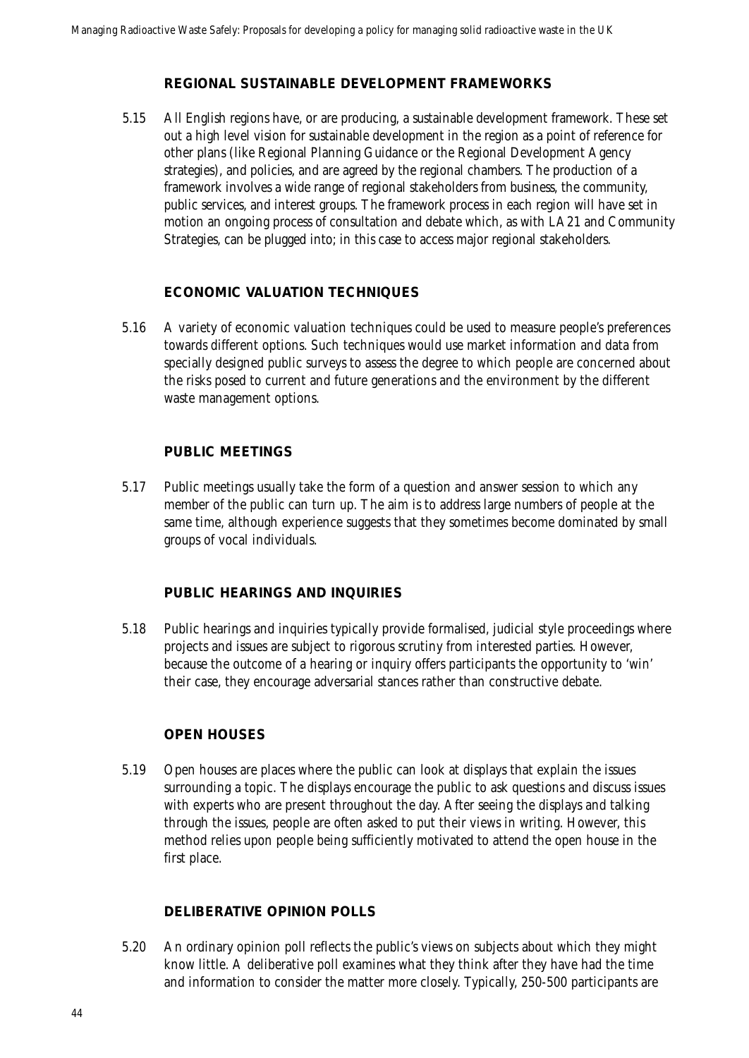#### **REGIONAL SUSTAINABLE DEVELOPMENT FRAMEWORKS**

5.15 All English regions have, or are producing, a sustainable development framework. These set out a high level vision for sustainable development in the region as a point of reference for other plans (like Regional Planning Guidance or the Regional Development Agency strategies), and policies, and are agreed by the regional chambers. The production of a framework involves a wide range of regional stakeholders from business, the community, public services, and interest groups. The framework process in each region will have set in motion an ongoing process of consultation and debate which, as with LA21 and Community Strategies, can be plugged into; in this case to access major regional stakeholders.

#### **ECONOMIC VALUATION TECHNIQUES**

5.16 A variety of economic valuation techniques could be used to measure people's preferences towards different options. Such techniques would use market information and data from specially designed public surveys to assess the degree to which people are concerned about the risks posed to current and future generations and the environment by the different waste management options.

#### **PUBLIC MEETINGS**

5.17 Public meetings usually take the form of a question and answer session to which any member of the public can turn up. The aim is to address large numbers of people at the same time, although experience suggests that they sometimes become dominated by small groups of vocal individuals.

### **PUBLIC HEARINGS AND INQUIRIES**

5.18 Public hearings and inquiries typically provide formalised, judicial style proceedings where projects and issues are subject to rigorous scrutiny from interested parties. However, because the outcome of a hearing or inquiry offers participants the opportunity to 'win' their case, they encourage adversarial stances rather than constructive debate.

### **OPEN HOUSES**

5.19 Open houses are places where the public can look at displays that explain the issues surrounding a topic. The displays encourage the public to ask questions and discuss issues with experts who are present throughout the day. After seeing the displays and talking through the issues, people are often asked to put their views in writing. However, this method relies upon people being sufficiently motivated to attend the open house in the first place.

### **DELIBERATIVE OPINION POLLS**

5.20 An ordinary opinion poll reflects the public's views on subjects about which they might know little. A deliberative poll examines what they think after they have had the time and information to consider the matter more closely. Typically, 250-500 participants are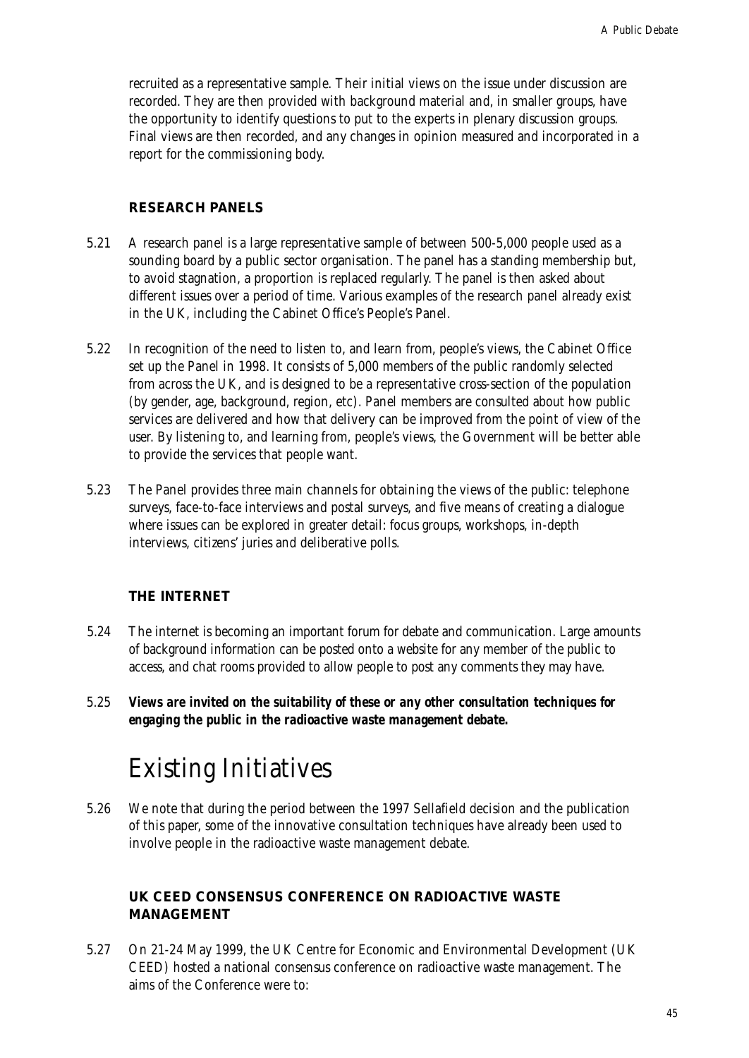recruited as a representative sample. Their initial views on the issue under discussion are recorded. They are then provided with background material and, in smaller groups, have the opportunity to identify questions to put to the experts in plenary discussion groups. Final views are then recorded, and any changes in opinion measured and incorporated in a report for the commissioning body.

### **RESEARCH PANELS**

- 5.21 A research panel is a large representative sample of between 500-5,000 people used as a sounding board by a public sector organisation. The panel has a standing membership but, to avoid stagnation, a proportion is replaced regularly. The panel is then asked about different issues over a period of time. Various examples of the research panel already exist in the UK, including the Cabinet Office's People's Panel.
- 5.22 In recognition of the need to listen to, and learn from, people's views, the Cabinet Office set up the Panel in 1998. It consists of 5,000 members of the public randomly selected from across the UK, and is designed to be a representative cross-section of the population (by gender, age, background, region, etc). Panel members are consulted about how public services are delivered and how that delivery can be improved from the point of view of the user. By listening to, and learning from, people's views, the Government will be better able to provide the services that people want.
- 5.23 The Panel provides three main channels for obtaining the views of the public: telephone surveys, face-to-face interviews and postal surveys, and five means of creating a dialogue where issues can be explored in greater detail: focus groups, workshops, in-depth interviews, citizens' juries and deliberative polls.

### **THE INTERNET**

- 5.24 The internet is becoming an important forum for debate and communication. Large amounts of background information can be posted onto a website for any member of the public to access, and chat rooms provided to allow people to post any comments they may have.
- 5.25 *Views are invited on the suitability of these or any other consultation techniques for engaging the public in the radioactive waste management debate.*

### Existing Initiatives

5.26 We note that during the period between the 1997 Sellafield decision and the publication of this paper, some of the innovative consultation techniques have already been used to involve people in the radioactive waste management debate.

### **UK CEED CONSENSUS CONFERENCE ON RADIOACTIVE WASTE MANAGEMENT**

5.27 On 21-24 May 1999, the UK Centre for Economic and Environmental Development (UK CEED) hosted a national consensus conference on radioactive waste management. The aims of the Conference were to: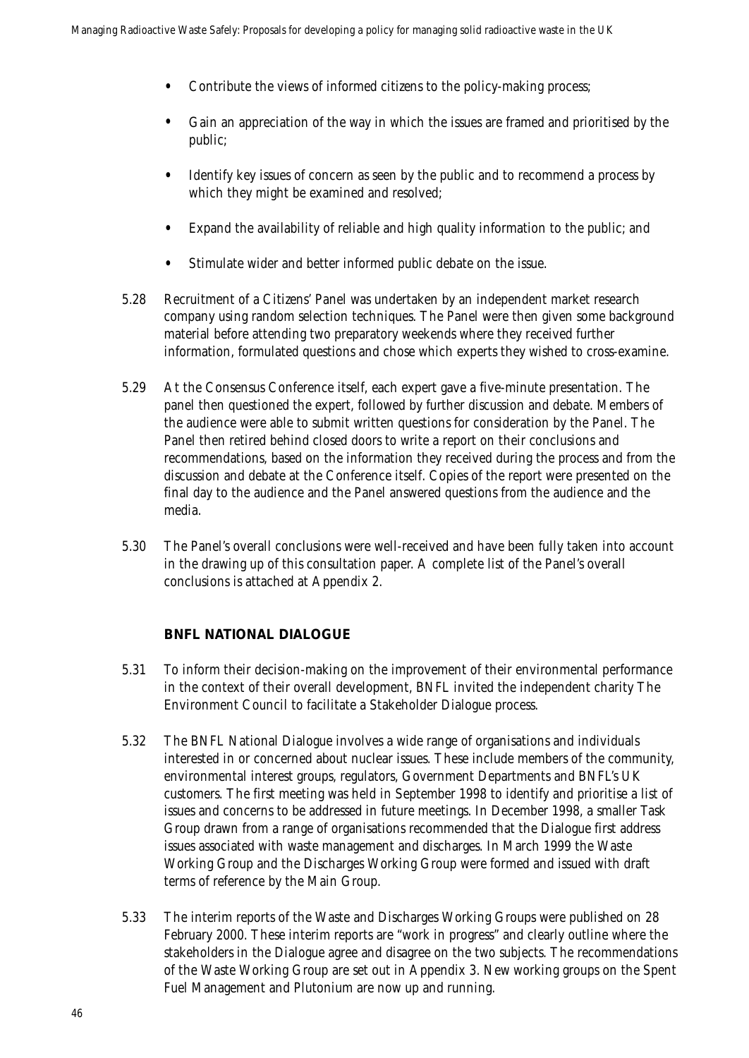- Contribute the views of informed citizens to the policy-making process;
- Gain an appreciation of the way in which the issues are framed and prioritised by the public;
- Identify key issues of concern as seen by the public and to recommend a process by which they might be examined and resolved;
- Expand the availability of reliable and high quality information to the public; and
- Stimulate wider and better informed public debate on the issue.
- 5.28 Recruitment of a Citizens' Panel was undertaken by an independent market research company using random selection techniques. The Panel were then given some background material before attending two preparatory weekends where they received further information, formulated questions and chose which experts they wished to cross-examine.
- 5.29 At the Consensus Conference itself, each expert gave a five-minute presentation. The panel then questioned the expert, followed by further discussion and debate. Members of the audience were able to submit written questions for consideration by the Panel. The Panel then retired behind closed doors to write a report on their conclusions and recommendations, based on the information they received during the process and from the discussion and debate at the Conference itself. Copies of the report were presented on the final day to the audience and the Panel answered questions from the audience and the media.
- 5.30 The Panel's overall conclusions were well-received and have been fully taken into account in the drawing up of this consultation paper. A complete list of the Panel's overall conclusions is attached at Appendix 2.

### **BNFL NATIONAL DIALOGUE**

- 5.31 To inform their decision-making on the improvement of their environmental performance in the context of their overall development, BNFL invited the independent charity The Environment Council to facilitate a Stakeholder Dialogue process.
- 5.32 The BNFL National Dialogue involves a wide range of organisations and individuals interested in or concerned about nuclear issues. These include members of the community, environmental interest groups, regulators, Government Departments and BNFL's UK customers. The first meeting was held in September 1998 to identify and prioritise a list of issues and concerns to be addressed in future meetings. In December 1998, a smaller Task Group drawn from a range of organisations recommended that the Dialogue first address issues associated with waste management and discharges. In March 1999 the Waste Working Group and the Discharges Working Group were formed and issued with draft terms of reference by the Main Group.
- 5.33 The interim reports of the Waste and Discharges Working Groups were published on 28 February 2000. These interim reports are "work in progress" and clearly outline where the stakeholders in the Dialogue agree and disagree on the two subjects. The recommendations of the Waste Working Group are set out in Appendix 3. New working groups on the Spent Fuel Management and Plutonium are now up and running.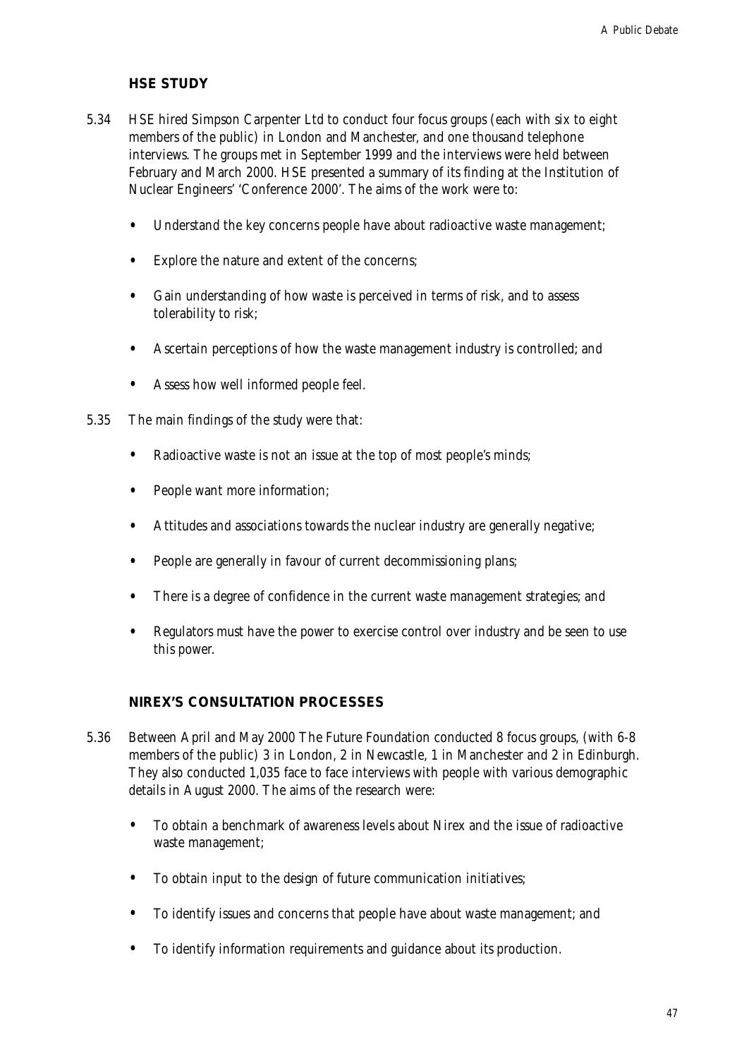### **HSE STUDY**

- 5.34 HSE hired Simpson Carpenter Ltd to conduct four focus groups (each with six to eight members of the public) in London and Manchester, and one thousand telephone interviews. The groups met in September 1999 and the interviews were held between February and March 2000. HSE presented a summary of its finding at the Institution of Nuclear Engineers' 'Conference 2000'. The aims of the work were to:
	- Understand the key concerns people have about radioactive waste management;
	- Explore the nature and extent of the concerns;
	- Gain understanding of how waste is perceived in terms of risk, and to assess tolerability to risk;
	- Ascertain perceptions of how the waste management industry is controlled; and
	- Assess how well informed people feel.
- 5.35 The main findings of the study were that:
	- Radioactive waste is not an issue at the top of most people's minds;
	- People want more information;
	- Attitudes and associations towards the nuclear industry are generally negative;
	- People are generally in favour of current decommissioning plans;
	- There is a degree of confidence in the current waste management strategies; and
	- Regulators must have the power to exercise control over industry and be seen to use this power.

#### **NIREX'S CONSULTATION PROCESSES**

- 5.36 Between April and May 2000 The Future Foundation conducted 8 focus groups, (with 6-8 members of the public) 3 in London, 2 in Newcastle, 1 in Manchester and 2 in Edinburgh. They also conducted 1,035 face to face interviews with people with various demographic details in August 2000. The aims of the research were:
	- To obtain a benchmark of awareness levels about Nirex and the issue of radioactive waste management;
	- To obtain input to the design of future communication initiatives;
	- To identify issues and concerns that people have about waste management; and
	- To identify information requirements and guidance about its production.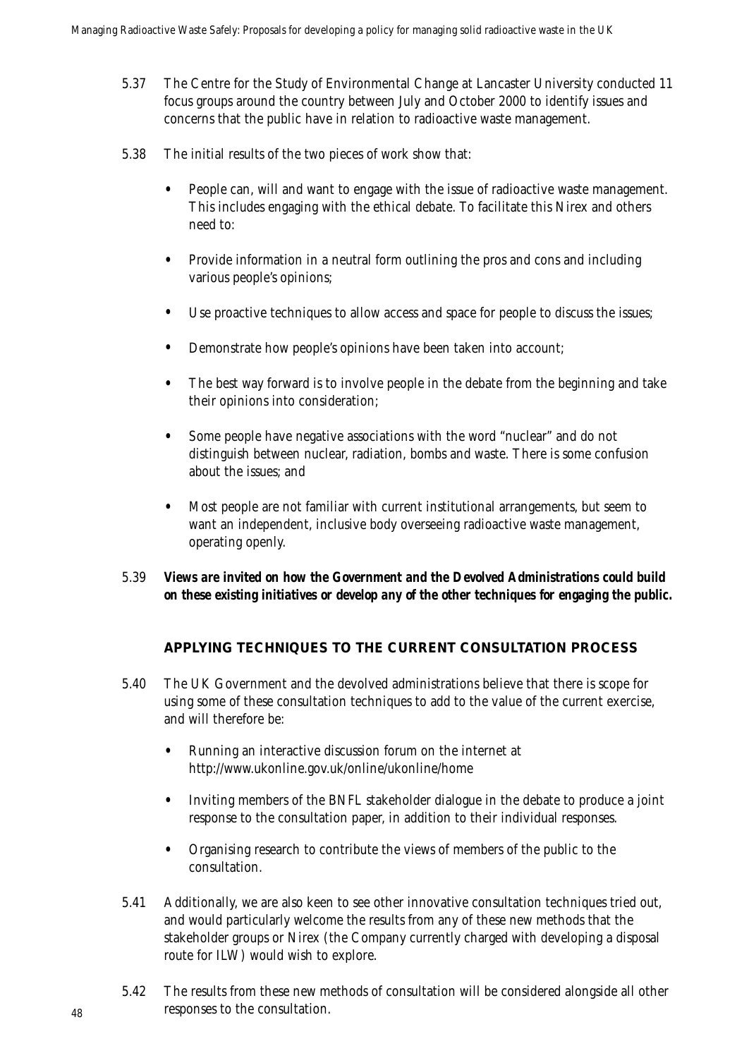- 5.37 The Centre for the Study of Environmental Change at Lancaster University conducted 11 focus groups around the country between July and October 2000 to identify issues and concerns that the public have in relation to radioactive waste management.
- 5.38 The initial results of the two pieces of work show that:
	- People can, will and want to engage with the issue of radioactive waste management. This includes engaging with the ethical debate. To facilitate this Nirex and others need to:
	- Provide information in a neutral form outlining the pros and cons and including various people's opinions;
	- Use proactive techniques to allow access and space for people to discuss the issues;
	- Demonstrate how people's opinions have been taken into account;
	- The best way forward is to involve people in the debate from the beginning and take their opinions into consideration;
	- Some people have negative associations with the word "nuclear" and do not distinguish between nuclear, radiation, bombs and waste. There is some confusion about the issues; and
	- Most people are not familiar with current institutional arrangements, but seem to want an independent, inclusive body overseeing radioactive waste management, operating openly.
- 5.39 *Views are invited on how the Government and the Devolved Administrations could build on these existing initiatives or develop any of the other techniques for engaging the public.*

### **APPLYING TECHNIQUES TO THE CURRENT CONSULTATION PROCESS**

- 5.40 The UK Government and the devolved administrations believe that there is scope for using some of these consultation techniques to add to the value of the current exercise, and will therefore be:
	- Running an interactive discussion forum on the internet at http://www.ukonline.gov.uk/online/ukonline/home
	- Inviting members of the BNFL stakeholder dialogue in the debate to produce a joint response to the consultation paper, in addition to their individual responses.
	- Organising research to contribute the views of members of the public to the consultation.
- 5.41 Additionally, we are also keen to see other innovative consultation techniques tried out, and would particularly welcome the results from any of these new methods that the stakeholder groups or Nirex (the Company currently charged with developing a disposal route for ILW) would wish to explore.
- 5.42 The results from these new methods of consultation will be considered alongside all other responses to the consultation.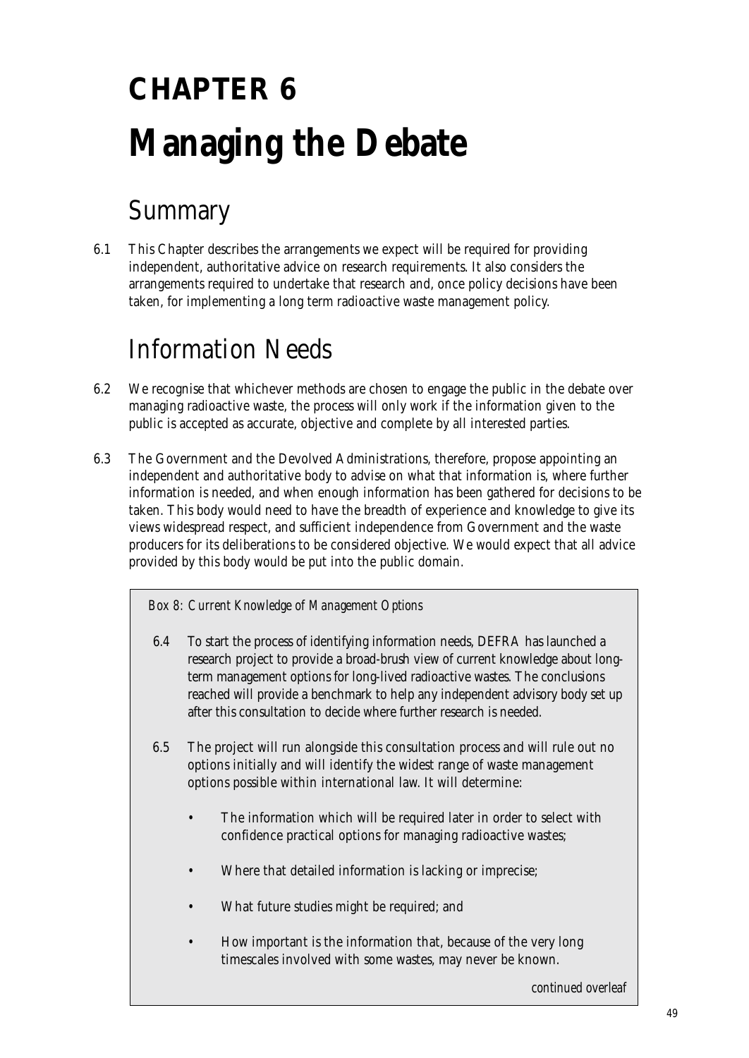# **CHAPTER 6 Managing the Debate**

## Summary

6.1 This Chapter describes the arrangements we expect will be required for providing independent, authoritative advice on research requirements. It also considers the arrangements required to undertake that research and, once policy decisions have been taken, for implementing a long term radioactive waste management policy.

## Information Needs

- 6.2 We recognise that whichever methods are chosen to engage the public in the debate over managing radioactive waste, the process will only work if the information given to the public is accepted as accurate, objective and complete by all interested parties.
- 6.3 The Government and the Devolved Administrations, therefore, propose appointing an independent and authoritative body to advise on what that information is, where further information is needed, and when enough information has been gathered for decisions to be taken. This body would need to have the breadth of experience and knowledge to give its views widespread respect, and sufficient independence from Government and the waste producers for its deliberations to be considered objective. We would expect that all advice provided by this body would be put into the public domain.

*Box 8: Current Knowledge of Management Options*

- 6.4 To start the process of identifying information needs, DEFRA has launched a research project to provide a broad-brush view of current knowledge about longterm management options for long-lived radioactive wastes. The conclusions reached will provide a benchmark to help any independent advisory body set up after this consultation to decide where further research is needed.
- 6.5 The project will run alongside this consultation process and will rule out no options initially and will identify the widest range of waste management options possible within international law. It will determine:
	- The information which will be required later in order to select with confidence practical options for managing radioactive wastes;
	- Where that detailed information is lacking or imprecise;
	- What future studies might be required; and
	- How important is the information that, because of the very long timescales involved with some wastes, may never be known.

*continued overleaf*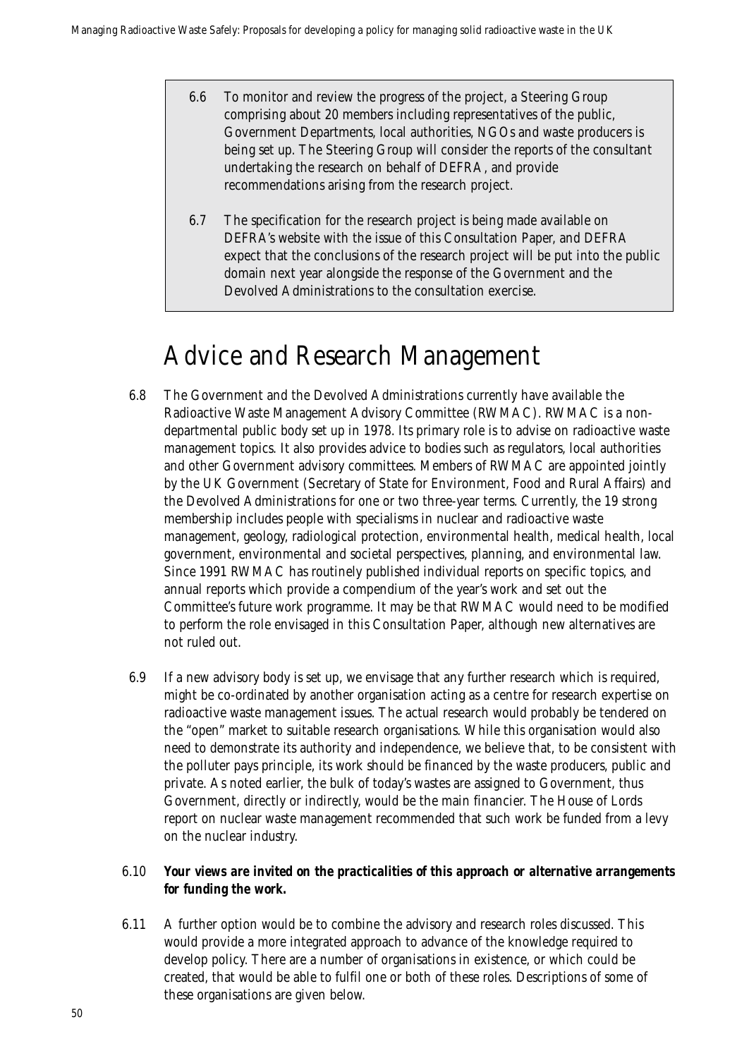- 6.6 To monitor and review the progress of the project, a Steering Group comprising about 20 members including representatives of the public, Government Departments, local authorities, NGOs and waste producers is being set up. The Steering Group will consider the reports of the consultant undertaking the research on behalf of DEFRA, and provide recommendations arising from the research project.
- 6.7 The specification for the research project is being made available on DEFRA's website with the issue of this Consultation Paper, and DEFRA expect that the conclusions of the research project will be put into the public domain next year alongside the response of the Government and the Devolved Administrations to the consultation exercise.

## Advice and Research Management

- 6.8 The Government and the Devolved Administrations currently have available the Radioactive Waste Management Advisory Committee (RWMAC). RWMAC is a nondepartmental public body set up in 1978. Its primary role is to advise on radioactive waste management topics. It also provides advice to bodies such as regulators, local authorities and other Government advisory committees. Members of RWMAC are appointed jointly by the UK Government (Secretary of State for Environment, Food and Rural Affairs) and the Devolved Administrations for one or two three-year terms. Currently, the 19 strong membership includes people with specialisms in nuclear and radioactive waste management, geology, radiological protection, environmental health, medical health, local government, environmental and societal perspectives, planning, and environmental law. Since 1991 RWMAC has routinely published individual reports on specific topics, and annual reports which provide a compendium of the year's work and set out the Committee's future work programme. It may be that RWMAC would need to be modified to perform the role envisaged in this Consultation Paper, although new alternatives are not ruled out.
- 6.9 If a new advisory body is set up, we envisage that any further research which is required, might be co-ordinated by another organisation acting as a centre for research expertise on radioactive waste management issues. The actual research would probably be tendered on the "open" market to suitable research organisations. While this organisation would also need to demonstrate its authority and independence, we believe that, to be consistent with the polluter pays principle, its work should be financed by the waste producers, public and private. As noted earlier, the bulk of today's wastes are assigned to Government, thus Government, directly or indirectly, would be the main financier. The House of Lords report on nuclear waste management recommended that such work be funded from a levy on the nuclear industry.

### 6.10 *Your views are invited on the practicalities of this approach or alternative arrangements for funding the work.*

6.11 A further option would be to combine the advisory and research roles discussed. This would provide a more integrated approach to advance of the knowledge required to develop policy. There are a number of organisations in existence, or which could be created, that would be able to fulfil one or both of these roles. Descriptions of some of these organisations are given below.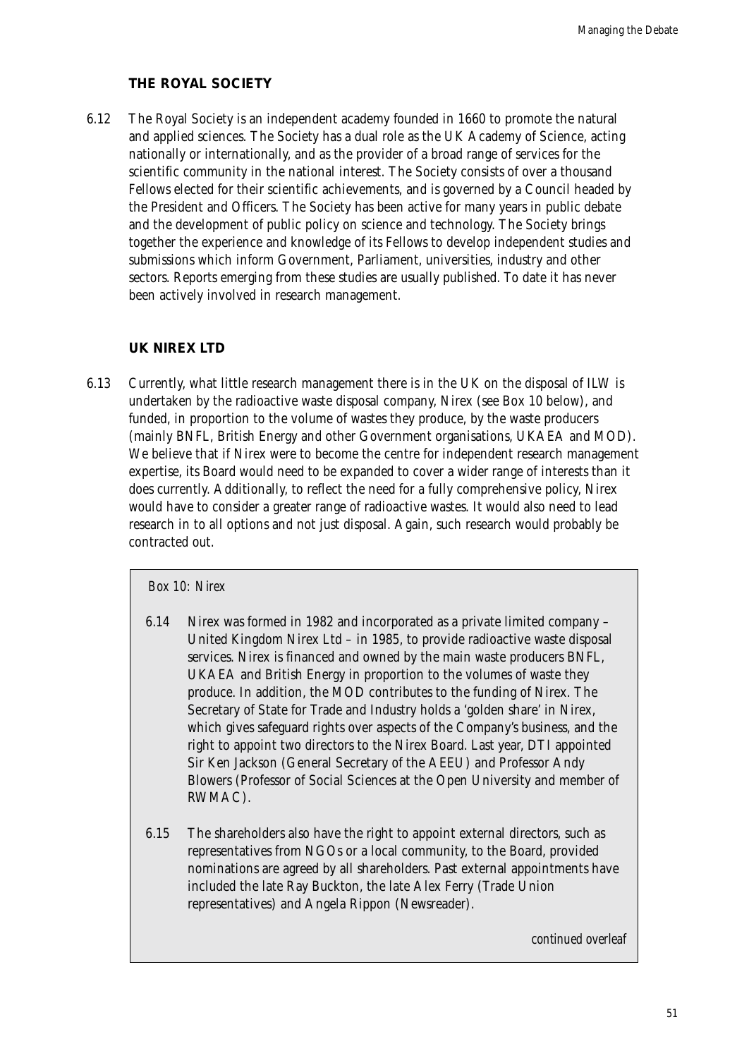### **THE ROYAL SOCIETY**

6.12 The Royal Society is an independent academy founded in 1660 to promote the natural and applied sciences. The Society has a dual role as the UK Academy of Science, acting nationally or internationally, and as the provider of a broad range of services for the scientific community in the national interest. The Society consists of over a thousand Fellows elected for their scientific achievements, and is governed by a Council headed by the President and Officers. The Society has been active for many years in public debate and the development of public policy on science and technology. The Society brings together the experience and knowledge of its Fellows to develop independent studies and submissions which inform Government, Parliament, universities, industry and other sectors. Reports emerging from these studies are usually published. To date it has never been actively involved in research management.

### **UK NIREX LTD**

6.13 Currently, what little research management there is in the UK on the disposal of ILW is undertaken by the radioactive waste disposal company, Nirex (see Box 10 below), and funded, in proportion to the volume of wastes they produce, by the waste producers (mainly BNFL, British Energy and other Government organisations, UKAEA and MOD). We believe that if Nirex were to become the centre for independent research management expertise, its Board would need to be expanded to cover a wider range of interests than it does currently. Additionally, to reflect the need for a fully comprehensive policy, Nirex would have to consider a greater range of radioactive wastes. It would also need to lead research in to all options and not just disposal. Again, such research would probably be contracted out.

#### *Box 10: Nirex*

- 6.14 Nirex was formed in 1982 and incorporated as a private limited company United Kingdom Nirex Ltd – in 1985, to provide radioactive waste disposal services. Nirex is financed and owned by the main waste producers BNFL, UKAEA and British Energy in proportion to the volumes of waste they produce. In addition, the MOD contributes to the funding of Nirex. The Secretary of State for Trade and Industry holds a 'golden share' in Nirex, which gives safeguard rights over aspects of the Company's business, and the right to appoint two directors to the Nirex Board. Last year, DTI appointed Sir Ken Jackson (General Secretary of the AEEU) and Professor Andy Blowers (Professor of Social Sciences at the Open University and member of RWMAC).
- 6.15 The shareholders also have the right to appoint external directors, such as representatives from NGOs or a local community, to the Board, provided nominations are agreed by all shareholders. Past external appointments have included the late Ray Buckton, the late Alex Ferry (Trade Union representatives) and Angela Rippon (Newsreader).

*continued overleaf*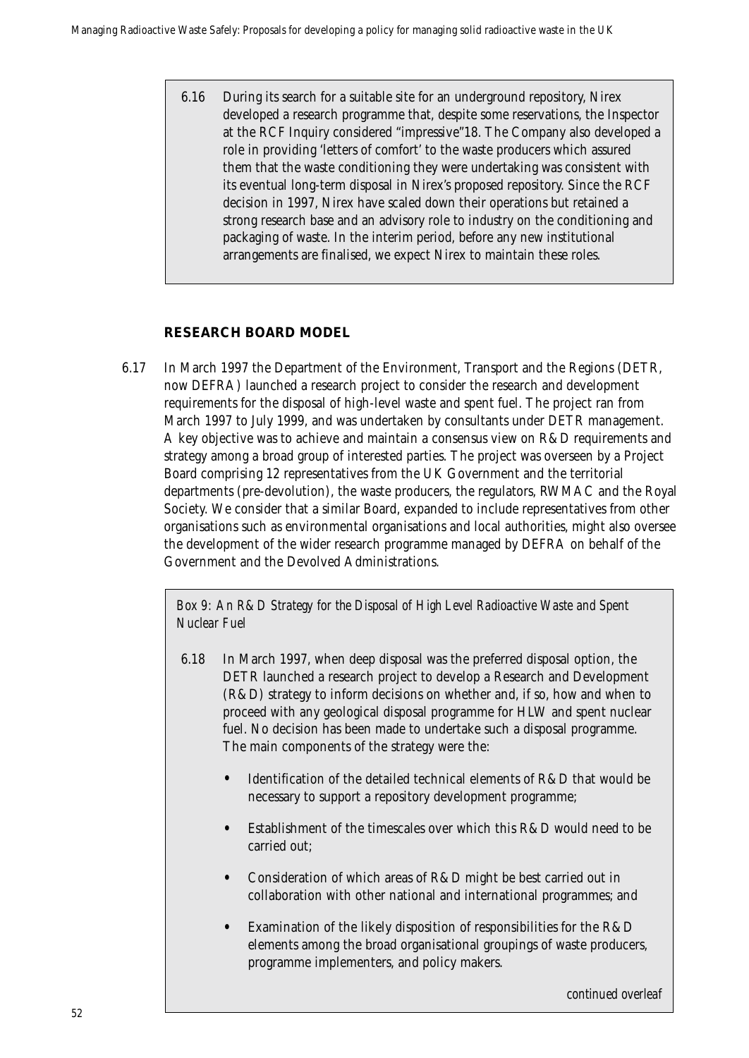6.16 During its search for a suitable site for an underground repository, Nirex developed a research programme that, despite some reservations, the Inspector at the RCF Inquiry considered "impressive"18. The Company also developed a role in providing 'letters of comfort' to the waste producers which assured them that the waste conditioning they were undertaking was consistent with its eventual long-term disposal in Nirex's proposed repository. Since the RCF decision in 1997, Nirex have scaled down their operations but retained a strong research base and an advisory role to industry on the conditioning and packaging of waste. In the interim period, before any new institutional arrangements are finalised, we expect Nirex to maintain these roles.

### **RESEARCH BOARD MODEL**

6.17 In March 1997 the Department of the Environment, Transport and the Regions (DETR, now DEFRA) launched a research project to consider the research and development requirements for the disposal of high-level waste and spent fuel. The project ran from March 1997 to July 1999, and was undertaken by consultants under DETR management. A key objective was to achieve and maintain a consensus view on R&D requirements and strategy among a broad group of interested parties. The project was overseen by a Project Board comprising 12 representatives from the UK Government and the territorial departments (pre-devolution), the waste producers, the regulators, RWMAC and the Royal Society. We consider that a similar Board, expanded to include representatives from other organisations such as environmental organisations and local authorities, might also oversee the development of the wider research programme managed by DEFRA on behalf of the Government and the Devolved Administrations.

*Box 9: An R&D Strategy for the Disposal of High Level Radioactive Waste and Spent Nuclear Fuel*

- 6.18 In March 1997, when deep disposal was the preferred disposal option, the DETR launched a research project to develop a Research and Development (R&D) strategy to inform decisions on whether and, if so, how and when to proceed with any geological disposal programme for HLW and spent nuclear fuel. No decision has been made to undertake such a disposal programme. The main components of the strategy were the:
	- Identification of the detailed technical elements of R&D that would be necessary to support a repository development programme;
	- Establishment of the timescales over which this R&D would need to be carried out;
	- Consideration of which areas of R&D might be best carried out in collaboration with other national and international programmes; and
	- Examination of the likely disposition of responsibilities for the R&D elements among the broad organisational groupings of waste producers, programme implementers, and policy makers.

*continued overleaf*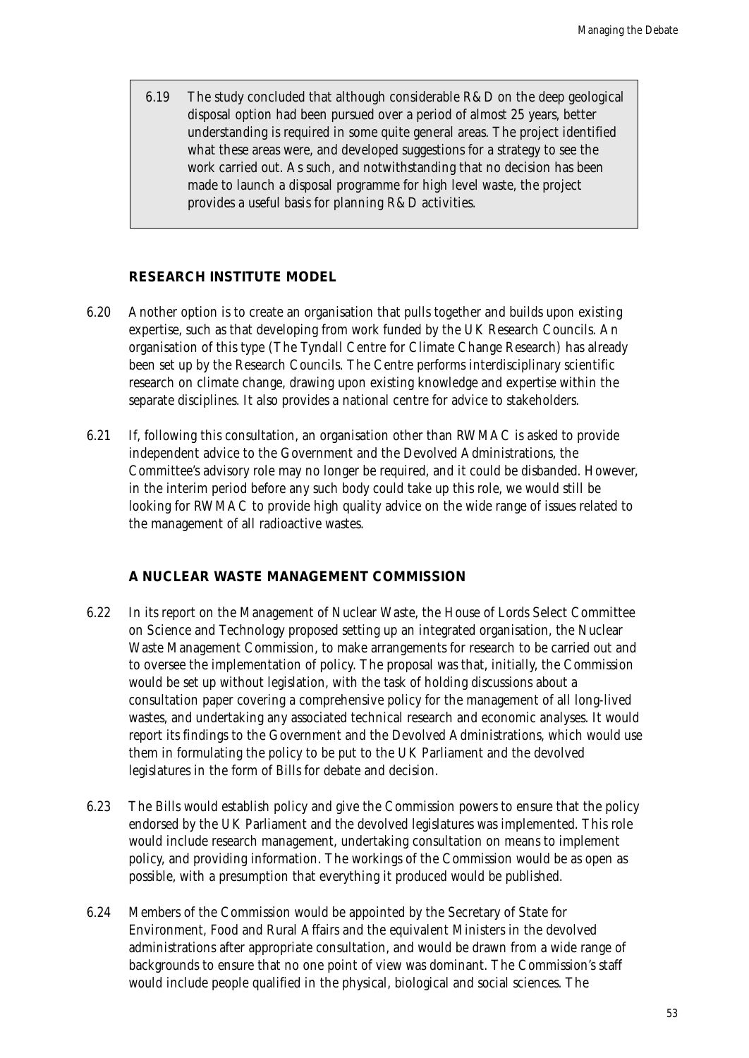6.19 The study concluded that although considerable R&D on the deep geological disposal option had been pursued over a period of almost 25 years, better understanding is required in some quite general areas. The project identified what these areas were, and developed suggestions for a strategy to see the work carried out. As such, and notwithstanding that no decision has been made to launch a disposal programme for high level waste, the project provides a useful basis for planning R&D activities.

### **RESEARCH INSTITUTE MODEL**

- 6.20 Another option is to create an organisation that pulls together and builds upon existing expertise, such as that developing from work funded by the UK Research Councils. An organisation of this type (The Tyndall Centre for Climate Change Research) has already been set up by the Research Councils. The Centre performs interdisciplinary scientific research on climate change, drawing upon existing knowledge and expertise within the separate disciplines. It also provides a national centre for advice to stakeholders.
- 6.21 If, following this consultation, an organisation other than RWMAC is asked to provide independent advice to the Government and the Devolved Administrations, the Committee's advisory role may no longer be required, and it could be disbanded. However, in the interim period before any such body could take up this role, we would still be looking for RWMAC to provide high quality advice on the wide range of issues related to the management of all radioactive wastes.

### **A NUCLEAR WASTE MANAGEMENT COMMISSION**

- 6.22 In its report on the Management of Nuclear Waste, the House of Lords Select Committee on Science and Technology proposed setting up an integrated organisation, the Nuclear Waste Management Commission, to make arrangements for research to be carried out and to oversee the implementation of policy. The proposal was that, initially, the Commission would be set up without legislation, with the task of holding discussions about a consultation paper covering a comprehensive policy for the management of all long-lived wastes, and undertaking any associated technical research and economic analyses. It would report its findings to the Government and the Devolved Administrations, which would use them in formulating the policy to be put to the UK Parliament and the devolved legislatures in the form of Bills for debate and decision.
- 6.23 The Bills would establish policy and give the Commission powers to ensure that the policy endorsed by the UK Parliament and the devolved legislatures was implemented. This role would include research management, undertaking consultation on means to implement policy, and providing information. The workings of the Commission would be as open as possible, with a presumption that everything it produced would be published.
- 6.24 Members of the Commission would be appointed by the Secretary of State for Environment, Food and Rural Affairs and the equivalent Ministers in the devolved administrations after appropriate consultation, and would be drawn from a wide range of backgrounds to ensure that no one point of view was dominant. The Commission's staff would include people qualified in the physical, biological and social sciences. The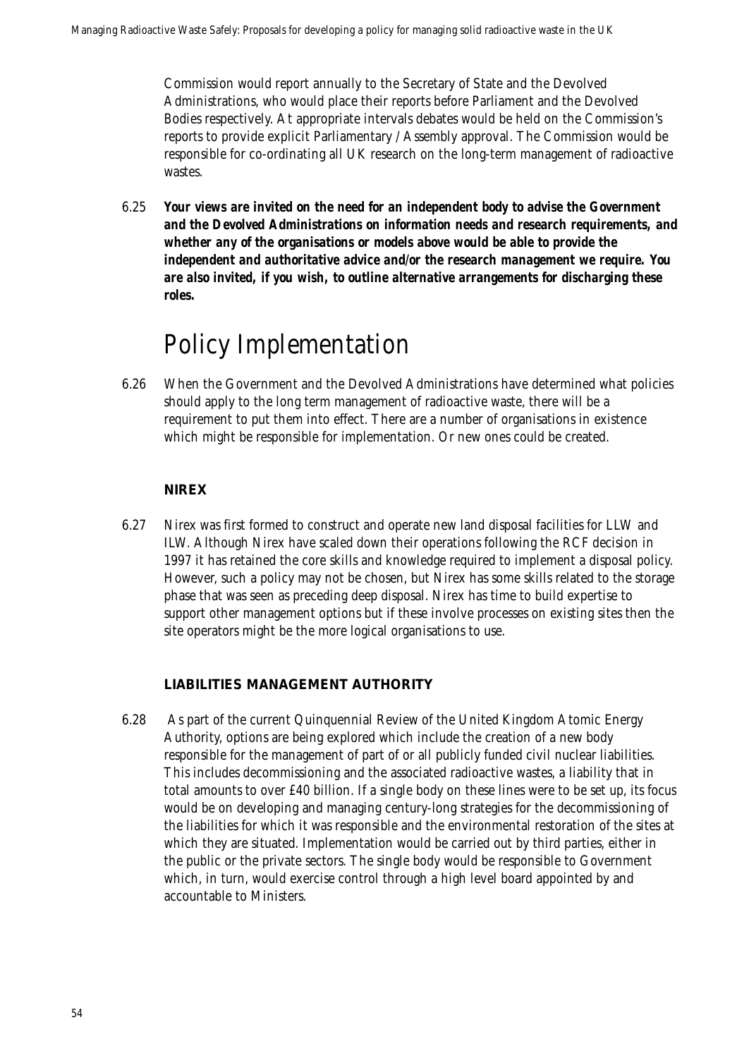Commission would report annually to the Secretary of State and the Devolved Administrations, who would place their reports before Parliament and the Devolved Bodies respectively. At appropriate intervals debates would be held on the Commission's reports to provide explicit Parliamentary / Assembly approval. The Commission would be responsible for co-ordinating all UK research on the long-term management of radioactive wastes.

6.25 *Your views are invited on the need for an independent body to advise the Government and the Devolved Administrations on information needs and research requirements, and whether any of the organisations or models above would be able to provide the independent and authoritative advice and/or the research management we require. You are also invited, if you wish, to outline alternative arrangements for discharging these roles.*

## Policy Implementation

6.26 When the Government and the Devolved Administrations have determined what policies should apply to the long term management of radioactive waste, there will be a requirement to put them into effect. There are a number of organisations in existence which might be responsible for implementation. Or new ones could be created.

### **NIREX**

6.27 Nirex was first formed to construct and operate new land disposal facilities for LLW and ILW. Although Nirex have scaled down their operations following the RCF decision in 1997 it has retained the core skills and knowledge required to implement a disposal policy. However, such a policy may not be chosen, but Nirex has some skills related to the storage phase that was seen as preceding deep disposal. Nirex has time to build expertise to support other management options but if these involve processes on existing sites then the site operators might be the more logical organisations to use.

### **LIABILITIES MANAGEMENT AUTHORITY**

6.28 As part of the current Quinquennial Review of the United Kingdom Atomic Energy Authority, options are being explored which include the creation of a new body responsible for the management of part of or all publicly funded civil nuclear liabilities. This includes decommissioning and the associated radioactive wastes, a liability that in total amounts to over £40 billion. If a single body on these lines were to be set up, its focus would be on developing and managing century-long strategies for the decommissioning of the liabilities for which it was responsible and the environmental restoration of the sites at which they are situated. Implementation would be carried out by third parties, either in the public or the private sectors. The single body would be responsible to Government which, in turn, would exercise control through a high level board appointed by and accountable to Ministers.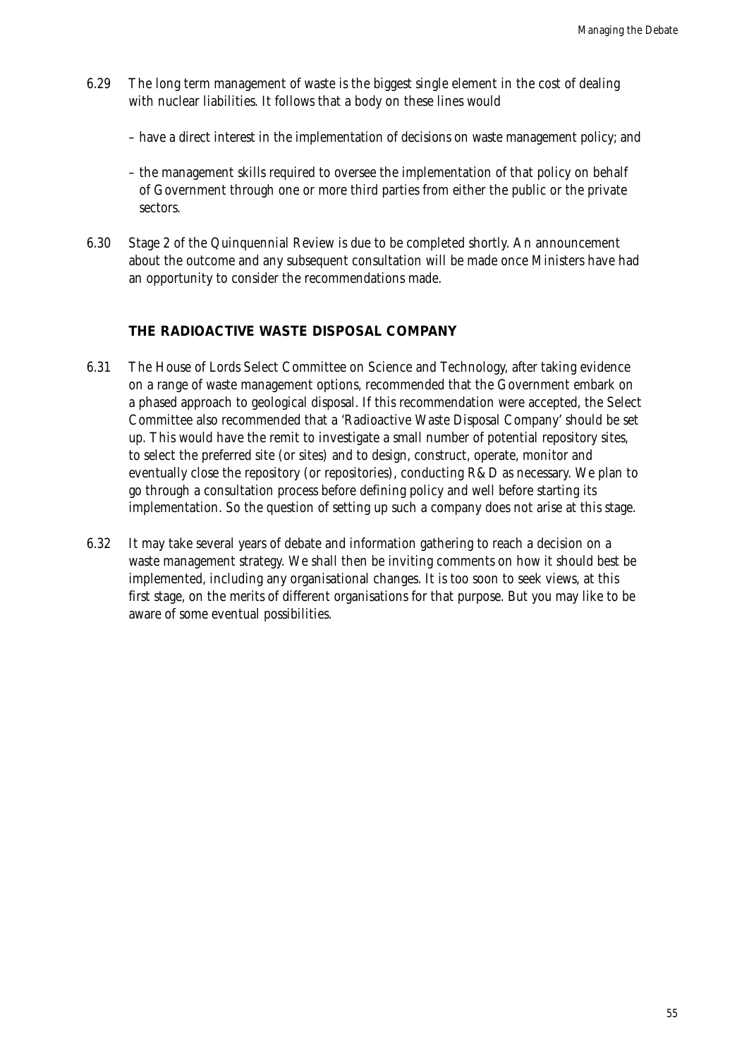- 6.29 The long term management of waste is the biggest single element in the cost of dealing with nuclear liabilities. It follows that a body on these lines would
	- have a direct interest in the implementation of decisions on waste management policy; and
	- the management skills required to oversee the implementation of that policy on behalf of Government through one or more third parties from either the public or the private sectors.
- 6.30 Stage 2 of the Quinquennial Review is due to be completed shortly. An announcement about the outcome and any subsequent consultation will be made once Ministers have had an opportunity to consider the recommendations made.

### **THE RADIOACTIVE WASTE DISPOSAL COMPANY**

- 6.31 The House of Lords Select Committee on Science and Technology, after taking evidence on a range of waste management options, recommended that the Government embark on a phased approach to geological disposal. If this recommendation were accepted, the Select Committee also recommended that a 'Radioactive Waste Disposal Company' should be set up. This would have the remit to investigate a small number of potential repository sites, to select the preferred site (or sites) and to design, construct, operate, monitor and eventually close the repository (or repositories), conducting R&D as necessary. We plan to go through a consultation process before defining policy and well before starting its implementation. So the question of setting up such a company does not arise at this stage.
- 6.32 It may take several years of debate and information gathering to reach a decision on a waste management strategy. We shall then be inviting comments on how it should best be implemented, including any organisational changes. It is too soon to seek views, at this first stage, on the merits of different organisations for that purpose. But you may like to be aware of some eventual possibilities.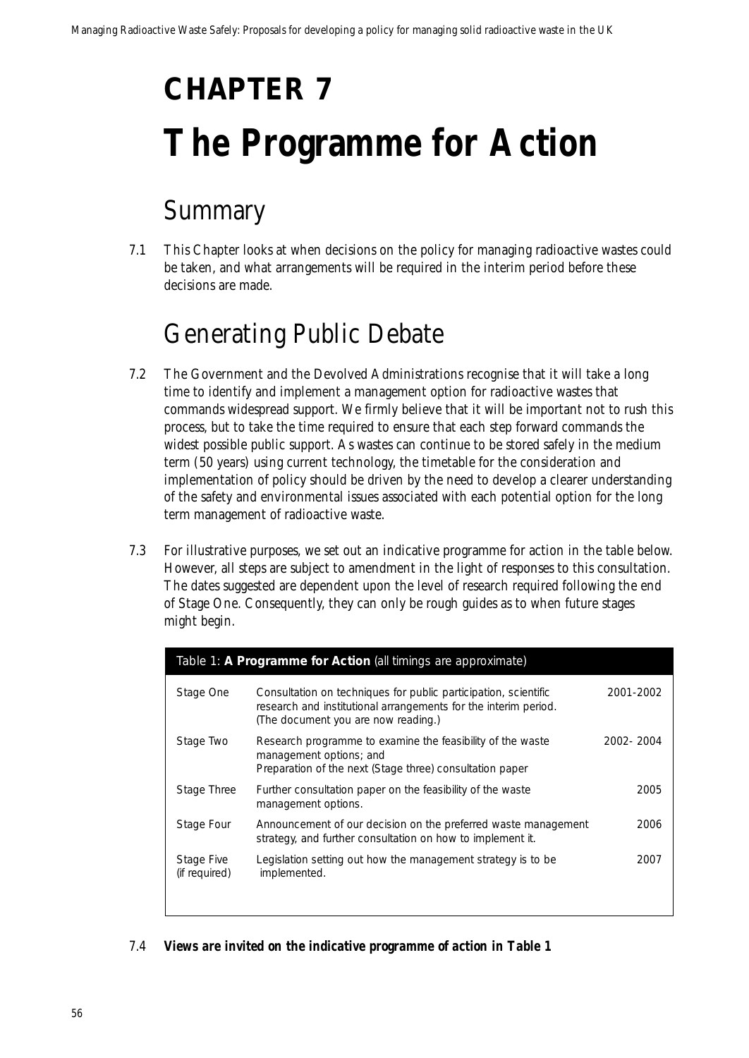# **CHAPTER 7 The Programme for Action**

## Summary

7.1 This Chapter looks at when decisions on the policy for managing radioactive wastes could be taken, and what arrangements will be required in the interim period before these decisions are made.

## Generating Public Debate

- 7.2 The Government and the Devolved Administrations recognise that it will take a long time to identify and implement a management option for radioactive wastes that commands widespread support. We firmly believe that it will be important not to rush this process, but to take the time required to ensure that each step forward commands the widest possible public support. As wastes can continue to be stored safely in the medium term (50 years) using current technology, the timetable for the consideration and implementation of policy should be driven by the need to develop a clearer understanding of the safety and environmental issues associated with each potential option for the long term management of radioactive waste.
- 7.3 For illustrative purposes, we set out an indicative programme for action in the table below. However, all steps are subject to amendment in the light of responses to this consultation. The dates suggested are dependent upon the level of research required following the end of Stage One. Consequently, they can only be rough guides as to when future stages might begin.

| Table 1: A Programme for Action (all timings are approximate) |                                                                                                                                                                           |           |
|---------------------------------------------------------------|---------------------------------------------------------------------------------------------------------------------------------------------------------------------------|-----------|
| Stage One                                                     | Consultation on techniques for public participation, scientific<br>research and institutional arrangements for the interim period.<br>(The document you are now reading.) | 2001-2002 |
| Stage Two                                                     | Research programme to examine the feasibility of the waste<br>management options; and<br>Preparation of the next (Stage three) consultation paper                         | 2002-2004 |
| Stage Three                                                   | Further consultation paper on the feasibility of the waste<br>management options.                                                                                         | 2005      |
| Stage Four                                                    | Announcement of our decision on the preferred waste management<br>strategy, and further consultation on how to implement it.                                              | 2006      |
| Stage Five<br>(if required)                                   | Legislation setting out how the management strategy is to be<br>implemented.                                                                                              | 2007      |

### 7.4 *Views are invited on the indicative programme of action in Table 1*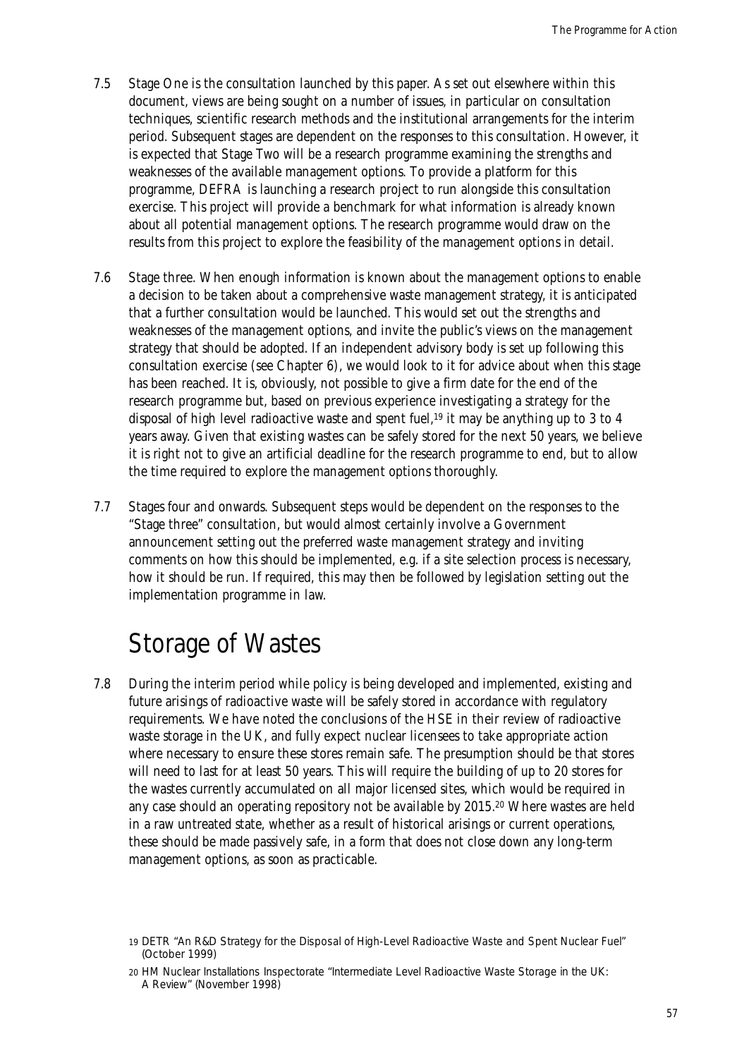- 7.5 Stage One is the consultation launched by this paper. As set out elsewhere within this document, views are being sought on a number of issues, in particular on consultation techniques, scientific research methods and the institutional arrangements for the interim period. Subsequent stages are dependent on the responses to this consultation. However, it is expected that Stage Two will be a research programme examining the strengths and weaknesses of the available management options. To provide a platform for this programme, DEFRA is launching a research project to run alongside this consultation exercise. This project will provide a benchmark for what information is already known about all potential management options. The research programme would draw on the results from this project to explore the feasibility of the management options in detail.
- 7.6 Stage three. When enough information is known about the management options to enable a decision to be taken about a comprehensive waste management strategy, it is anticipated that a further consultation would be launched. This would set out the strengths and weaknesses of the management options, and invite the public's views on the management strategy that should be adopted. If an independent advisory body is set up following this consultation exercise (see Chapter 6), we would look to it for advice about when this stage has been reached. It is, obviously, not possible to give a firm date for the end of the research programme but, based on previous experience investigating a strategy for the disposal of high level radioactive waste and spent fuel,<sup>19</sup> it may be anything up to 3 to 4 years away. Given that existing wastes can be safely stored for the next 50 years, we believe it is right not to give an artificial deadline for the research programme to end, but to allow the time required to explore the management options thoroughly.
- 7.7 Stages four and onwards. Subsequent steps would be dependent on the responses to the "Stage three" consultation, but would almost certainly involve a Government announcement setting out the preferred waste management strategy and inviting comments on how this should be implemented, e.g. if a site selection process is necessary, how it should be run. If required, this may then be followed by legislation setting out the implementation programme in law.

### Storage of Wastes

7.8 During the interim period while policy is being developed and implemented, existing and future arisings of radioactive waste will be safely stored in accordance with regulatory requirements. We have noted the conclusions of the HSE in their review of radioactive waste storage in the UK, and fully expect nuclear licensees to take appropriate action where necessary to ensure these stores remain safe. The presumption should be that stores will need to last for at least 50 years. This will require the building of up to 20 stores for the wastes currently accumulated on all major licensed sites, which would be required in any case should an operating repository not be available by 2015.20 Where wastes are held in a raw untreated state, whether as a result of historical arisings or current operations, these should be made passively safe, in a form that does not close down any long-term management options, as soon as practicable.

<sup>19</sup> DETR "An R&D Strategy for the Disposal of High-Level Radioactive Waste and Spent Nuclear Fuel" (October 1999)

<sup>20</sup> HM Nuclear Installations Inspectorate "Intermediate Level Radioactive Waste Storage in the UK: A Review" (November 1998)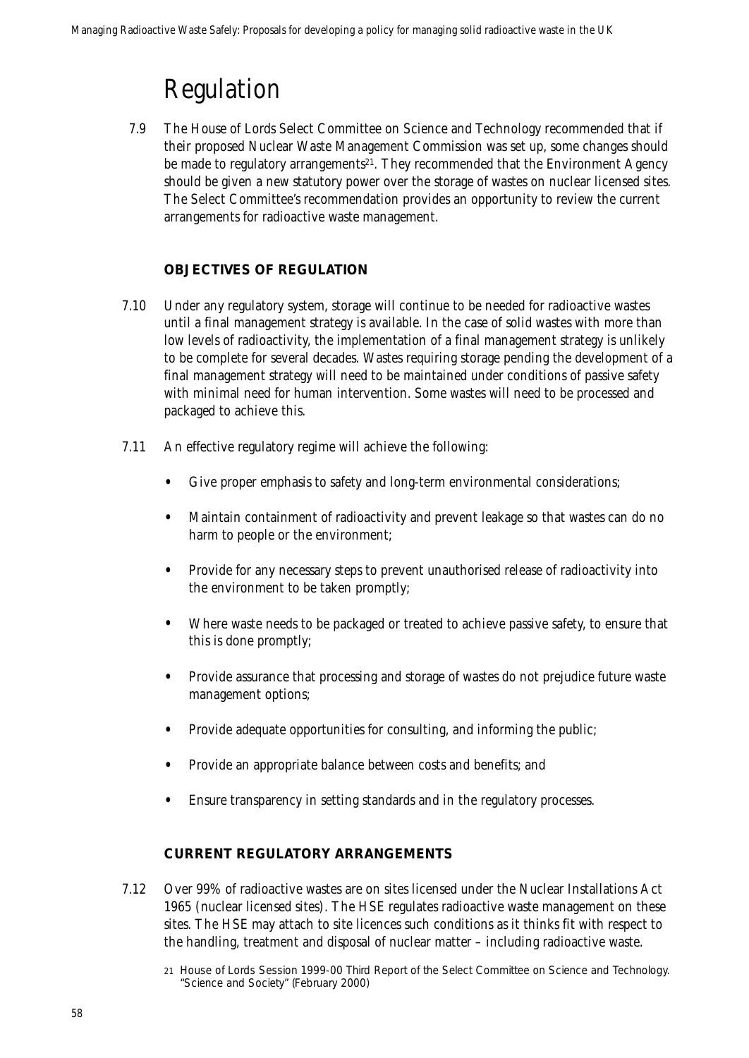## Regulation

7.9 The House of Lords Select Committee on Science and Technology recommended that if their proposed Nuclear Waste Management Commission was set up, some changes should be made to regulatory arrangements<sup>21</sup>. They recommended that the Environment Agency should be given a new statutory power over the storage of wastes on nuclear licensed sites. The Select Committee's recommendation provides an opportunity to review the current arrangements for radioactive waste management.

### **OBJECTIVES OF REGULATION**

- 7.10 Under any regulatory system, storage will continue to be needed for radioactive wastes until a final management strategy is available. In the case of solid wastes with more than low levels of radioactivity, the implementation of a final management strategy is unlikely to be complete for several decades. Wastes requiring storage pending the development of a final management strategy will need to be maintained under conditions of passive safety with minimal need for human intervention. Some wastes will need to be processed and packaged to achieve this.
- 7.11 An effective regulatory regime will achieve the following:
	- Give proper emphasis to safety and long-term environmental considerations;
	- Maintain containment of radioactivity and prevent leakage so that wastes can do no harm to people or the environment;
	- Provide for any necessary steps to prevent unauthorised release of radioactivity into the environment to be taken promptly;
	- Where waste needs to be packaged or treated to achieve passive safety, to ensure that this is done promptly;
	- Provide assurance that processing and storage of wastes do not prejudice future waste management options;
	- Provide adequate opportunities for consulting, and informing the public;
	- Provide an appropriate balance between costs and benefits; and
	- Ensure transparency in setting standards and in the regulatory processes.

### **CURRENT REGULATORY ARRANGEMENTS**

- 7.12 Over 99% of radioactive wastes are on sites licensed under the Nuclear Installations Act 1965 (nuclear licensed sites). The HSE regulates radioactive waste management on these sites. The HSE may attach to site licences such conditions as it thinks fit with respect to the handling, treatment and disposal of nuclear matter – including radioactive waste.
	- 21 House of Lords Session 1999-00 Third Report of the Select Committee on Science and Technology. "Science and Society" (February 2000)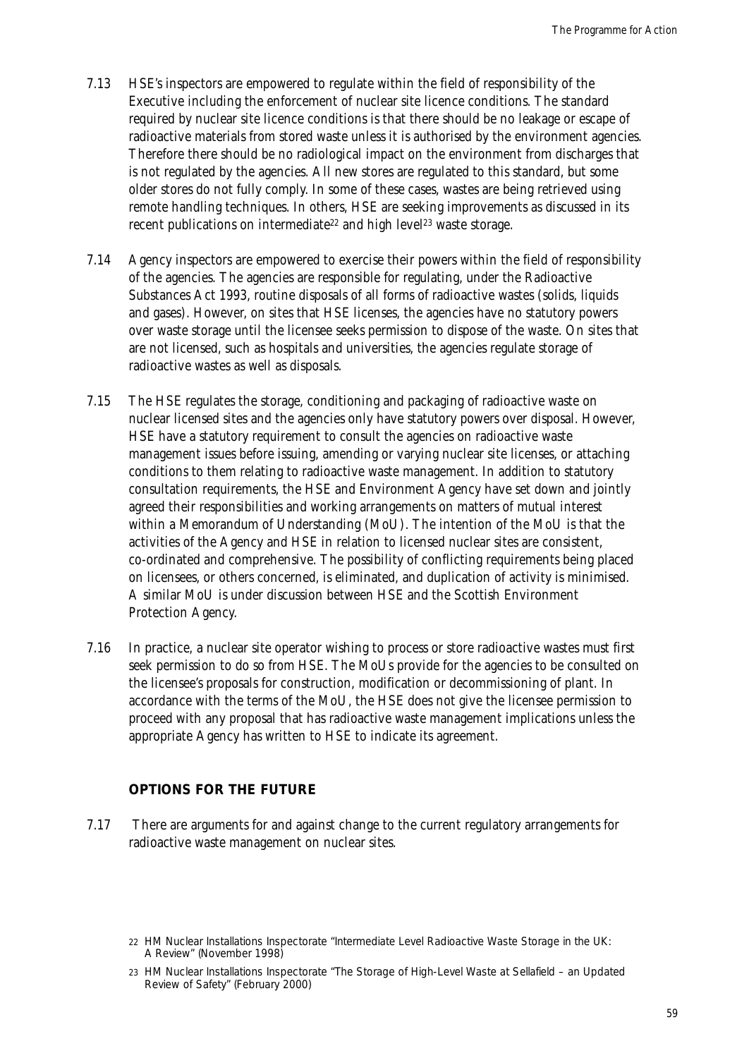- 7.13 HSE's inspectors are empowered to regulate within the field of responsibility of the Executive including the enforcement of nuclear site licence conditions. The standard required by nuclear site licence conditions is that there should be no leakage or escape of radioactive materials from stored waste unless it is authorised by the environment agencies. Therefore there should be no radiological impact on the environment from discharges that is not regulated by the agencies. All new stores are regulated to this standard, but some older stores do not fully comply. In some of these cases, wastes are being retrieved using remote handling techniques. In others, HSE are seeking improvements as discussed in its recent publications on intermediate<sup>22</sup> and high level<sup>23</sup> waste storage.
- 7.14 Agency inspectors are empowered to exercise their powers within the field of responsibility of the agencies. The agencies are responsible for regulating, under the Radioactive Substances Act 1993, routine disposals of all forms of radioactive wastes (solids, liquids and gases). However, on sites that HSE licenses, the agencies have no statutory powers over waste storage until the licensee seeks permission to dispose of the waste. On sites that are not licensed, such as hospitals and universities, the agencies regulate storage of radioactive wastes as well as disposals.
- 7.15 The HSE regulates the storage, conditioning and packaging of radioactive waste on nuclear licensed sites and the agencies only have statutory powers over disposal. However, HSE have a statutory requirement to consult the agencies on radioactive waste management issues before issuing, amending or varying nuclear site licenses, or attaching conditions to them relating to radioactive waste management. In addition to statutory consultation requirements, the HSE and Environment Agency have set down and jointly agreed their responsibilities and working arrangements on matters of mutual interest within a Memorandum of Understanding (MoU). The intention of the MoU is that the activities of the Agency and HSE in relation to licensed nuclear sites are consistent, co-ordinated and comprehensive. The possibility of conflicting requirements being placed on licensees, or others concerned, is eliminated, and duplication of activity is minimised. A similar MoU is under discussion between HSE and the Scottish Environment Protection Agency.
- 7.16 In practice, a nuclear site operator wishing to process or store radioactive wastes must first seek permission to do so from HSE. The MoUs provide for the agencies to be consulted on the licensee's proposals for construction, modification or decommissioning of plant. In accordance with the terms of the MoU, the HSE does not give the licensee permission to proceed with any proposal that has radioactive waste management implications unless the appropriate Agency has written to HSE to indicate its agreement.

### **OPTIONS FOR THE FUTURE**

7.17 There are arguments for and against change to the current regulatory arrangements for radioactive waste management on nuclear sites.

<sup>22</sup> HM Nuclear Installations Inspectorate "Intermediate Level Radioactive Waste Storage in the UK: A Review" (November 1998)

<sup>23</sup> HM Nuclear Installations Inspectorate "The Storage of High-Level Waste at Sellafield – an Updated Review of Safety" (February 2000)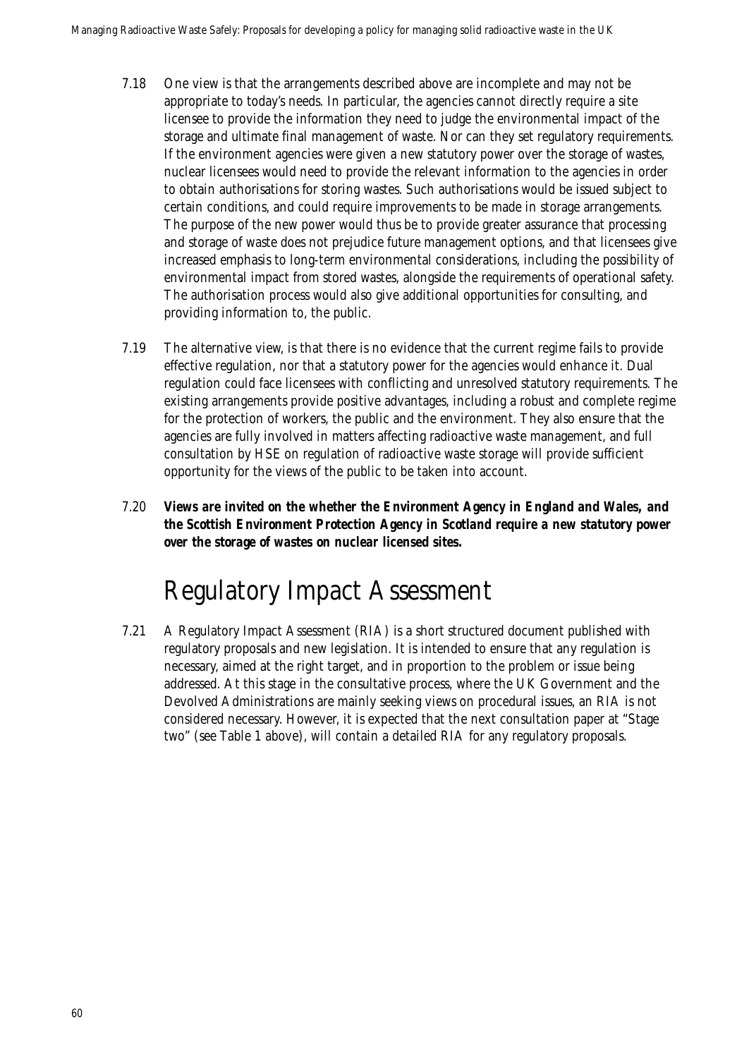- 7.18 One view is that the arrangements described above are incomplete and may not be appropriate to today's needs. In particular, the agencies cannot directly require a site licensee to provide the information they need to judge the environmental impact of the storage and ultimate final management of waste. Nor can they set regulatory requirements. If the environment agencies were given a new statutory power over the storage of wastes, nuclear licensees would need to provide the relevant information to the agencies in order to obtain authorisations for storing wastes. Such authorisations would be issued subject to certain conditions, and could require improvements to be made in storage arrangements. The purpose of the new power would thus be to provide greater assurance that processing and storage of waste does not prejudice future management options, and that licensees give increased emphasis to long-term environmental considerations, including the possibility of environmental impact from stored wastes, alongside the requirements of operational safety. The authorisation process would also give additional opportunities for consulting, and providing information to, the public.
- 7.19 The alternative view, is that there is no evidence that the current regime fails to provide effective regulation, nor that a statutory power for the agencies would enhance it. Dual regulation could face licensees with conflicting and unresolved statutory requirements. The existing arrangements provide positive advantages, including a robust and complete regime for the protection of workers, the public and the environment. They also ensure that the agencies are fully involved in matters affecting radioactive waste management, and full consultation by HSE on regulation of radioactive waste storage will provide sufficient opportunity for the views of the public to be taken into account.
- 7.20 *Views are invited on the whether the Environment Agency in England and Wales, and the Scottish Environment Protection Agency in Scotland require a new statutory power over the storage of wastes on nuclear licensed sites.*

## Regulatory Impact Assessment

7.21 A Regulatory Impact Assessment (RIA) is a short structured document published with regulatory proposals and new legislation. It is intended to ensure that any regulation is necessary, aimed at the right target, and in proportion to the problem or issue being addressed. At this stage in the consultative process, where the UK Government and the Devolved Administrations are mainly seeking views on procedural issues, an RIA is not considered necessary. However, it is expected that the next consultation paper at "Stage two" (see Table 1 above), will contain a detailed RIA for any regulatory proposals.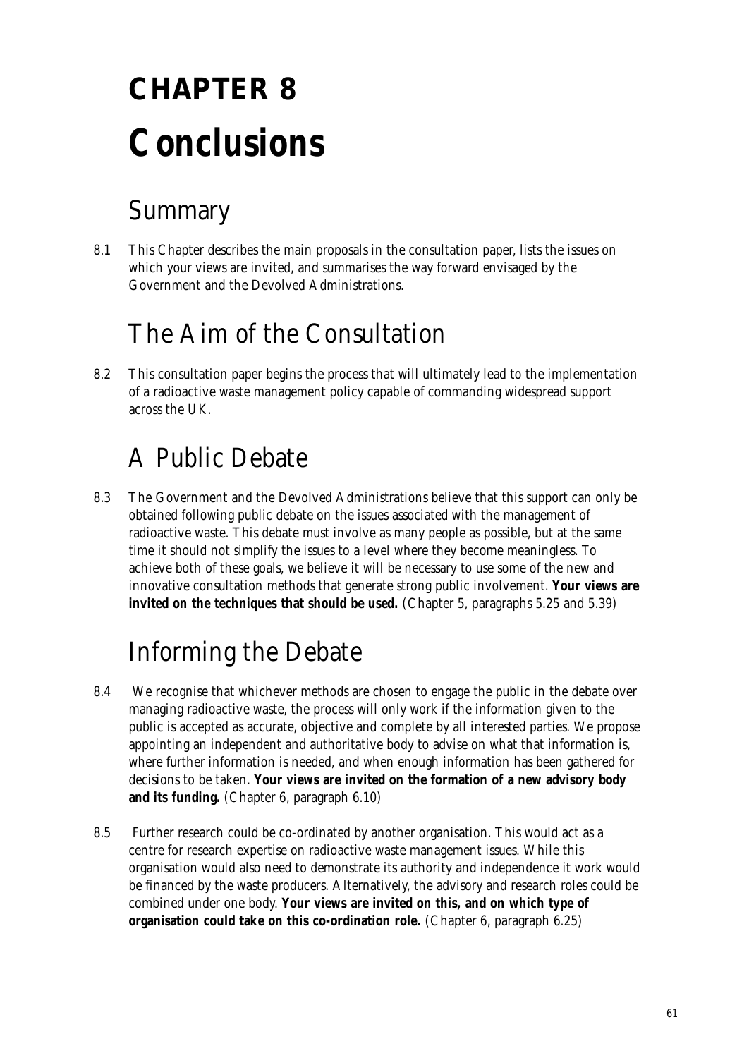# **CHAPTER 8 Conclusions**

## Summary

8.1 This Chapter describes the main proposals in the consultation paper, lists the issues on which your views are invited, and summarises the way forward envisaged by the Government and the Devolved Administrations.

## The Aim of the Consultation

8.2 This consultation paper begins the process that will ultimately lead to the implementation of a radioactive waste management policy capable of commanding widespread support across the UK.

## A Public Debate

8.3 The Government and the Devolved Administrations believe that this support can only be obtained following public debate on the issues associated with the management of radioactive waste. This debate must involve as many people as possible, but at the same time it should not simplify the issues to a level where they become meaningless. To achieve both of these goals, we believe it will be necessary to use some of the new and innovative consultation methods that generate strong public involvement. **Your views are invited on the techniques that should be used.** (Chapter 5, paragraphs 5.25 and 5.39)

## Informing the Debate

- 8.4 We recognise that whichever methods are chosen to engage the public in the debate over managing radioactive waste, the process will only work if the information given to the public is accepted as accurate, objective and complete by all interested parties. We propose appointing an independent and authoritative body to advise on what that information is, where further information is needed, and when enough information has been gathered for decisions to be taken. **Your views are invited on the formation of a new advisory body and its funding.** (Chapter 6, paragraph 6.10)
- 8.5 Further research could be co-ordinated by another organisation. This would act as a centre for research expertise on radioactive waste management issues. While this organisation would also need to demonstrate its authority and independence it work would be financed by the waste producers. Alternatively, the advisory and research roles could be combined under one body. **Your views are invited on this, and on which type of organisation could take on this co-ordination role.** (Chapter 6, paragraph 6.25)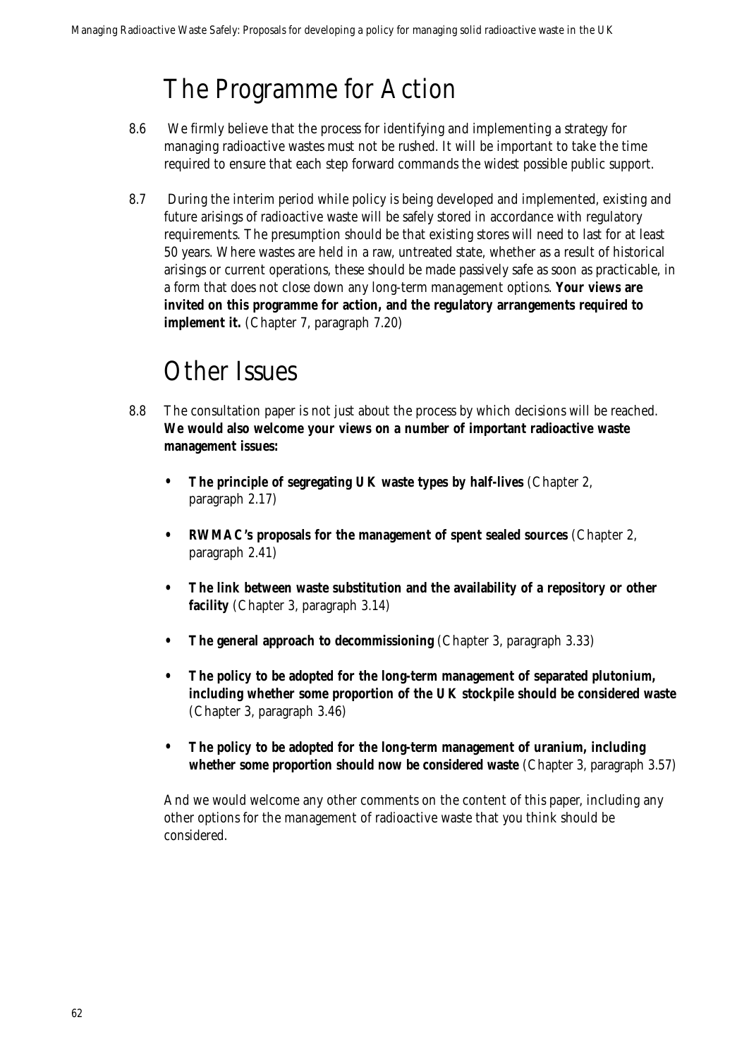## The Programme for Action

- 8.6 We firmly believe that the process for identifying and implementing a strategy for managing radioactive wastes must not be rushed. It will be important to take the time required to ensure that each step forward commands the widest possible public support.
- 8.7 During the interim period while policy is being developed and implemented, existing and future arisings of radioactive waste will be safely stored in accordance with regulatory requirements. The presumption should be that existing stores will need to last for at least 50 years. Where wastes are held in a raw, untreated state, whether as a result of historical arisings or current operations, these should be made passively safe as soon as practicable, in a form that does not close down any long-term management options. **Your views are invited on this programme for action, and the regulatory arrangements required to implement it.** (Chapter 7, paragraph 7.20)

### Other Issues

- 8.8 The consultation paper is not just about the process by which decisions will be reached. **We would also welcome your views on a number of important radioactive waste management issues:**
	- **The principle of segregating UK waste types by half-lives** (Chapter 2, paragraph 2.17)
	- **RWMAC's proposals for the management of spent sealed sources** (Chapter 2, paragraph 2.41)
	- **The link between waste substitution and the availability of a repository or other facility** (Chapter 3, paragraph 3.14)
	- **The general approach to decommissioning** (Chapter 3, paragraph 3.33)
	- **The policy to be adopted for the long-term management of separated plutonium, including whether some proportion of the UK stockpile should be considered waste** (Chapter 3, paragraph 3.46)
	- **The policy to be adopted for the long-term management of uranium, including whether some proportion should now be considered waste** (Chapter 3, paragraph 3.57)

And we would welcome any other comments on the content of this paper, including any other options for the management of radioactive waste that you think should be considered.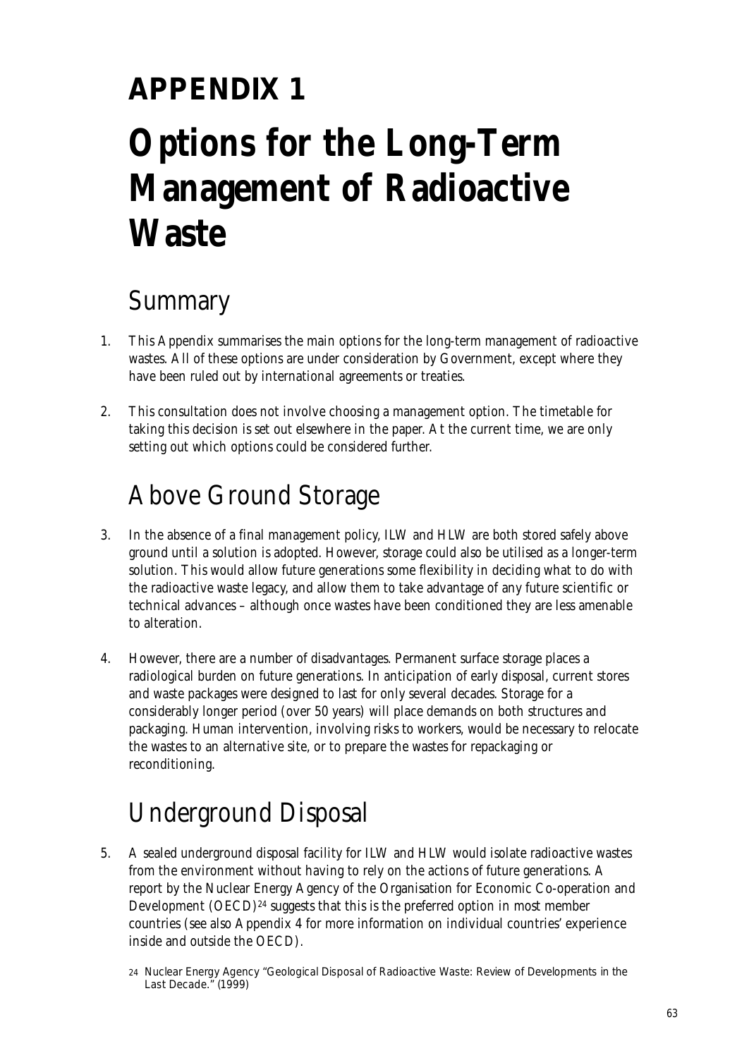## **APPENDIX 1 Options for the Long-Term Management of Radioactive Waste**

## Summary

- 1. This Appendix summarises the main options for the long-term management of radioactive wastes. All of these options are under consideration by Government, except where they have been ruled out by international agreements or treaties.
- 2. This consultation does not involve choosing a management option. The timetable for taking this decision is set out elsewhere in the paper. At the current time, we are only setting out which options could be considered further.

## Above Ground Storage

- 3. In the absence of a final management policy, ILW and HLW are both stored safely above ground until a solution is adopted. However, storage could also be utilised as a longer-term solution. This would allow future generations some flexibility in deciding what to do with the radioactive waste legacy, and allow them to take advantage of any future scientific or technical advances – although once wastes have been conditioned they are less amenable to alteration.
- 4. However, there are a number of disadvantages. Permanent surface storage places a radiological burden on future generations. In anticipation of early disposal, current stores and waste packages were designed to last for only several decades. Storage for a considerably longer period (over 50 years) will place demands on both structures and packaging. Human intervention, involving risks to workers, would be necessary to relocate the wastes to an alternative site, or to prepare the wastes for repackaging or reconditioning.

## Underground Disposal

5. A sealed underground disposal facility for ILW and HLW would isolate radioactive wastes from the environment without having to rely on the actions of future generations. A report by the Nuclear Energy Agency of the Organisation for Economic Co-operation and Development  $(OECD)^{24}$  suggests that this is the preferred option in most member countries (see also Appendix 4 for more information on individual countries' experience inside and outside the OECD).

<sup>24</sup> Nuclear Energy Agency "Geological Disposal of Radioactive Waste: Review of Developments in the Last Decade." (1999)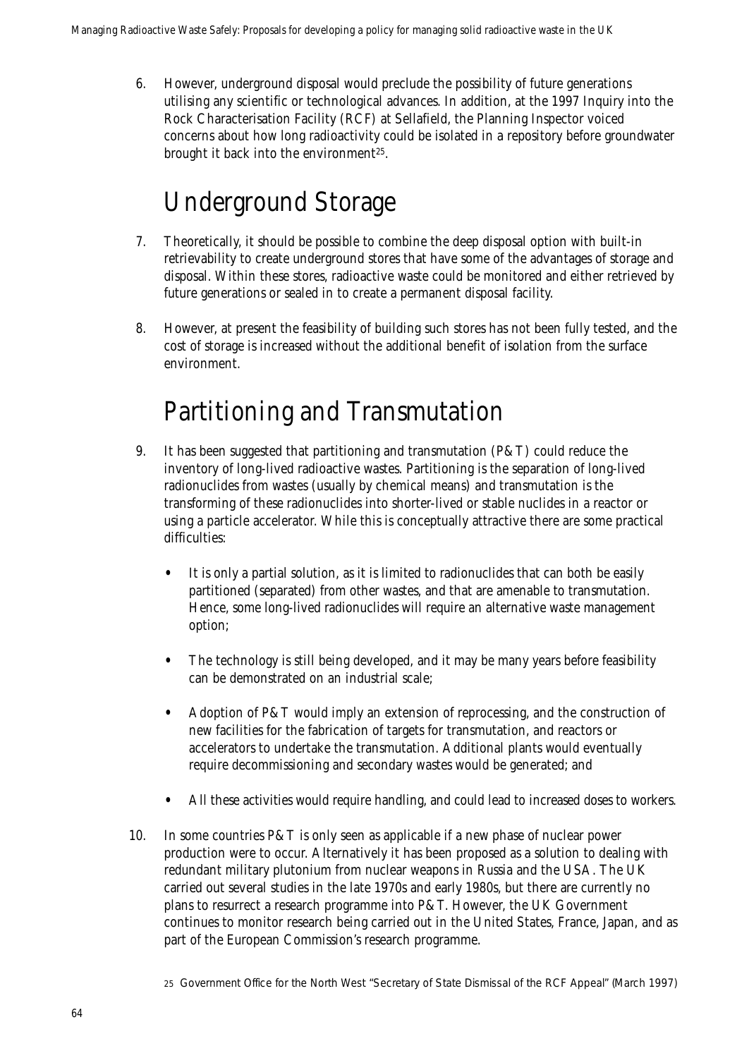6. However, underground disposal would preclude the possibility of future generations utilising any scientific or technological advances. In addition, at the 1997 Inquiry into the Rock Characterisation Facility (RCF) at Sellafield, the Planning Inspector voiced concerns about how long radioactivity could be isolated in a repository before groundwater brought it back into the environment<sup>25</sup>.

## Underground Storage

- 7. Theoretically, it should be possible to combine the deep disposal option with built-in retrievability to create underground stores that have some of the advantages of storage and disposal. Within these stores, radioactive waste could be monitored and either retrieved by future generations or sealed in to create a permanent disposal facility.
- 8. However, at present the feasibility of building such stores has not been fully tested, and the cost of storage is increased without the additional benefit of isolation from the surface environment.

## Partitioning and Transmutation

- 9. It has been suggested that partitioning and transmutation (P&T) could reduce the inventory of long-lived radioactive wastes. Partitioning is the separation of long-lived radionuclides from wastes (usually by chemical means) and transmutation is the transforming of these radionuclides into shorter-lived or stable nuclides in a reactor or using a particle accelerator. While this is conceptually attractive there are some practical difficulties:
	- It is only a partial solution, as it is limited to radionuclides that can both be easily partitioned (separated) from other wastes, and that are amenable to transmutation. Hence, some long-lived radionuclides will require an alternative waste management option;
	- The technology is still being developed, and it may be many years before feasibility can be demonstrated on an industrial scale;
	- Adoption of P&T would imply an extension of reprocessing, and the construction of new facilities for the fabrication of targets for transmutation, and reactors or accelerators to undertake the transmutation. Additional plants would eventually require decommissioning and secondary wastes would be generated; and
	- All these activities would require handling, and could lead to increased doses to workers.
- 10. In some countries P&T is only seen as applicable if a new phase of nuclear power production were to occur. Alternatively it has been proposed as a solution to dealing with redundant military plutonium from nuclear weapons in Russia and the USA. The UK carried out several studies in the late 1970s and early 1980s, but there are currently no plans to resurrect a research programme into P&T. However, the UK Government continues to monitor research being carried out in the United States, France, Japan, and as part of the European Commission's research programme.

<sup>25</sup> Government Office for the North West "Secretary of State Dismissal of the RCF Appeal" (March 1997)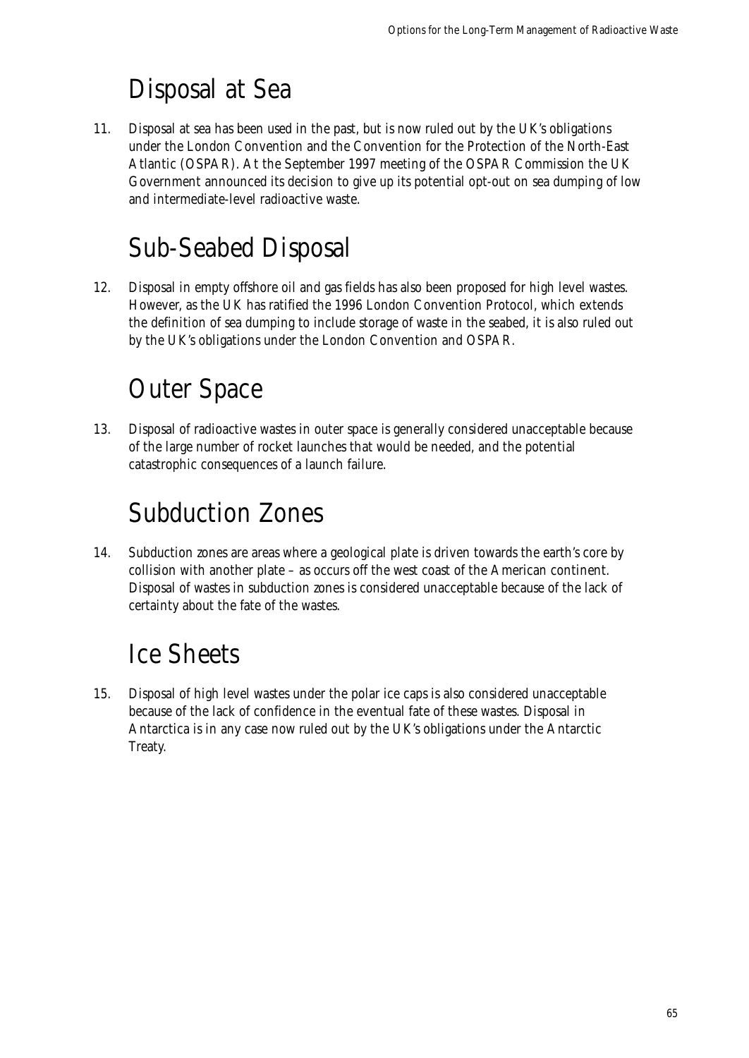## Disposal at Sea

11. Disposal at sea has been used in the past, but is now ruled out by the UK's obligations under the London Convention and the Convention for the Protection of the North-East Atlantic (OSPAR). At the September 1997 meeting of the OSPAR Commission the UK Government announced its decision to give up its potential opt-out on sea dumping of low and intermediate-level radioactive waste.

## Sub-Seabed Disposal

12. Disposal in empty offshore oil and gas fields has also been proposed for high level wastes. However, as the UK has ratified the 1996 London Convention Protocol, which extends the definition of sea dumping to include storage of waste in the seabed, it is also ruled out by the UK's obligations under the London Convention and OSPAR.

## Outer Space

13. Disposal of radioactive wastes in outer space is generally considered unacceptable because of the large number of rocket launches that would be needed, and the potential catastrophic consequences of a launch failure.

## Subduction Zones

14. Subduction zones are areas where a geological plate is driven towards the earth's core by collision with another plate – as occurs off the west coast of the American continent. Disposal of wastes in subduction zones is considered unacceptable because of the lack of certainty about the fate of the wastes.

## Ice Sheets

15. Disposal of high level wastes under the polar ice caps is also considered unacceptable because of the lack of confidence in the eventual fate of these wastes. Disposal in Antarctica is in any case now ruled out by the UK's obligations under the Antarctic Treaty.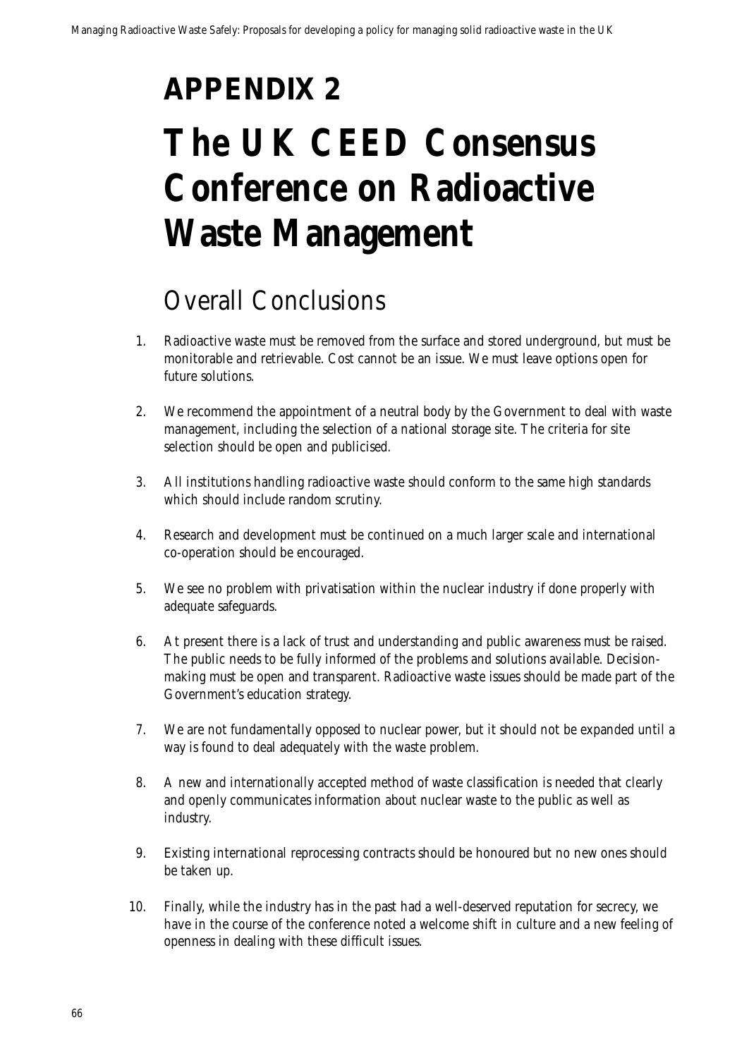## **APPENDIX 2**

## **The UK CEED Consensus Conference on Radioactive Waste Management**

## Overall Conclusions

- 1. Radioactive waste must be removed from the surface and stored underground, but must be monitorable and retrievable. Cost cannot be an issue. We must leave options open for future solutions.
- 2. We recommend the appointment of a neutral body by the Government to deal with waste management, including the selection of a national storage site. The criteria for site selection should be open and publicised.
- 3. All institutions handling radioactive waste should conform to the same high standards which should include random scrutiny.
- 4. Research and development must be continued on a much larger scale and international co-operation should be encouraged.
- 5. We see no problem with privatisation within the nuclear industry if done properly with adequate safeguards.
- 6. At present there is a lack of trust and understanding and public awareness must be raised. The public needs to be fully informed of the problems and solutions available. Decisionmaking must be open and transparent. Radioactive waste issues should be made part of the Government's education strategy.
- 7. We are not fundamentally opposed to nuclear power, but it should not be expanded until a way is found to deal adequately with the waste problem.
- 8. A new and internationally accepted method of waste classification is needed that clearly and openly communicates information about nuclear waste to the public as well as industry.
- 9. Existing international reprocessing contracts should be honoured but no new ones should be taken up.
- 10. Finally, while the industry has in the past had a well-deserved reputation for secrecy, we have in the course of the conference noted a welcome shift in culture and a new feeling of openness in dealing with these difficult issues.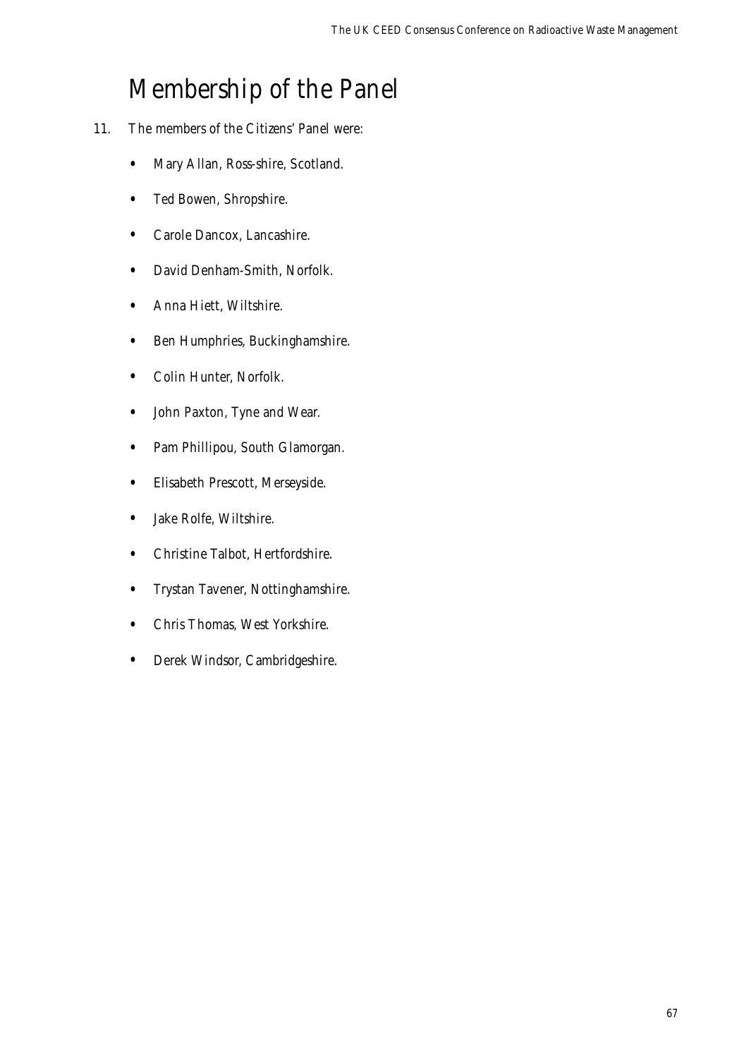### Membership of the Panel

- 11. The members of the Citizens' Panel were:
	- Mary Allan, Ross-shire, Scotland.
	- Ted Bowen, Shropshire.
	- Carole Dancox, Lancashire.
	- David Denham-Smith, Norfolk.
	- Anna Hiett, Wiltshire.
	- Ben Humphries, Buckinghamshire.
	- Colin Hunter, Norfolk.
	- John Paxton, Tyne and Wear.
	- Pam Phillipou, South Glamorgan.
	- Elisabeth Prescott, Merseyside.
	- Jake Rolfe, Wiltshire.
	- Christine Talbot, Hertfordshire.
	- Trystan Tavener, Nottinghamshire.
	- Chris Thomas, West Yorkshire.
	- Derek Windsor, Cambridgeshire.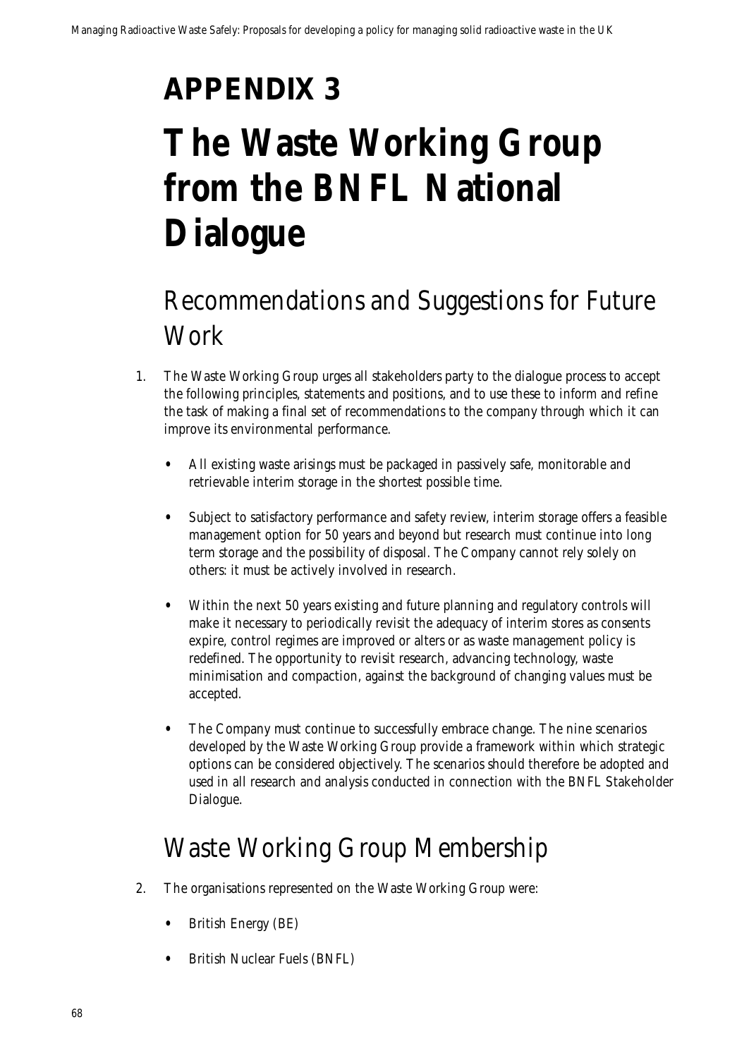## **APPENDIX 3**

## **The Waste Working Group from the BNFL National Dialogue**

## Recommendations and Suggestions for Future Work

- 1. The Waste Working Group urges all stakeholders party to the dialogue process to accept the following principles, statements and positions, and to use these to inform and refine the task of making a final set of recommendations to the company through which it can improve its environmental performance.
	- All existing waste arisings must be packaged in passively safe, monitorable and retrievable interim storage in the shortest possible time.
	- Subject to satisfactory performance and safety review, interim storage offers a feasible management option for 50 years and beyond but research must continue into long term storage and the possibility of disposal. The Company cannot rely solely on others: it must be actively involved in research.
	- Within the next 50 years existing and future planning and regulatory controls will make it necessary to periodically revisit the adequacy of interim stores as consents expire, control regimes are improved or alters or as waste management policy is redefined. The opportunity to revisit research, advancing technology, waste minimisation and compaction, against the background of changing values must be accepted.
	- The Company must continue to successfully embrace change. The nine scenarios developed by the Waste Working Group provide a framework within which strategic options can be considered objectively. The scenarios should therefore be adopted and used in all research and analysis conducted in connection with the BNFL Stakeholder Dialogue.

## Waste Working Group Membership

- 2. The organisations represented on the Waste Working Group were:
	- British Energy (BE)
	- British Nuclear Fuels (BNFL)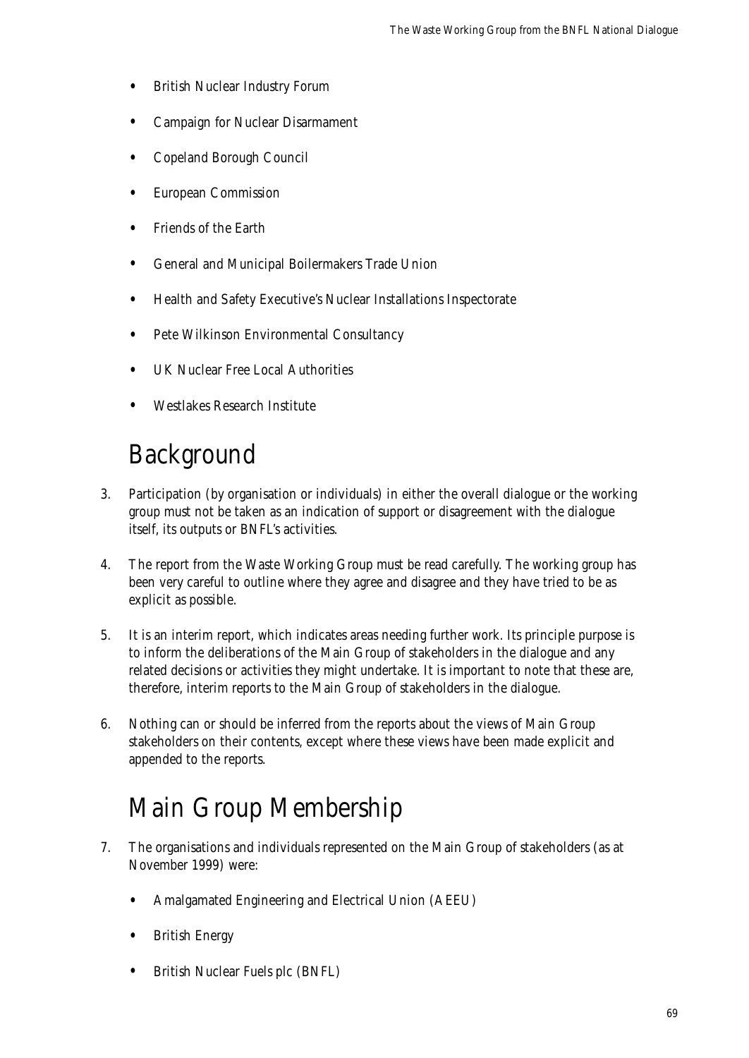- British Nuclear Industry Forum
- Campaign for Nuclear Disarmament
- Copeland Borough Council
- European Commission
- Friends of the Earth
- General and Municipal Boilermakers Trade Union
- Health and Safety Executive's Nuclear Installations Inspectorate
- Pete Wilkinson Environmental Consultancy
- UK Nuclear Free Local Authorities
- Westlakes Research Institute

### Background

- 3. Participation (by organisation or individuals) in either the overall dialogue or the working group must not be taken as an indication of support or disagreement with the dialogue itself, its outputs or BNFL's activities.
- 4. The report from the Waste Working Group must be read carefully. The working group has been very careful to outline where they agree and disagree and they have tried to be as explicit as possible.
- 5. It is an interim report, which indicates areas needing further work. Its principle purpose is to inform the deliberations of the Main Group of stakeholders in the dialogue and any related decisions or activities they might undertake. It is important to note that these are, therefore, interim reports to the Main Group of stakeholders in the dialogue.
- 6. Nothing can or should be inferred from the reports about the views of Main Group stakeholders on their contents, except where these views have been made explicit and appended to the reports.

### Main Group Membership

- 7. The organisations and individuals represented on the Main Group of stakeholders (as at November 1999) were:
	- Amalgamated Engineering and Electrical Union (AEEU)
	- British Energy
	- British Nuclear Fuels plc (BNFL)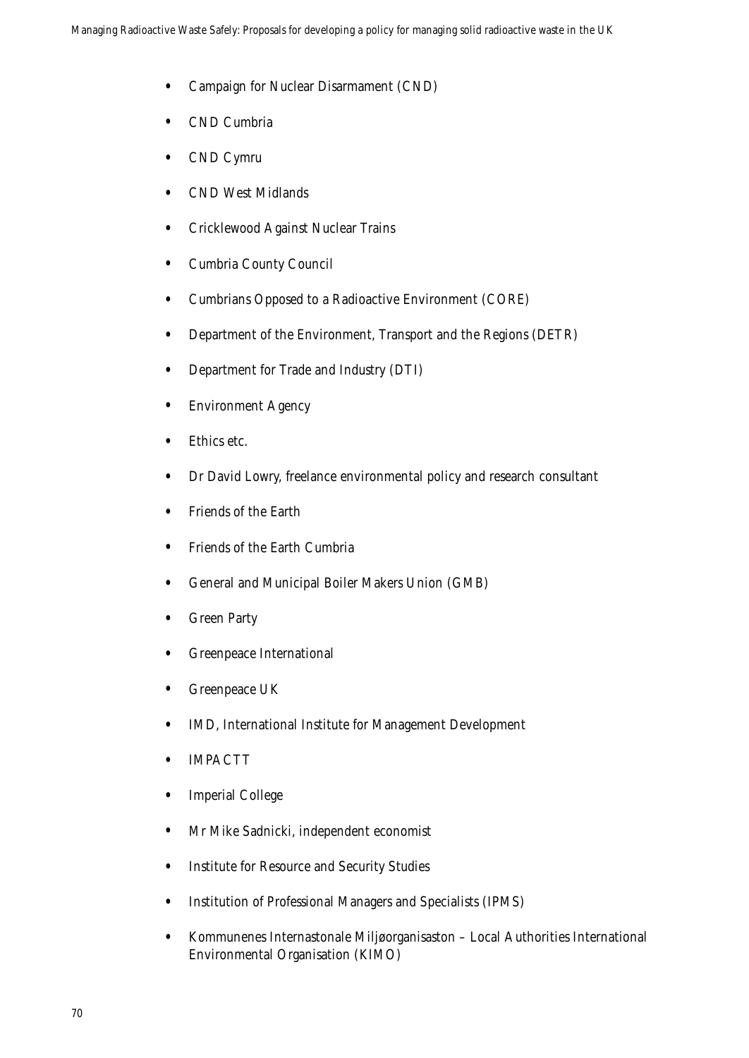- Campaign for Nuclear Disarmament (CND)
- CND Cumbria
- CND Cymru
- CND West Midlands
- Cricklewood Against Nuclear Trains
- Cumbria County Council
- Cumbrians Opposed to a Radioactive Environment (CORE)
- Department of the Environment, Transport and the Regions (DETR)
- Department for Trade and Industry (DTI)
- Environment Agency
- Ethics etc.
- Dr David Lowry, freelance environmental policy and research consultant
- Friends of the Earth
- Friends of the Earth Cumbria
- General and Municipal Boiler Makers Union (GMB)
- **Green Party**
- Greenpeace International
- Greenpeace UK
- IMD, International Institute for Management Development
- **IMPACTT**
- Imperial College
- Mr Mike Sadnicki, independent economist
- Institute for Resource and Security Studies
- Institution of Professional Managers and Specialists (IPMS)
- Kommunenes Internastonale Miljøorganisaston Local Authorities International Environmental Organisation (KIMO)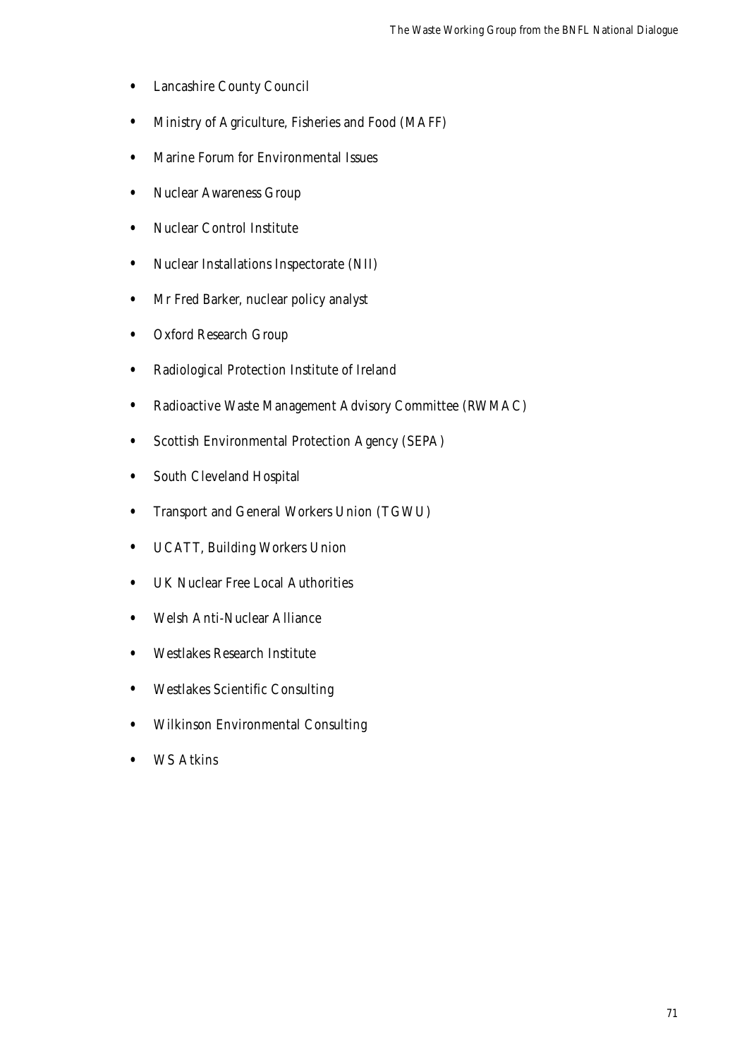- Lancashire County Council
- Ministry of Agriculture, Fisheries and Food (MAFF)
- Marine Forum for Environmental Issues
- Nuclear Awareness Group
- Nuclear Control Institute
- Nuclear Installations Inspectorate (NII)
- Mr Fred Barker, nuclear policy analyst
- Oxford Research Group
- Radiological Protection Institute of Ireland
- Radioactive Waste Management Advisory Committee (RWMAC)
- Scottish Environmental Protection Agency (SEPA)
- South Cleveland Hospital
- Transport and General Workers Union (TGWU)
- UCATT, Building Workers Union
- UK Nuclear Free Local Authorities
- Welsh Anti-Nuclear Alliance
- Westlakes Research Institute
- Westlakes Scientific Consulting
- Wilkinson Environmental Consulting
- WS Atkins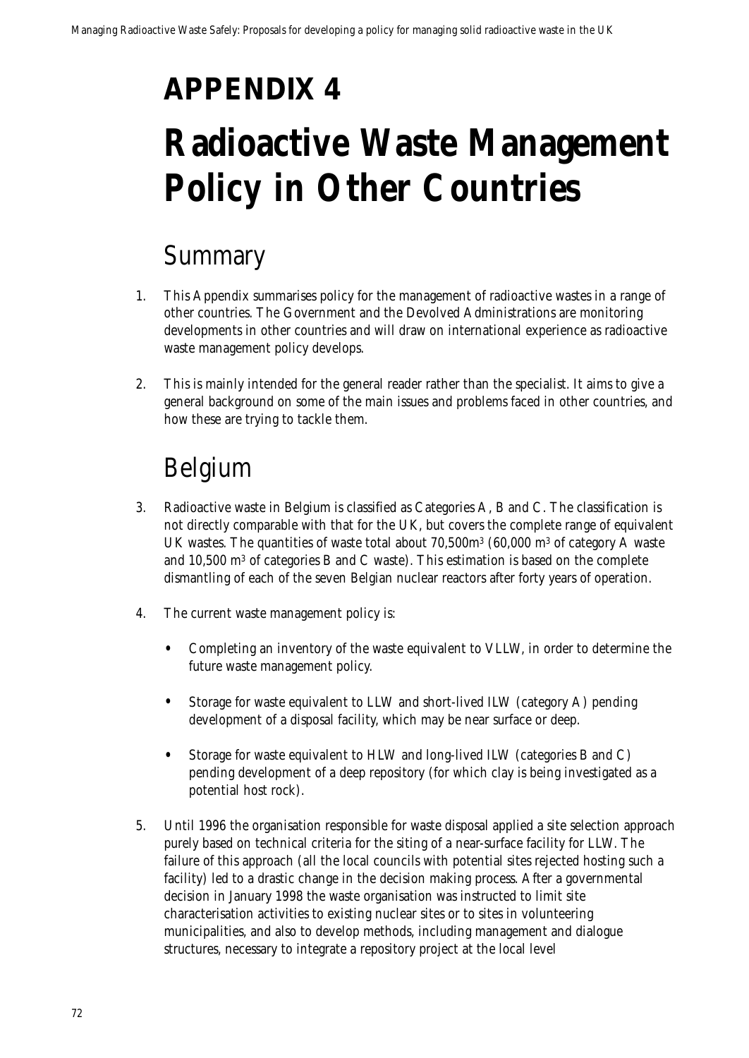## **APPENDIX 4**

## **Radioactive Waste Management Policy in Other Countries**

### Summary

- 1. This Appendix summarises policy for the management of radioactive wastes in a range of other countries. The Government and the Devolved Administrations are monitoring developments in other countries and will draw on international experience as radioactive waste management policy develops.
- 2. This is mainly intended for the general reader rather than the specialist. It aims to give a general background on some of the main issues and problems faced in other countries, and how these are trying to tackle them.

## Belgium

- 3. Radioactive waste in Belgium is classified as Categories A, B and C. The classification is not directly comparable with that for the UK, but covers the complete range of equivalent UK wastes. The quantities of waste total about 70,500m3 (60,000 m3 of category A waste and 10,500 m3 of categories B and C waste). This estimation is based on the complete dismantling of each of the seven Belgian nuclear reactors after forty years of operation.
- 4. The current waste management policy is:
	- Completing an inventory of the waste equivalent to VLLW, in order to determine the future waste management policy.
	- Storage for waste equivalent to LLW and short-lived ILW (category A) pending development of a disposal facility, which may be near surface or deep.
	- Storage for waste equivalent to HLW and long-lived ILW (categories B and C) pending development of a deep repository (for which clay is being investigated as a potential host rock).
- 5. Until 1996 the organisation responsible for waste disposal applied a site selection approach purely based on technical criteria for the siting of a near-surface facility for LLW. The failure of this approach (all the local councils with potential sites rejected hosting such a facility) led to a drastic change in the decision making process. After a governmental decision in January 1998 the waste organisation was instructed to limit site characterisation activities to existing nuclear sites or to sites in volunteering municipalities, and also to develop methods, including management and dialogue structures, necessary to integrate a repository project at the local level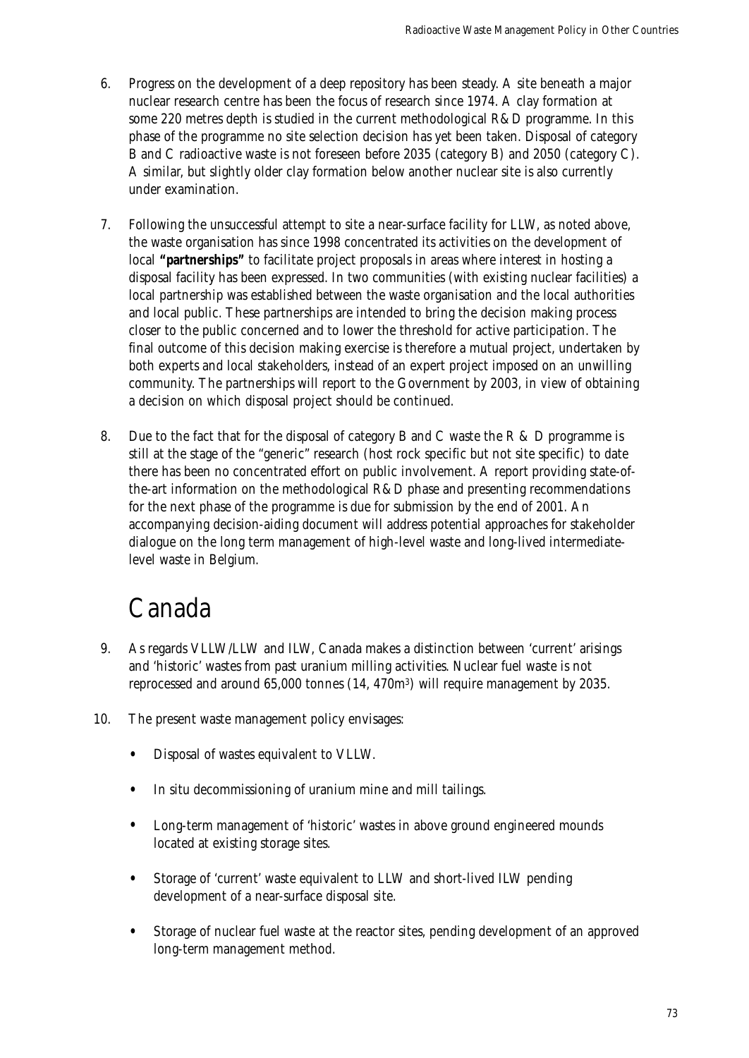- 6. Progress on the development of a deep repository has been steady. A site beneath a major nuclear research centre has been the focus of research since 1974. A clay formation at some 220 metres depth is studied in the current methodological R&D programme. In this phase of the programme no site selection decision has yet been taken. Disposal of category B and C radioactive waste is not foreseen before 2035 (category B) and 2050 (category C). A similar, but slightly older clay formation below another nuclear site is also currently under examination.
- 7. Following the unsuccessful attempt to site a near-surface facility for LLW, as noted above, the waste organisation has since 1998 concentrated its activities on the development of local **"partnerships"** to facilitate project proposals in areas where interest in hosting a disposal facility has been expressed. In two communities (with existing nuclear facilities) a local partnership was established between the waste organisation and the local authorities and local public. These partnerships are intended to bring the decision making process closer to the public concerned and to lower the threshold for active participation. The final outcome of this decision making exercise is therefore a mutual project, undertaken by both experts and local stakeholders, instead of an expert project imposed on an unwilling community. The partnerships will report to the Government by 2003, in view of obtaining a decision on which disposal project should be continued.
- 8. Due to the fact that for the disposal of category B and C waste the R & D programme is still at the stage of the "generic" research (host rock specific but not site specific) to date there has been no concentrated effort on public involvement. A report providing state-ofthe-art information on the methodological R&D phase and presenting recommendations for the next phase of the programme is due for submission by the end of 2001. An accompanying decision-aiding document will address potential approaches for stakeholder dialogue on the long term management of high-level waste and long-lived intermediatelevel waste in Belgium.

### Canada

- 9. As regards VLLW/LLW and ILW, Canada makes a distinction between 'current' arisings and 'historic' wastes from past uranium milling activities. Nuclear fuel waste is not reprocessed and around 65,000 tonnes (14, 470m3) will require management by 2035.
- 10. The present waste management policy envisages:
	- Disposal of wastes equivalent to VLLW.
	- In situ decommissioning of uranium mine and mill tailings.
	- Long-term management of 'historic' wastes in above ground engineered mounds located at existing storage sites.
	- Storage of 'current' waste equivalent to LLW and short-lived ILW pending development of a near-surface disposal site.
	- Storage of nuclear fuel waste at the reactor sites, pending development of an approved long-term management method.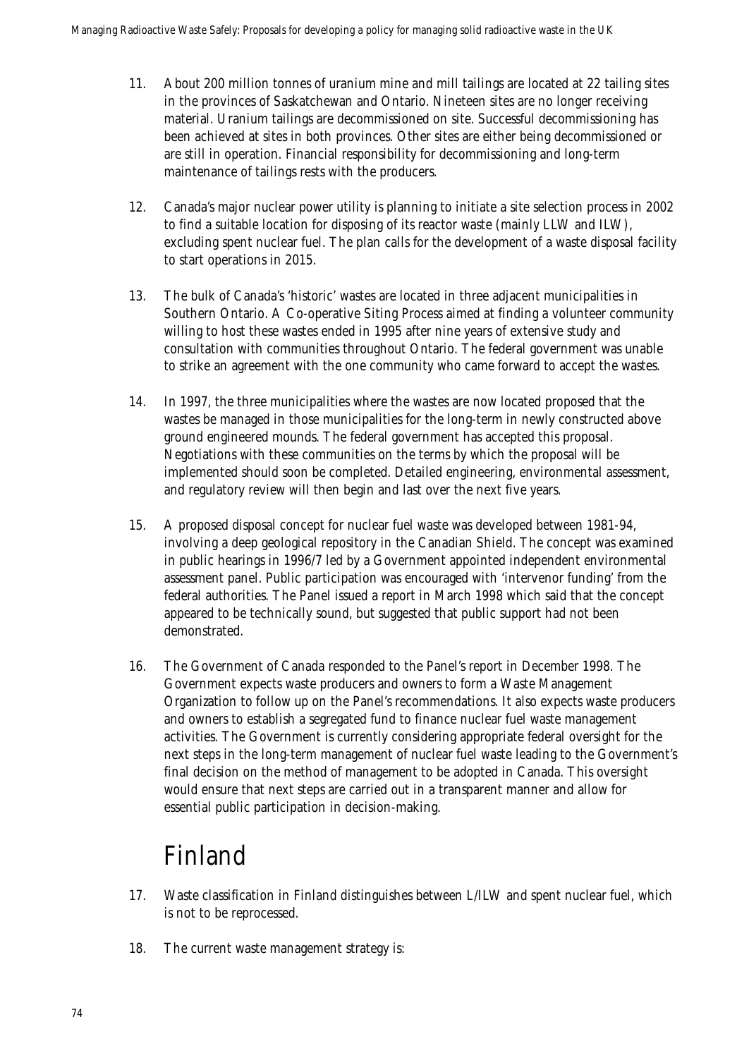- 11. About 200 million tonnes of uranium mine and mill tailings are located at 22 tailing sites in the provinces of Saskatchewan and Ontario. Nineteen sites are no longer receiving material. Uranium tailings are decommissioned on site. Successful decommissioning has been achieved at sites in both provinces. Other sites are either being decommissioned or are still in operation. Financial responsibility for decommissioning and long-term maintenance of tailings rests with the producers.
- 12. Canada's major nuclear power utility is planning to initiate a site selection process in 2002 to find a suitable location for disposing of its reactor waste (mainly LLW and ILW), excluding spent nuclear fuel. The plan calls for the development of a waste disposal facility to start operations in 2015.
- 13. The bulk of Canada's 'historic' wastes are located in three adjacent municipalities in Southern Ontario. A Co-operative Siting Process aimed at finding a volunteer community willing to host these wastes ended in 1995 after nine years of extensive study and consultation with communities throughout Ontario. The federal government was unable to strike an agreement with the one community who came forward to accept the wastes.
- 14. In 1997, the three municipalities where the wastes are now located proposed that the wastes be managed in those municipalities for the long-term in newly constructed above ground engineered mounds. The federal government has accepted this proposal. Negotiations with these communities on the terms by which the proposal will be implemented should soon be completed. Detailed engineering, environmental assessment, and regulatory review will then begin and last over the next five years.
- 15. A proposed disposal concept for nuclear fuel waste was developed between 1981-94, involving a deep geological repository in the Canadian Shield. The concept was examined in public hearings in 1996/7 led by a Government appointed independent environmental assessment panel. Public participation was encouraged with 'intervenor funding' from the federal authorities. The Panel issued a report in March 1998 which said that the concept appeared to be technically sound, but suggested that public support had not been demonstrated.
- 16. The Government of Canada responded to the Panel's report in December 1998. The Government expects waste producers and owners to form a Waste Management Organization to follow up on the Panel's recommendations. It also expects waste producers and owners to establish a segregated fund to finance nuclear fuel waste management activities. The Government is currently considering appropriate federal oversight for the next steps in the long-term management of nuclear fuel waste leading to the Government's final decision on the method of management to be adopted in Canada. This oversight would ensure that next steps are carried out in a transparent manner and allow for essential public participation in decision-making.

### Finland

- 17. Waste classification in Finland distinguishes between L/ILW and spent nuclear fuel, which is not to be reprocessed.
- 18. The current waste management strategy is: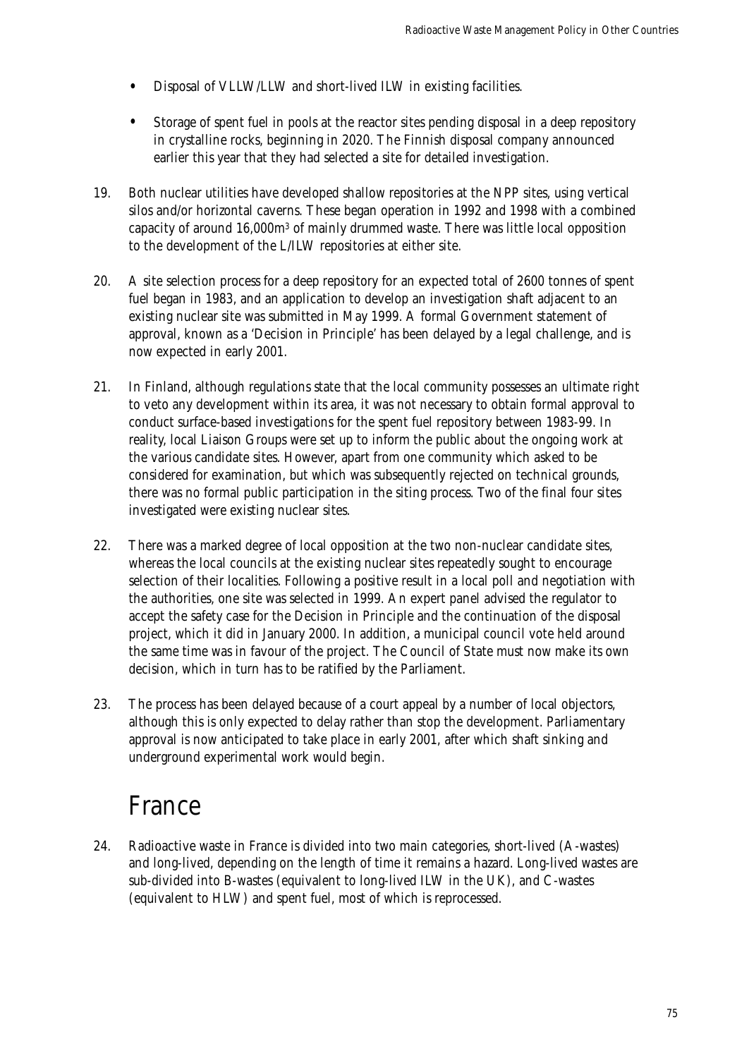- Disposal of VLLW/LLW and short-lived ILW in existing facilities.
- Storage of spent fuel in pools at the reactor sites pending disposal in a deep repository in crystalline rocks, beginning in 2020. The Finnish disposal company announced earlier this year that they had selected a site for detailed investigation.
- 19. Both nuclear utilities have developed shallow repositories at the NPP sites, using vertical silos and/or horizontal caverns. These began operation in 1992 and 1998 with a combined capacity of around 16,000m3 of mainly drummed waste. There was little local opposition to the development of the L/ILW repositories at either site.
- 20. A site selection process for a deep repository for an expected total of 2600 tonnes of spent fuel began in 1983, and an application to develop an investigation shaft adjacent to an existing nuclear site was submitted in May 1999. A formal Government statement of approval, known as a 'Decision in Principle' has been delayed by a legal challenge, and is now expected in early 2001.
- 21. In Finland, although regulations state that the local community possesses an ultimate right to veto any development within its area, it was not necessary to obtain formal approval to conduct surface-based investigations for the spent fuel repository between 1983-99. In reality, local Liaison Groups were set up to inform the public about the ongoing work at the various candidate sites. However, apart from one community which asked to be considered for examination, but which was subsequently rejected on technical grounds, there was no formal public participation in the siting process. Two of the final four sites investigated were existing nuclear sites.
- 22. There was a marked degree of local opposition at the two non-nuclear candidate sites, whereas the local councils at the existing nuclear sites repeatedly sought to encourage selection of their localities. Following a positive result in a local poll and negotiation with the authorities, one site was selected in 1999. An expert panel advised the regulator to accept the safety case for the Decision in Principle and the continuation of the disposal project, which it did in January 2000. In addition, a municipal council vote held around the same time was in favour of the project. The Council of State must now make its own decision, which in turn has to be ratified by the Parliament.
- 23. The process has been delayed because of a court appeal by a number of local objectors, although this is only expected to delay rather than stop the development. Parliamentary approval is now anticipated to take place in early 2001, after which shaft sinking and underground experimental work would begin.

### France

24. Radioactive waste in France is divided into two main categories, short-lived (A-wastes) and long-lived, depending on the length of time it remains a hazard. Long-lived wastes are sub-divided into B-wastes (equivalent to long-lived ILW in the UK), and C-wastes (equivalent to HLW) and spent fuel, most of which is reprocessed.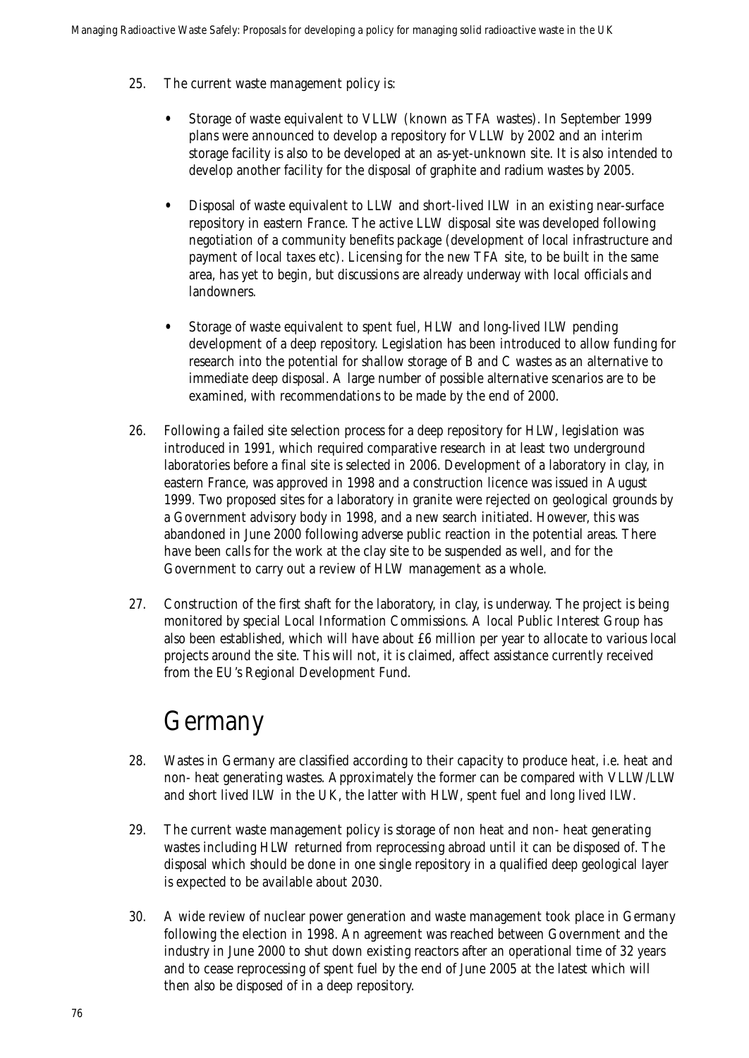- 25. The current waste management policy is:
	- Storage of waste equivalent to VLLW (known as TFA wastes). In September 1999 plans were announced to develop a repository for VLLW by 2002 and an interim storage facility is also to be developed at an as-yet-unknown site. It is also intended to develop another facility for the disposal of graphite and radium wastes by 2005.
	- Disposal of waste equivalent to LLW and short-lived ILW in an existing near-surface repository in eastern France. The active LLW disposal site was developed following negotiation of a community benefits package (development of local infrastructure and payment of local taxes etc). Licensing for the new TFA site, to be built in the same area, has yet to begin, but discussions are already underway with local officials and landowners.
	- Storage of waste equivalent to spent fuel, HLW and long-lived ILW pending development of a deep repository. Legislation has been introduced to allow funding for research into the potential for shallow storage of B and C wastes as an alternative to immediate deep disposal. A large number of possible alternative scenarios are to be examined, with recommendations to be made by the end of 2000.
- 26. Following a failed site selection process for a deep repository for HLW, legislation was introduced in 1991, which required comparative research in at least two underground laboratories before a final site is selected in 2006. Development of a laboratory in clay, in eastern France, was approved in 1998 and a construction licence was issued in August 1999. Two proposed sites for a laboratory in granite were rejected on geological grounds by a Government advisory body in 1998, and a new search initiated. However, this was abandoned in June 2000 following adverse public reaction in the potential areas. There have been calls for the work at the clay site to be suspended as well, and for the Government to carry out a review of HLW management as a whole.
- 27. Construction of the first shaft for the laboratory, in clay, is underway. The project is being monitored by special Local Information Commissions. A local Public Interest Group has also been established, which will have about £6 million per year to allocate to various local projects around the site. This will not, it is claimed, affect assistance currently received from the EU's Regional Development Fund.

### Germany

- 28. Wastes in Germany are classified according to their capacity to produce heat, i.e. heat and non- heat generating wastes. Approximately the former can be compared with VLLW/LLW and short lived ILW in the UK, the latter with HLW, spent fuel and long lived ILW.
- 29. The current waste management policy is storage of non heat and non- heat generating wastes including HLW returned from reprocessing abroad until it can be disposed of. The disposal which should be done in one single repository in a qualified deep geological layer is expected to be available about 2030.
- 30. A wide review of nuclear power generation and waste management took place in Germany following the election in 1998. An agreement was reached between Government and the industry in June 2000 to shut down existing reactors after an operational time of 32 years and to cease reprocessing of spent fuel by the end of June 2005 at the latest which will then also be disposed of in a deep repository.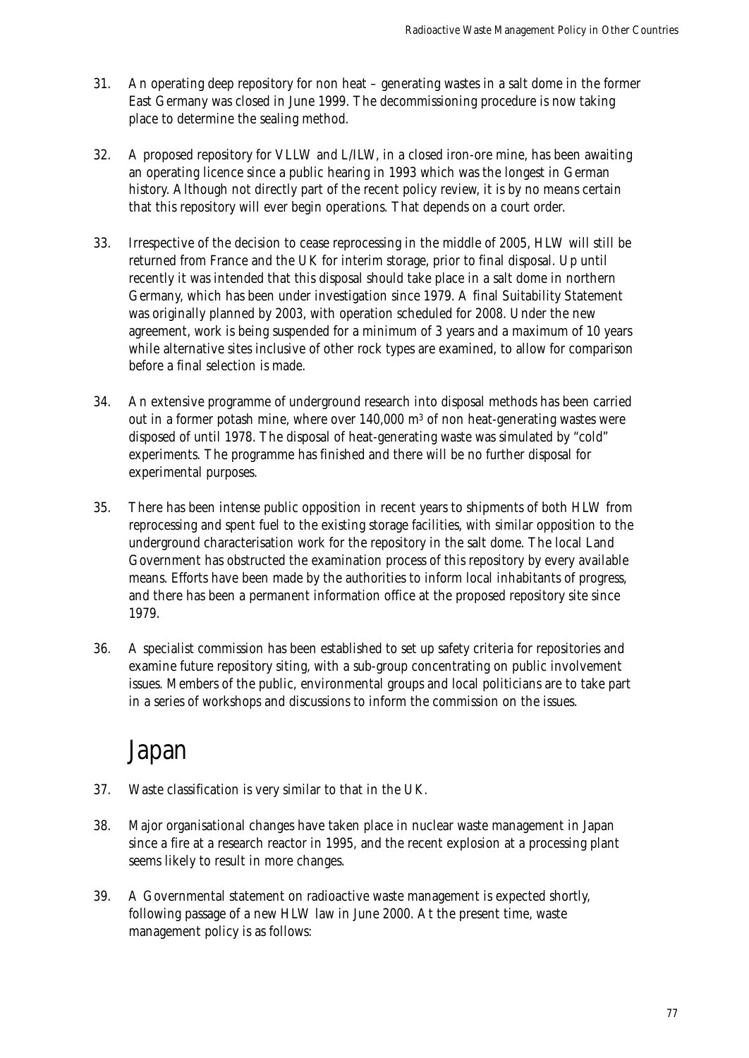- 31. An operating deep repository for non heat generating wastes in a salt dome in the former East Germany was closed in June 1999. The decommissioning procedure is now taking place to determine the sealing method.
- 32. A proposed repository for VLLW and L/ILW, in a closed iron-ore mine, has been awaiting an operating licence since a public hearing in 1993 which was the longest in German history. Although not directly part of the recent policy review, it is by no means certain that this repository will ever begin operations. That depends on a court order.
- 33. Irrespective of the decision to cease reprocessing in the middle of 2005, HLW will still be returned from France and the UK for interim storage, prior to final disposal. Up until recently it was intended that this disposal should take place in a salt dome in northern Germany, which has been under investigation since 1979. A final Suitability Statement was originally planned by 2003, with operation scheduled for 2008. Under the new agreement, work is being suspended for a minimum of 3 years and a maximum of 10 years while alternative sites inclusive of other rock types are examined, to allow for comparison before a final selection is made.
- 34. An extensive programme of underground research into disposal methods has been carried out in a former potash mine, where over  $140,000$  m<sup>3</sup> of non heat-generating wastes were disposed of until 1978. The disposal of heat-generating waste was simulated by "cold" experiments. The programme has finished and there will be no further disposal for experimental purposes.
- 35. There has been intense public opposition in recent years to shipments of both HLW from reprocessing and spent fuel to the existing storage facilities, with similar opposition to the underground characterisation work for the repository in the salt dome. The local Land Government has obstructed the examination process of this repository by every available means. Efforts have been made by the authorities to inform local inhabitants of progress, and there has been a permanent information office at the proposed repository site since 1979.
- 36. A specialist commission has been established to set up safety criteria for repositories and examine future repository siting, with a sub-group concentrating on public involvement issues. Members of the public, environmental groups and local politicians are to take part in a series of workshops and discussions to inform the commission on the issues.

### Japan

- 37. Waste classification is very similar to that in the UK.
- 38. Major organisational changes have taken place in nuclear waste management in Japan since a fire at a research reactor in 1995, and the recent explosion at a processing plant seems likely to result in more changes.
- 39. A Governmental statement on radioactive waste management is expected shortly, following passage of a new HLW law in June 2000. At the present time, waste management policy is as follows: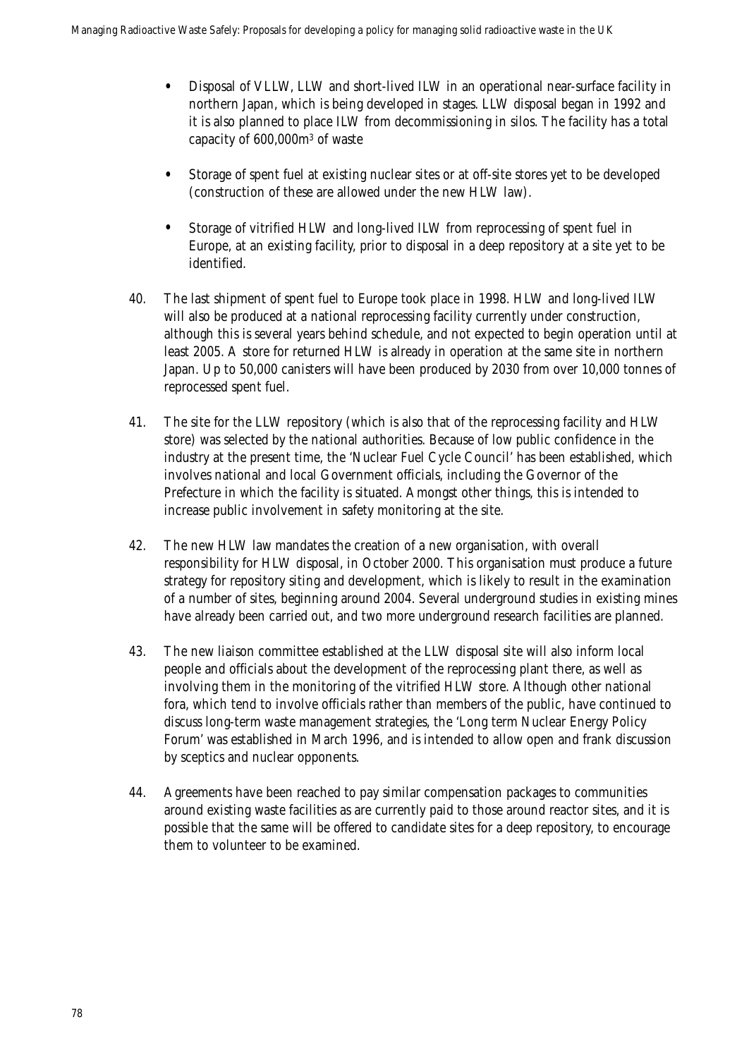- Disposal of VLLW, LLW and short-lived ILW in an operational near-surface facility in northern Japan, which is being developed in stages. LLW disposal began in 1992 and it is also planned to place ILW from decommissioning in silos. The facility has a total capacity of 600,000m3 of waste
- Storage of spent fuel at existing nuclear sites or at off-site stores yet to be developed (construction of these are allowed under the new HLW law).
- Storage of vitrified HLW and long-lived ILW from reprocessing of spent fuel in Europe, at an existing facility, prior to disposal in a deep repository at a site yet to be identified.
- 40. The last shipment of spent fuel to Europe took place in 1998. HLW and long-lived ILW will also be produced at a national reprocessing facility currently under construction, although this is several years behind schedule, and not expected to begin operation until at least 2005. A store for returned HLW is already in operation at the same site in northern Japan. Up to 50,000 canisters will have been produced by 2030 from over 10,000 tonnes of reprocessed spent fuel.
- 41. The site for the LLW repository (which is also that of the reprocessing facility and HLW store) was selected by the national authorities. Because of low public confidence in the industry at the present time, the 'Nuclear Fuel Cycle Council' has been established, which involves national and local Government officials, including the Governor of the Prefecture in which the facility is situated. Amongst other things, this is intended to increase public involvement in safety monitoring at the site.
- 42. The new HLW law mandates the creation of a new organisation, with overall responsibility for HLW disposal, in October 2000. This organisation must produce a future strategy for repository siting and development, which is likely to result in the examination of a number of sites, beginning around 2004. Several underground studies in existing mines have already been carried out, and two more underground research facilities are planned.
- 43. The new liaison committee established at the LLW disposal site will also inform local people and officials about the development of the reprocessing plant there, as well as involving them in the monitoring of the vitrified HLW store. Although other national fora, which tend to involve officials rather than members of the public, have continued to discuss long-term waste management strategies, the 'Long term Nuclear Energy Policy Forum' was established in March 1996, and is intended to allow open and frank discussion by sceptics and nuclear opponents.
- 44. Agreements have been reached to pay similar compensation packages to communities around existing waste facilities as are currently paid to those around reactor sites, and it is possible that the same will be offered to candidate sites for a deep repository, to encourage them to volunteer to be examined.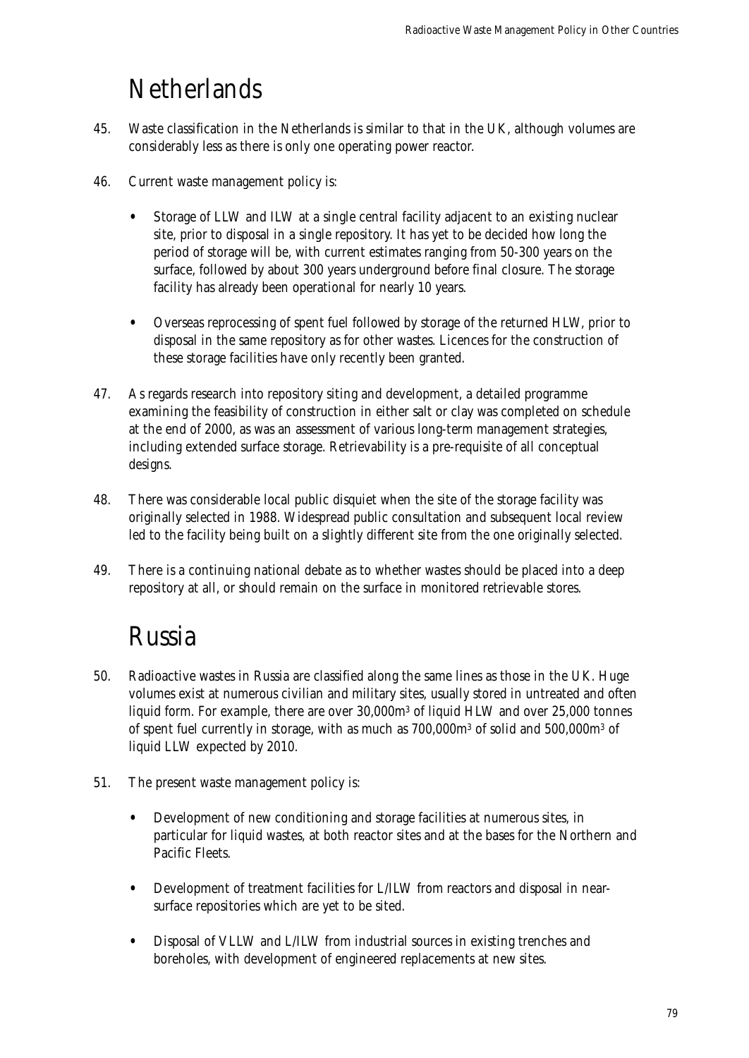### **Netherlands**

- 45. Waste classification in the Netherlands is similar to that in the UK, although volumes are considerably less as there is only one operating power reactor.
- 46. Current waste management policy is:
	- Storage of LLW and ILW at a single central facility adjacent to an existing nuclear site, prior to disposal in a single repository. It has yet to be decided how long the period of storage will be, with current estimates ranging from 50-300 years on the surface, followed by about 300 years underground before final closure. The storage facility has already been operational for nearly 10 years.
	- Overseas reprocessing of spent fuel followed by storage of the returned HLW, prior to disposal in the same repository as for other wastes. Licences for the construction of these storage facilities have only recently been granted.
- 47. As regards research into repository siting and development, a detailed programme examining the feasibility of construction in either salt or clay was completed on schedule at the end of 2000, as was an assessment of various long-term management strategies, including extended surface storage. Retrievability is a pre-requisite of all conceptual designs.
- 48. There was considerable local public disquiet when the site of the storage facility was originally selected in 1988. Widespread public consultation and subsequent local review led to the facility being built on a slightly different site from the one originally selected.
- 49. There is a continuing national debate as to whether wastes should be placed into a deep repository at all, or should remain on the surface in monitored retrievable stores.

### Russia

- 50. Radioactive wastes in Russia are classified along the same lines as those in the UK. Huge volumes exist at numerous civilian and military sites, usually stored in untreated and often liquid form. For example, there are over 30,000m3 of liquid HLW and over 25,000 tonnes of spent fuel currently in storage, with as much as 700,000m3 of solid and 500,000m3 of liquid LLW expected by 2010.
- 51. The present waste management policy is:
	- Development of new conditioning and storage facilities at numerous sites, in particular for liquid wastes, at both reactor sites and at the bases for the Northern and Pacific Fleets.
	- Development of treatment facilities for L/ILW from reactors and disposal in nearsurface repositories which are yet to be sited.
	- Disposal of VLLW and L/ILW from industrial sources in existing trenches and boreholes, with development of engineered replacements at new sites.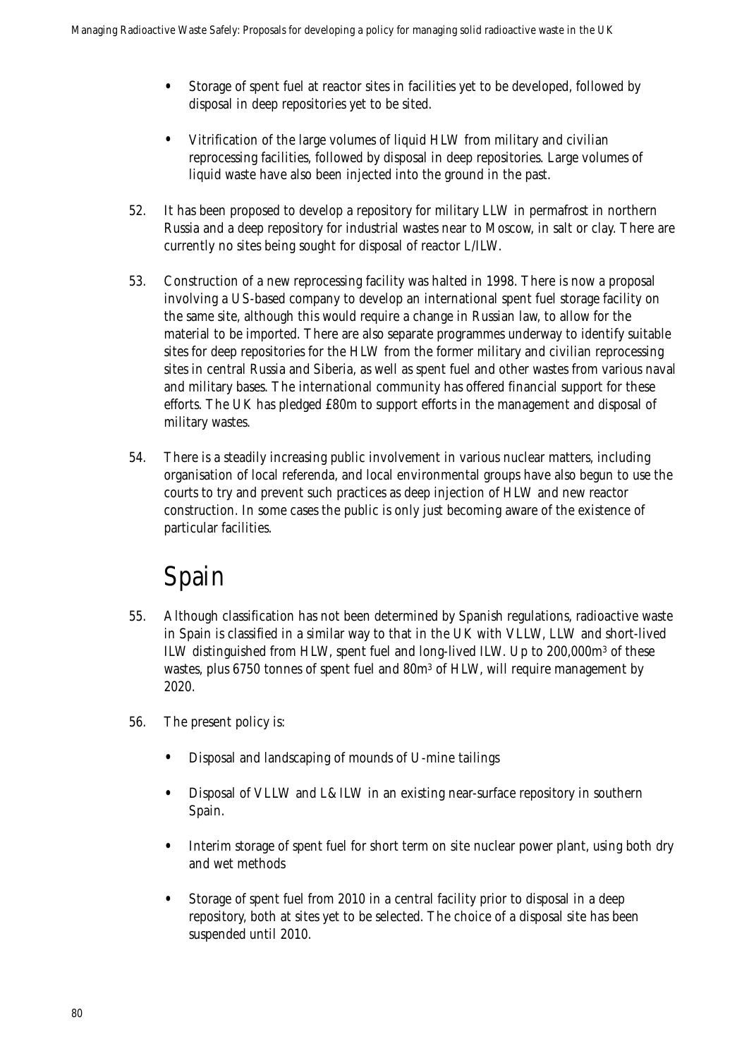- Storage of spent fuel at reactor sites in facilities yet to be developed, followed by disposal in deep repositories yet to be sited.
- Vitrification of the large volumes of liquid HLW from military and civilian reprocessing facilities, followed by disposal in deep repositories. Large volumes of liquid waste have also been injected into the ground in the past.
- 52. It has been proposed to develop a repository for military LLW in permafrost in northern Russia and a deep repository for industrial wastes near to Moscow, in salt or clay. There are currently no sites being sought for disposal of reactor L/ILW.
- 53. Construction of a new reprocessing facility was halted in 1998. There is now a proposal involving a US-based company to develop an international spent fuel storage facility on the same site, although this would require a change in Russian law, to allow for the material to be imported. There are also separate programmes underway to identify suitable sites for deep repositories for the HLW from the former military and civilian reprocessing sites in central Russia and Siberia, as well as spent fuel and other wastes from various naval and military bases. The international community has offered financial support for these efforts. The UK has pledged £80m to support efforts in the management and disposal of military wastes.
- 54. There is a steadily increasing public involvement in various nuclear matters, including organisation of local referenda, and local environmental groups have also begun to use the courts to try and prevent such practices as deep injection of HLW and new reactor construction. In some cases the public is only just becoming aware of the existence of particular facilities.

### Spain

- 55. Although classification has not been determined by Spanish regulations, radioactive waste in Spain is classified in a similar way to that in the UK with VLLW, LLW and short-lived ILW distinguished from HLW, spent fuel and long-lived ILW. Up to 200,000m3 of these wastes, plus 6750 tonnes of spent fuel and 80m3 of HLW, will require management by 2020.
- 56. The present policy is:
	- Disposal and landscaping of mounds of U-mine tailings
	- Disposal of VLLW and L&ILW in an existing near-surface repository in southern Spain.
	- Interim storage of spent fuel for short term on site nuclear power plant, using both dry and wet methods
	- Storage of spent fuel from 2010 in a central facility prior to disposal in a deep repository, both at sites yet to be selected. The choice of a disposal site has been suspended until 2010.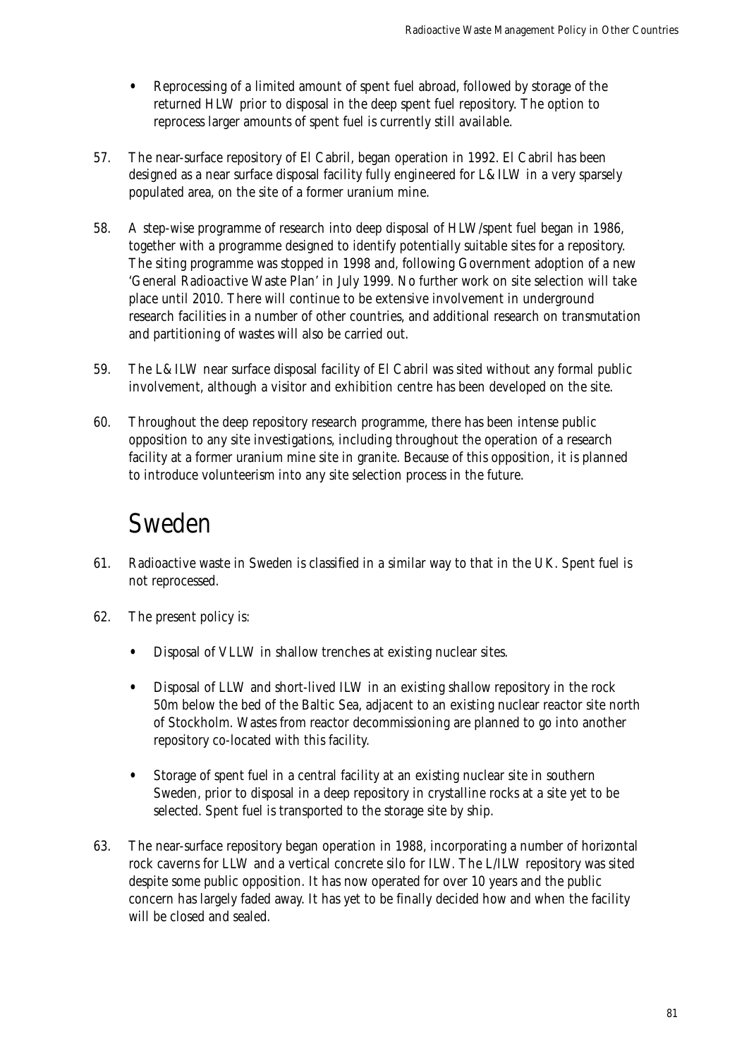- Reprocessing of a limited amount of spent fuel abroad, followed by storage of the returned HLW prior to disposal in the deep spent fuel repository. The option to reprocess larger amounts of spent fuel is currently still available.
- 57. The near-surface repository of El Cabril, began operation in 1992. El Cabril has been designed as a near surface disposal facility fully engineered for L&ILW in a very sparsely populated area, on the site of a former uranium mine.
- 58. A step-wise programme of research into deep disposal of HLW/spent fuel began in 1986, together with a programme designed to identify potentially suitable sites for a repository. The siting programme was stopped in 1998 and, following Government adoption of a new 'General Radioactive Waste Plan' in July 1999. No further work on site selection will take place until 2010. There will continue to be extensive involvement in underground research facilities in a number of other countries, and additional research on transmutation and partitioning of wastes will also be carried out.
- 59. The L&ILW near surface disposal facility of El Cabril was sited without any formal public involvement, although a visitor and exhibition centre has been developed on the site.
- 60. Throughout the deep repository research programme, there has been intense public opposition to any site investigations, including throughout the operation of a research facility at a former uranium mine site in granite. Because of this opposition, it is planned to introduce volunteerism into any site selection process in the future.

### Sweden

- 61. Radioactive waste in Sweden is classified in a similar way to that in the UK. Spent fuel is not reprocessed.
- 62. The present policy is:
	- Disposal of VLLW in shallow trenches at existing nuclear sites.
	- Disposal of LLW and short-lived ILW in an existing shallow repository in the rock 50m below the bed of the Baltic Sea, adjacent to an existing nuclear reactor site north of Stockholm. Wastes from reactor decommissioning are planned to go into another repository co-located with this facility.
	- Storage of spent fuel in a central facility at an existing nuclear site in southern Sweden, prior to disposal in a deep repository in crystalline rocks at a site yet to be selected. Spent fuel is transported to the storage site by ship.
- 63. The near-surface repository began operation in 1988, incorporating a number of horizontal rock caverns for LLW and a vertical concrete silo for ILW. The L/ILW repository was sited despite some public opposition. It has now operated for over 10 years and the public concern has largely faded away. It has yet to be finally decided how and when the facility will be closed and sealed.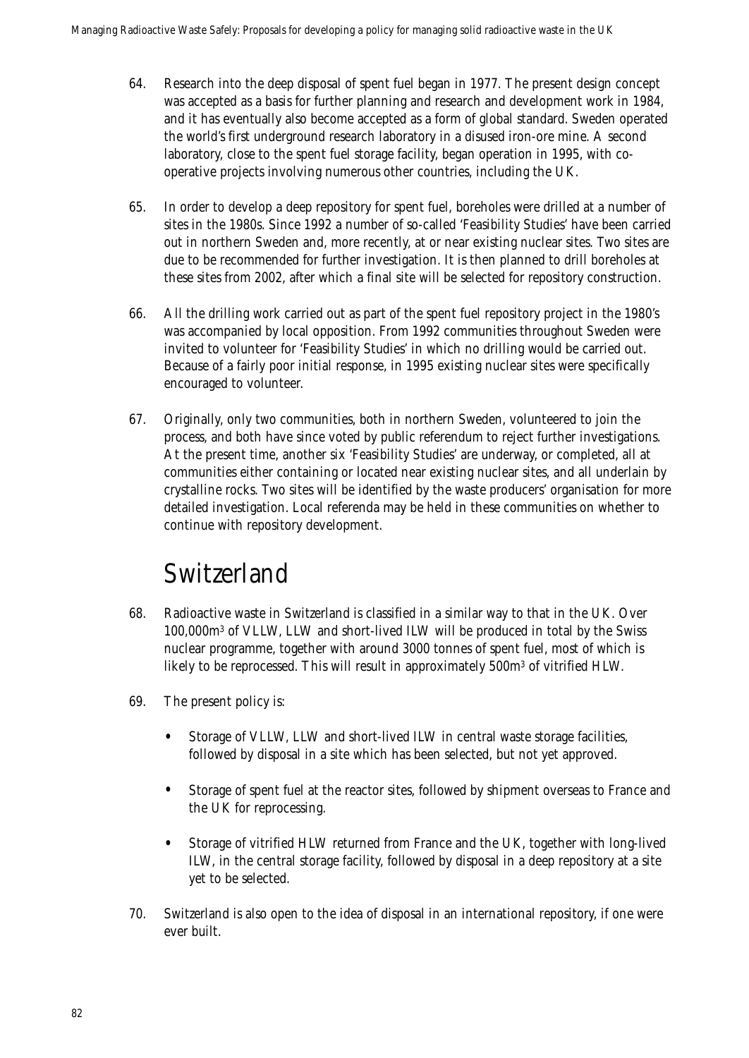- 64. Research into the deep disposal of spent fuel began in 1977. The present design concept was accepted as a basis for further planning and research and development work in 1984, and it has eventually also become accepted as a form of global standard. Sweden operated the world's first underground research laboratory in a disused iron-ore mine. A second laboratory, close to the spent fuel storage facility, began operation in 1995, with cooperative projects involving numerous other countries, including the UK.
- 65. In order to develop a deep repository for spent fuel, boreholes were drilled at a number of sites in the 1980s. Since 1992 a number of so-called 'Feasibility Studies' have been carried out in northern Sweden and, more recently, at or near existing nuclear sites. Two sites are due to be recommended for further investigation. It is then planned to drill boreholes at these sites from 2002, after which a final site will be selected for repository construction.
- 66. All the drilling work carried out as part of the spent fuel repository project in the 1980's was accompanied by local opposition. From 1992 communities throughout Sweden were invited to volunteer for 'Feasibility Studies' in which no drilling would be carried out. Because of a fairly poor initial response, in 1995 existing nuclear sites were specifically encouraged to volunteer.
- 67. Originally, only two communities, both in northern Sweden, volunteered to join the process, and both have since voted by public referendum to reject further investigations. At the present time, another six 'Feasibility Studies' are underway, or completed, all at communities either containing or located near existing nuclear sites, and all underlain by crystalline rocks. Two sites will be identified by the waste producers' organisation for more detailed investigation. Local referenda may be held in these communities on whether to continue with repository development.

### Switzerland

- 68. Radioactive waste in Switzerland is classified in a similar way to that in the UK. Over 100,000m3 of VLLW, LLW and short-lived ILW will be produced in total by the Swiss nuclear programme, together with around 3000 tonnes of spent fuel, most of which is likely to be reprocessed. This will result in approximately 500m<sup>3</sup> of vitrified HLW.
- 69. The present policy is:
	- Storage of VLLW, LLW and short-lived ILW in central waste storage facilities, followed by disposal in a site which has been selected, but not yet approved.
	- Storage of spent fuel at the reactor sites, followed by shipment overseas to France and the UK for reprocessing.
	- Storage of vitrified HLW returned from France and the UK, together with long-lived ILW, in the central storage facility, followed by disposal in a deep repository at a site yet to be selected.
- 70. Switzerland is also open to the idea of disposal in an international repository, if one were ever built.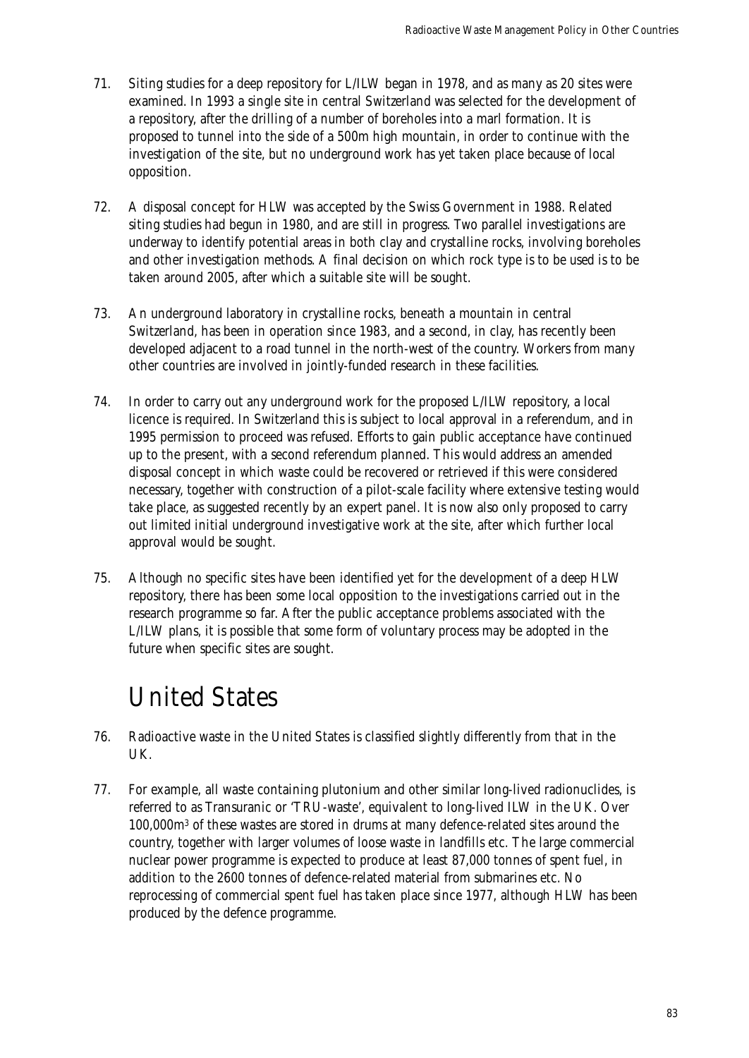- 71. Siting studies for a deep repository for L/ILW began in 1978, and as many as 20 sites were examined. In 1993 a single site in central Switzerland was selected for the development of a repository, after the drilling of a number of boreholes into a marl formation. It is proposed to tunnel into the side of a 500m high mountain, in order to continue with the investigation of the site, but no underground work has yet taken place because of local opposition.
- 72. A disposal concept for HLW was accepted by the Swiss Government in 1988. Related siting studies had begun in 1980, and are still in progress. Two parallel investigations are underway to identify potential areas in both clay and crystalline rocks, involving boreholes and other investigation methods. A final decision on which rock type is to be used is to be taken around 2005, after which a suitable site will be sought.
- 73. An underground laboratory in crystalline rocks, beneath a mountain in central Switzerland, has been in operation since 1983, and a second, in clay, has recently been developed adjacent to a road tunnel in the north-west of the country. Workers from many other countries are involved in jointly-funded research in these facilities.
- 74. In order to carry out any underground work for the proposed L/ILW repository, a local licence is required. In Switzerland this is subject to local approval in a referendum, and in 1995 permission to proceed was refused. Efforts to gain public acceptance have continued up to the present, with a second referendum planned. This would address an amended disposal concept in which waste could be recovered or retrieved if this were considered necessary, together with construction of a pilot-scale facility where extensive testing would take place, as suggested recently by an expert panel. It is now also only proposed to carry out limited initial underground investigative work at the site, after which further local approval would be sought.
- 75. Although no specific sites have been identified yet for the development of a deep HLW repository, there has been some local opposition to the investigations carried out in the research programme so far. After the public acceptance problems associated with the L/ILW plans, it is possible that some form of voluntary process may be adopted in the future when specific sites are sought.

### United States

- 76. Radioactive waste in the United States is classified slightly differently from that in the UK.
- 77. For example, all waste containing plutonium and other similar long-lived radionuclides, is referred to as Transuranic or 'TRU-waste', equivalent to long-lived ILW in the UK. Over 100,000m3 of these wastes are stored in drums at many defence-related sites around the country, together with larger volumes of loose waste in landfills etc. The large commercial nuclear power programme is expected to produce at least 87,000 tonnes of spent fuel, in addition to the 2600 tonnes of defence-related material from submarines etc. No reprocessing of commercial spent fuel has taken place since 1977, although HLW has been produced by the defence programme.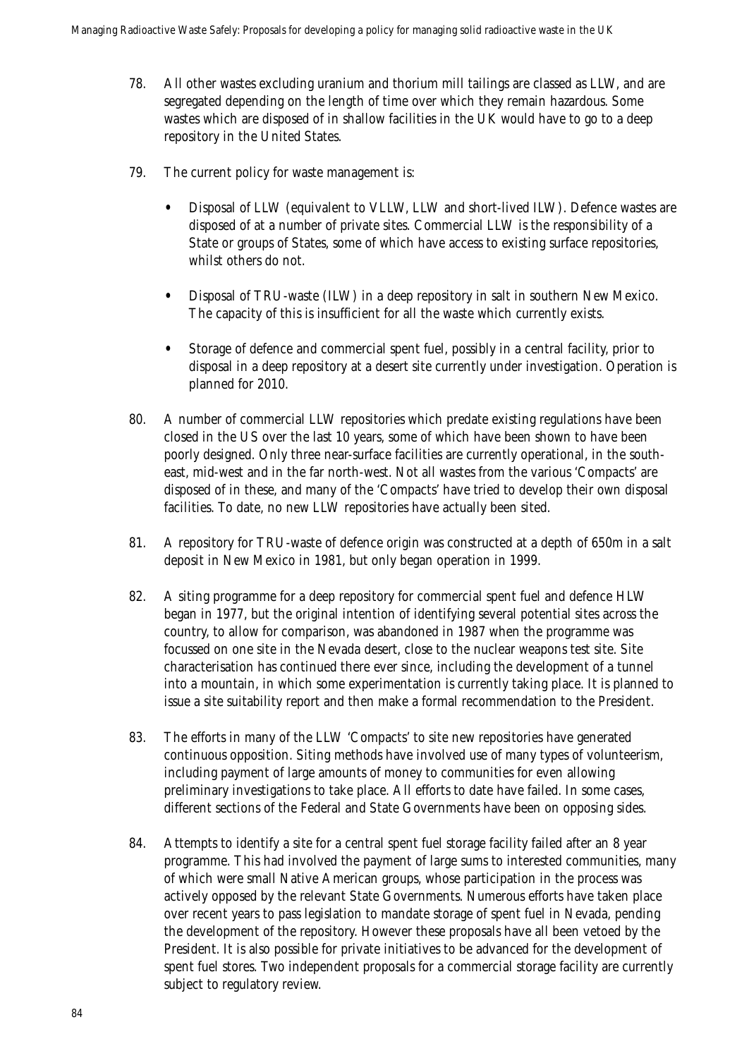- 78. All other wastes excluding uranium and thorium mill tailings are classed as LLW, and are segregated depending on the length of time over which they remain hazardous. Some wastes which are disposed of in shallow facilities in the UK would have to go to a deep repository in the United States.
- 79. The current policy for waste management is:
	- Disposal of LLW (equivalent to VLLW, LLW and short-lived ILW). Defence wastes are disposed of at a number of private sites. Commercial LLW is the responsibility of a State or groups of States, some of which have access to existing surface repositories, whilst others do not.
	- Disposal of TRU-waste (ILW) in a deep repository in salt in southern New Mexico. The capacity of this is insufficient for all the waste which currently exists.
	- Storage of defence and commercial spent fuel, possibly in a central facility, prior to disposal in a deep repository at a desert site currently under investigation. Operation is planned for 2010.
- 80. A number of commercial LLW repositories which predate existing regulations have been closed in the US over the last 10 years, some of which have been shown to have been poorly designed. Only three near-surface facilities are currently operational, in the southeast, mid-west and in the far north-west. Not all wastes from the various 'Compacts' are disposed of in these, and many of the 'Compacts' have tried to develop their own disposal facilities. To date, no new LLW repositories have actually been sited.
- 81. A repository for TRU-waste of defence origin was constructed at a depth of 650m in a salt deposit in New Mexico in 1981, but only began operation in 1999.
- 82. A siting programme for a deep repository for commercial spent fuel and defence HLW began in 1977, but the original intention of identifying several potential sites across the country, to allow for comparison, was abandoned in 1987 when the programme was focussed on one site in the Nevada desert, close to the nuclear weapons test site. Site characterisation has continued there ever since, including the development of a tunnel into a mountain, in which some experimentation is currently taking place. It is planned to issue a site suitability report and then make a formal recommendation to the President.
- 83. The efforts in many of the LLW 'Compacts' to site new repositories have generated continuous opposition. Siting methods have involved use of many types of volunteerism, including payment of large amounts of money to communities for even allowing preliminary investigations to take place. All efforts to date have failed. In some cases, different sections of the Federal and State Governments have been on opposing sides.
- 84. Attempts to identify a site for a central spent fuel storage facility failed after an 8 year programme. This had involved the payment of large sums to interested communities, many of which were small Native American groups, whose participation in the process was actively opposed by the relevant State Governments. Numerous efforts have taken place over recent years to pass legislation to mandate storage of spent fuel in Nevada, pending the development of the repository. However these proposals have all been vetoed by the President. It is also possible for private initiatives to be advanced for the development of spent fuel stores. Two independent proposals for a commercial storage facility are currently subject to regulatory review.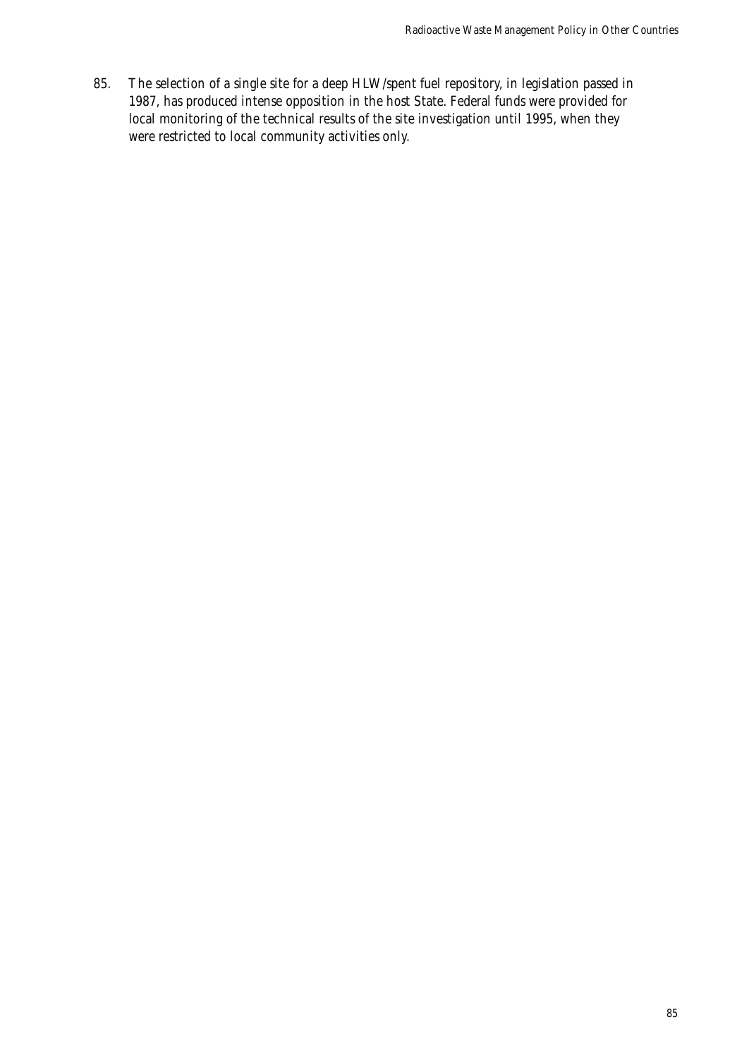85. The selection of a single site for a deep HLW/spent fuel repository, in legislation passed in 1987, has produced intense opposition in the host State. Federal funds were provided for local monitoring of the technical results of the site investigation until 1995, when they were restricted to local community activities only.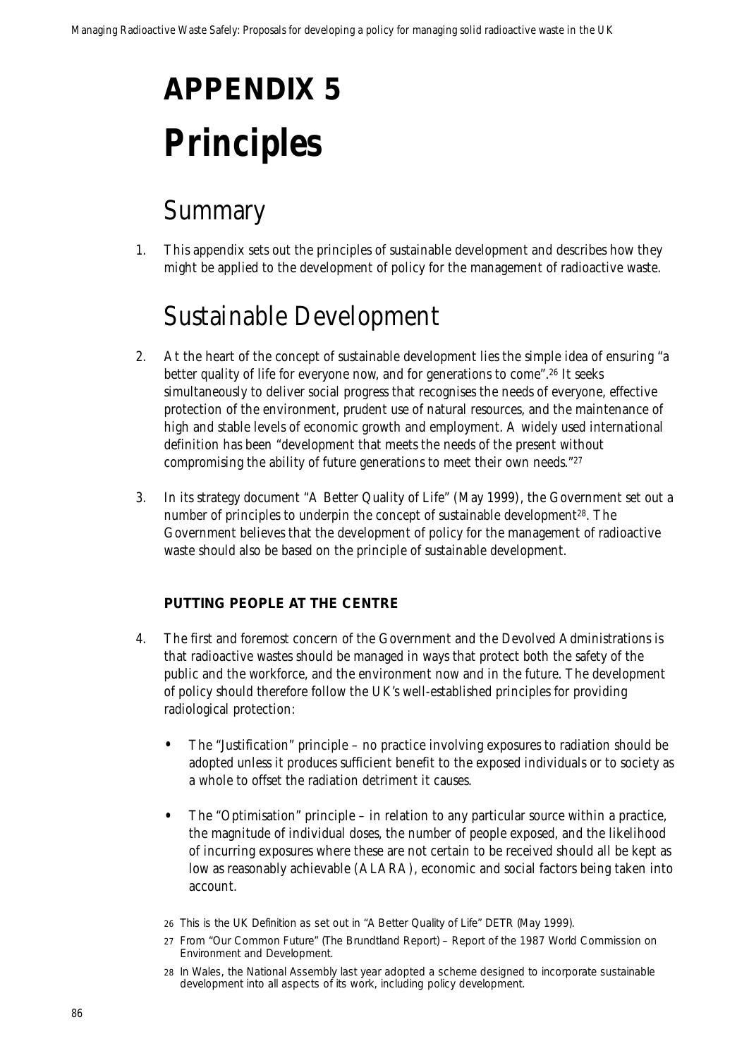# **APPENDIX 5 Principles**

### **Summary**

1. This appendix sets out the principles of sustainable development and describes how they might be applied to the development of policy for the management of radioactive waste.

### Sustainable Development

- 2. At the heart of the concept of sustainable development lies the simple idea of ensuring "a better quality of life for everyone now, and for generations to come".26 It seeks simultaneously to deliver social progress that recognises the needs of everyone, effective protection of the environment, prudent use of natural resources, and the maintenance of high and stable levels of economic growth and employment. A widely used international definition has been "development that meets the needs of the present without compromising the ability of future generations to meet their own needs."27
- 3. In its strategy document "A Better Quality of Life" (May 1999), the Government set out a number of principles to underpin the concept of sustainable development<sup>28</sup>. The Government believes that the development of policy for the management of radioactive waste should also be based on the principle of sustainable development.

#### **PUTTING PEOPLE AT THE CENTRE**

- 4. The first and foremost concern of the Government and the Devolved Administrations is that radioactive wastes should be managed in ways that protect both the safety of the public and the workforce, and the environment now and in the future. The development of policy should therefore follow the UK's well-established principles for providing radiological protection:
	- The "Justification" principle no practice involving exposures to radiation should be adopted unless it produces sufficient benefit to the exposed individuals or to society as a whole to offset the radiation detriment it causes.
	- The "Optimisation" principle in relation to any particular source within a practice, the magnitude of individual doses, the number of people exposed, and the likelihood of incurring exposures where these are not certain to be received should all be kept as low as reasonably achievable (ALARA), economic and social factors being taken into account.
	- 26 This is the UK Definition as set out in "A Better Quality of Life" DETR (May 1999).
	- 27 From "Our Common Future" (The Brundtland Report) Report of the 1987 World Commission on Environment and Development.
	- 28 In Wales, the National Assembly last year adopted a scheme designed to incorporate sustainable development into all aspects of its work, including policy development.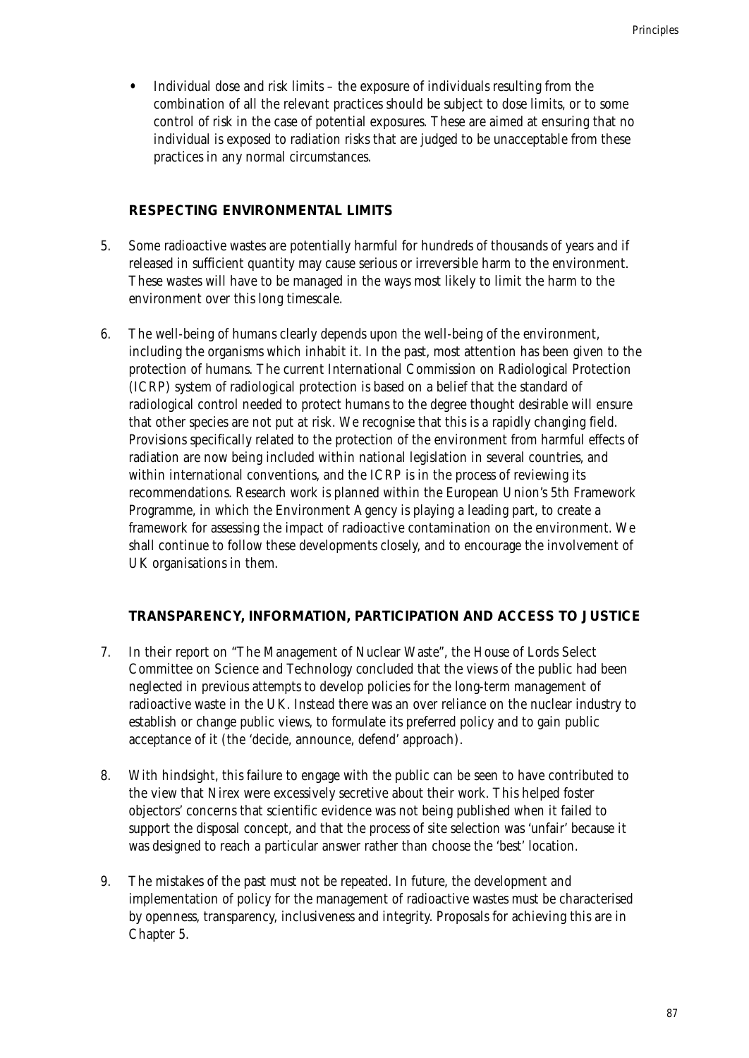• Individual dose and risk limits – the exposure of individuals resulting from the combination of all the relevant practices should be subject to dose limits, or to some control of risk in the case of potential exposures. These are aimed at ensuring that no individual is exposed to radiation risks that are judged to be unacceptable from these practices in any normal circumstances.

#### **RESPECTING ENVIRONMENTAL LIMITS**

- 5. Some radioactive wastes are potentially harmful for hundreds of thousands of years and if released in sufficient quantity may cause serious or irreversible harm to the environment. These wastes will have to be managed in the ways most likely to limit the harm to the environment over this long timescale.
- 6. The well-being of humans clearly depends upon the well-being of the environment, including the organisms which inhabit it. In the past, most attention has been given to the protection of humans. The current International Commission on Radiological Protection (ICRP) system of radiological protection is based on a belief that the standard of radiological control needed to protect humans to the degree thought desirable will ensure that other species are not put at risk. We recognise that this is a rapidly changing field. Provisions specifically related to the protection of the environment from harmful effects of radiation are now being included within national legislation in several countries, and within international conventions, and the ICRP is in the process of reviewing its recommendations. Research work is planned within the European Union's 5th Framework Programme, in which the Environment Agency is playing a leading part, to create a framework for assessing the impact of radioactive contamination on the environment. We shall continue to follow these developments closely, and to encourage the involvement of UK organisations in them.

#### **TRANSPARENCY, INFORMATION, PARTICIPATION AND ACCESS TO JUSTICE**

- 7. In their report on "The Management of Nuclear Waste", the House of Lords Select Committee on Science and Technology concluded that the views of the public had been neglected in previous attempts to develop policies for the long-term management of radioactive waste in the UK. Instead there was an over reliance on the nuclear industry to establish or change public views, to formulate its preferred policy and to gain public acceptance of it (the 'decide, announce, defend' approach).
- 8. With hindsight, this failure to engage with the public can be seen to have contributed to the view that Nirex were excessively secretive about their work. This helped foster objectors' concerns that scientific evidence was not being published when it failed to support the disposal concept, and that the process of site selection was 'unfair' because it was designed to reach a particular answer rather than choose the 'best' location.
- 9. The mistakes of the past must not be repeated. In future, the development and implementation of policy for the management of radioactive wastes must be characterised by openness, transparency, inclusiveness and integrity. Proposals for achieving this are in Chapter 5.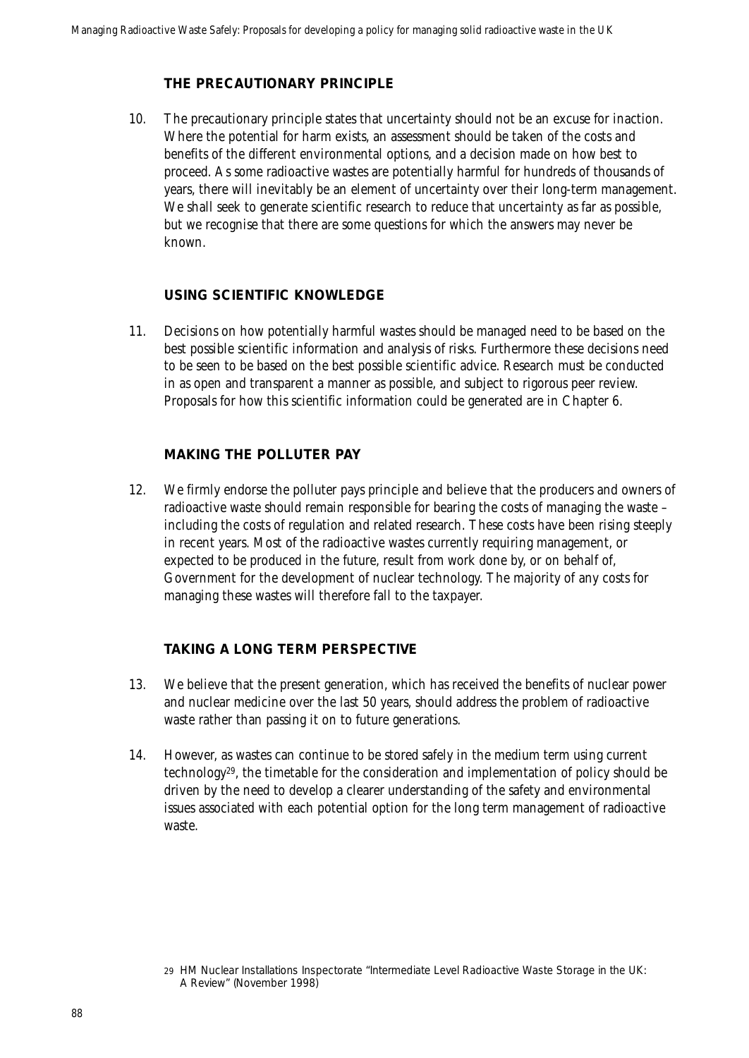#### **THE PRECAUTIONARY PRINCIPLE**

10. The precautionary principle states that uncertainty should not be an excuse for inaction. Where the potential for harm exists, an assessment should be taken of the costs and benefits of the different environmental options, and a decision made on how best to proceed. As some radioactive wastes are potentially harmful for hundreds of thousands of years, there will inevitably be an element of uncertainty over their long-term management. We shall seek to generate scientific research to reduce that uncertainty as far as possible, but we recognise that there are some questions for which the answers may never be known.

#### **USING SCIENTIFIC KNOWLEDGE**

11. Decisions on how potentially harmful wastes should be managed need to be based on the best possible scientific information and analysis of risks. Furthermore these decisions need to be seen to be based on the best possible scientific advice. Research must be conducted in as open and transparent a manner as possible, and subject to rigorous peer review. Proposals for how this scientific information could be generated are in Chapter 6.

#### **MAKING THE POLLUTER PAY**

12. We firmly endorse the polluter pays principle and believe that the producers and owners of radioactive waste should remain responsible for bearing the costs of managing the waste – including the costs of regulation and related research. These costs have been rising steeply in recent years. Most of the radioactive wastes currently requiring management, or expected to be produced in the future, result from work done by, or on behalf of, Government for the development of nuclear technology. The majority of any costs for managing these wastes will therefore fall to the taxpayer.

#### **TAKING A LONG TERM PERSPECTIVE**

- 13. We believe that the present generation, which has received the benefits of nuclear power and nuclear medicine over the last 50 years, should address the problem of radioactive waste rather than passing it on to future generations.
- 14. However, as wastes can continue to be stored safely in the medium term using current technology29, the timetable for the consideration and implementation of policy should be driven by the need to develop a clearer understanding of the safety and environmental issues associated with each potential option for the long term management of radioactive waste.

<sup>29</sup> HM Nuclear Installations Inspectorate "Intermediate Level Radioactive Waste Storage in the UK: A Review" (November 1998)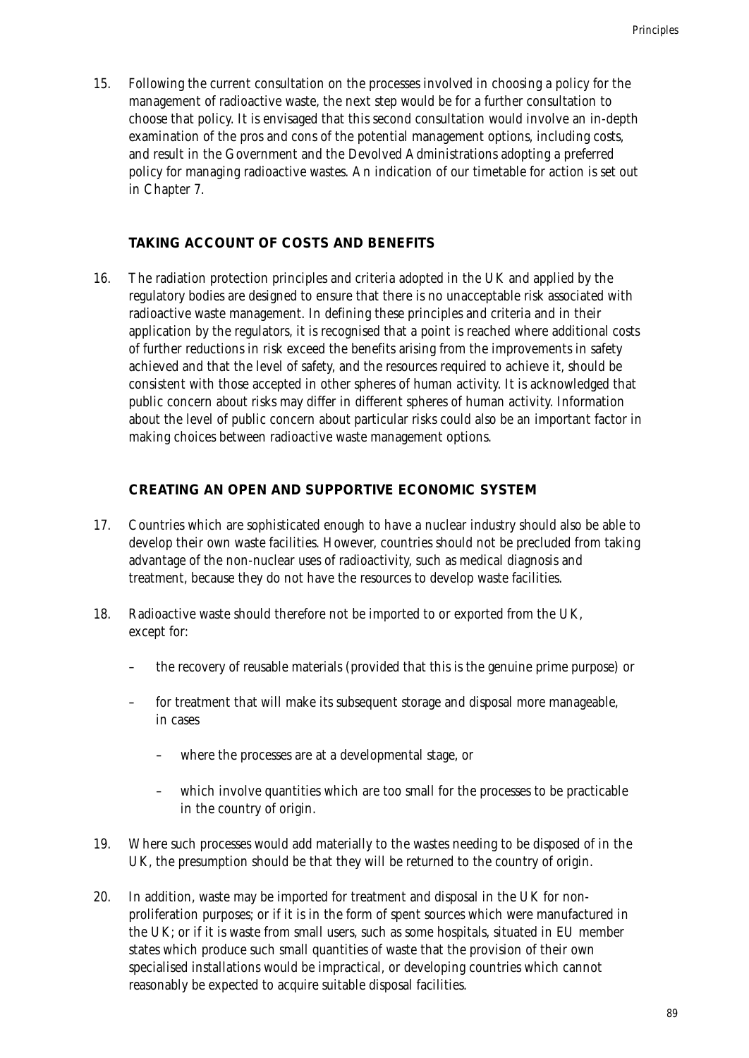15. Following the current consultation on the processes involved in choosing a policy for the management of radioactive waste, the next step would be for a further consultation to choose that policy. It is envisaged that this second consultation would involve an in-depth examination of the pros and cons of the potential management options, including costs, and result in the Government and the Devolved Administrations adopting a preferred policy for managing radioactive wastes. An indication of our timetable for action is set out in Chapter 7.

#### **TAKING ACCOUNT OF COSTS AND BENEFITS**

16. The radiation protection principles and criteria adopted in the UK and applied by the regulatory bodies are designed to ensure that there is no unacceptable risk associated with radioactive waste management. In defining these principles and criteria and in their application by the regulators, it is recognised that a point is reached where additional costs of further reductions in risk exceed the benefits arising from the improvements in safety achieved and that the level of safety, and the resources required to achieve it, should be consistent with those accepted in other spheres of human activity. It is acknowledged that public concern about risks may differ in different spheres of human activity. Information about the level of public concern about particular risks could also be an important factor in making choices between radioactive waste management options.

#### **CREATING AN OPEN AND SUPPORTIVE ECONOMIC SYSTEM**

- 17. Countries which are sophisticated enough to have a nuclear industry should also be able to develop their own waste facilities. However, countries should not be precluded from taking advantage of the non-nuclear uses of radioactivity, such as medical diagnosis and treatment, because they do not have the resources to develop waste facilities.
- 18. Radioactive waste should therefore not be imported to or exported from the UK, except for:
	- the recovery of reusable materials (provided that this is the genuine prime purpose) or
	- for treatment that will make its subsequent storage and disposal more manageable, in cases
		- where the processes are at a developmental stage, or
		- which involve quantities which are too small for the processes to be practicable in the country of origin.
- 19. Where such processes would add materially to the wastes needing to be disposed of in the UK, the presumption should be that they will be returned to the country of origin.
- 20. In addition, waste may be imported for treatment and disposal in the UK for nonproliferation purposes; or if it is in the form of spent sources which were manufactured in the UK; or if it is waste from small users, such as some hospitals, situated in EU member states which produce such small quantities of waste that the provision of their own specialised installations would be impractical, or developing countries which cannot reasonably be expected to acquire suitable disposal facilities.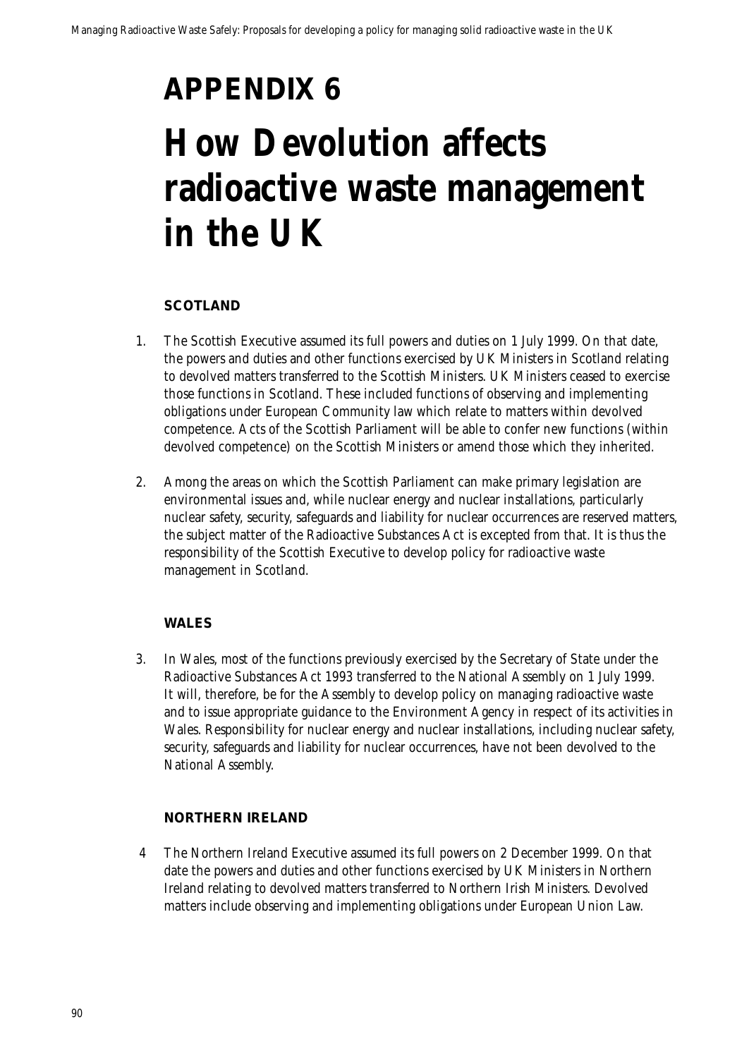## **APPENDIX 6 How Devolution affects radioactive waste management in the UK**

#### **SCOTLAND**

- 1. The Scottish Executive assumed its full powers and duties on 1 July 1999. On that date, the powers and duties and other functions exercised by UK Ministers in Scotland relating to devolved matters transferred to the Scottish Ministers. UK Ministers ceased to exercise those functions in Scotland. These included functions of observing and implementing obligations under European Community law which relate to matters within devolved competence. Acts of the Scottish Parliament will be able to confer new functions (within devolved competence) on the Scottish Ministers or amend those which they inherited.
- 2. Among the areas on which the Scottish Parliament can make primary legislation are environmental issues and, while nuclear energy and nuclear installations, particularly nuclear safety, security, safeguards and liability for nuclear occurrences are reserved matters, the subject matter of the Radioactive Substances Act is excepted from that. It is thus the responsibility of the Scottish Executive to develop policy for radioactive waste management in Scotland.

#### **WALES**

3. In Wales, most of the functions previously exercised by the Secretary of State under the Radioactive Substances Act 1993 transferred to the National Assembly on 1 July 1999. It will, therefore, be for the Assembly to develop policy on managing radioactive waste and to issue appropriate guidance to the Environment Agency in respect of its activities in Wales. Responsibility for nuclear energy and nuclear installations, including nuclear safety, security, safeguards and liability for nuclear occurrences, have not been devolved to the National Assembly.

#### **NORTHERN IRELAND**

4 The Northern Ireland Executive assumed its full powers on 2 December 1999. On that date the powers and duties and other functions exercised by UK Ministers in Northern Ireland relating to devolved matters transferred to Northern Irish Ministers. Devolved matters include observing and implementing obligations under European Union Law.